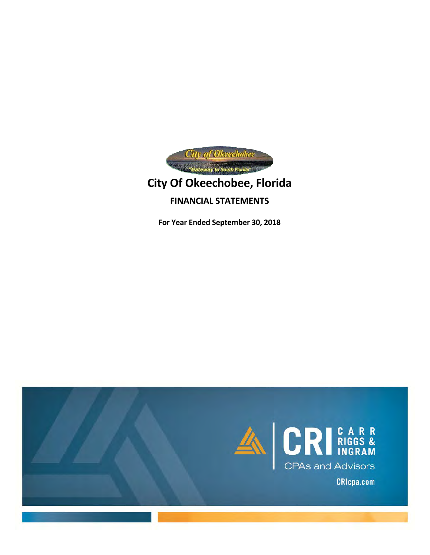

**For Year Ended September 30, 2018**

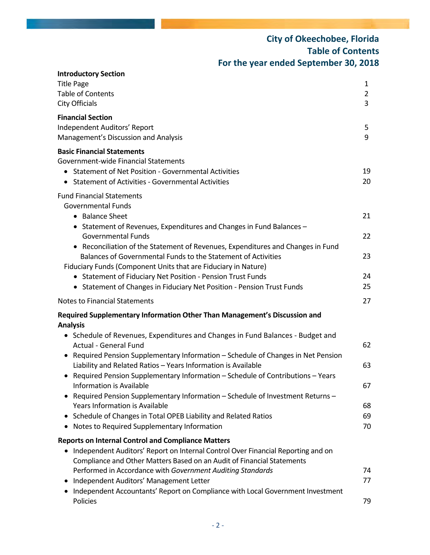# **City of Okeechobee, Florida Table of Contents For the year ended September 30, 2018**

| <b>Introductory Section</b><br><b>Title Page</b>                                                                                                                                                                        | 1                   |
|-------------------------------------------------------------------------------------------------------------------------------------------------------------------------------------------------------------------------|---------------------|
| <b>Table of Contents</b><br>City Officials                                                                                                                                                                              | $\overline{2}$<br>3 |
| <b>Financial Section</b><br>Independent Auditors' Report<br>Management's Discussion and Analysis                                                                                                                        | 5<br>9              |
| <b>Basic Financial Statements</b><br>Government-wide Financial Statements<br>• Statement of Net Position - Governmental Activities<br><b>Statement of Activities - Governmental Activities</b>                          | 19<br>20            |
| <b>Fund Financial Statements</b><br><b>Governmental Funds</b><br>• Balance Sheet                                                                                                                                        | 21                  |
| • Statement of Revenues, Expenditures and Changes in Fund Balances -<br><b>Governmental Funds</b>                                                                                                                       | 22                  |
| • Reconciliation of the Statement of Revenues, Expenditures and Changes in Fund<br>Balances of Governmental Funds to the Statement of Activities                                                                        | 23                  |
| Fiduciary Funds (Component Units that are Fiduciary in Nature)<br>• Statement of Fiduciary Net Position - Pension Trust Funds<br>• Statement of Changes in Fiduciary Net Position - Pension Trust Funds                 | 24<br>25            |
| <b>Notes to Financial Statements</b>                                                                                                                                                                                    | 27                  |
| Required Supplementary Information Other Than Management's Discussion and<br><b>Analysis</b>                                                                                                                            |                     |
| • Schedule of Revenues, Expenditures and Changes in Fund Balances - Budget and<br><b>Actual - General Fund</b>                                                                                                          | 62                  |
| • Required Pension Supplementary Information - Schedule of Changes in Net Pension<br>Liability and Related Ratios - Years Information is Available                                                                      | 63                  |
| • Required Pension Supplementary Information – Schedule of Contributions – Years<br><b>Information is Available</b>                                                                                                     | 67                  |
| Required Pension Supplementary Information - Schedule of Investment Returns -<br>Years Information is Available<br>Schedule of Changes in Total OPEB Liability and Related Ratios                                       | 68<br>69            |
| Notes to Required Supplementary Information                                                                                                                                                                             | 70                  |
| <b>Reports on Internal Control and Compliance Matters</b><br>Independent Auditors' Report on Internal Control Over Financial Reporting and on<br>Compliance and Other Matters Based on an Audit of Financial Statements |                     |
| Performed in Accordance with Government Auditing Standards<br>Independent Auditors' Management Letter                                                                                                                   | 74<br>77            |
| Independent Accountants' Report on Compliance with Local Government Investment<br>٠<br>Policies                                                                                                                         | 79                  |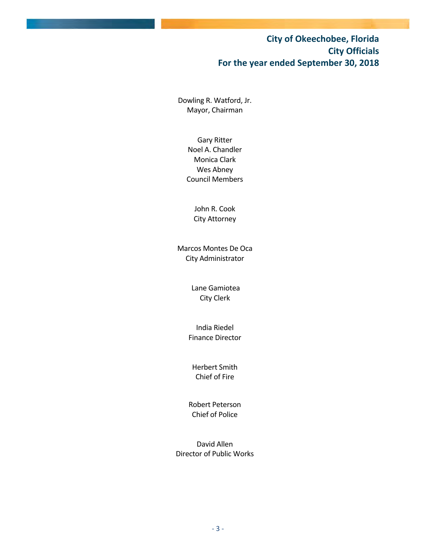# **City of Okeechobee, Florida City Officials For the year ended September 30, 2018**

Dowling R. Watford, Jr. Mayor, Chairman

> Gary Ritter Noel A. Chandler Monica Clark Wes Abney Council Members

> > John R. Cook City Attorney

Marcos Montes De Oca City Administrator

> Lane Gamiotea City Clerk

India Riedel Finance Director

Herbert Smith Chief of Fire

Robert Peterson Chief of Police

David Allen Director of Public Works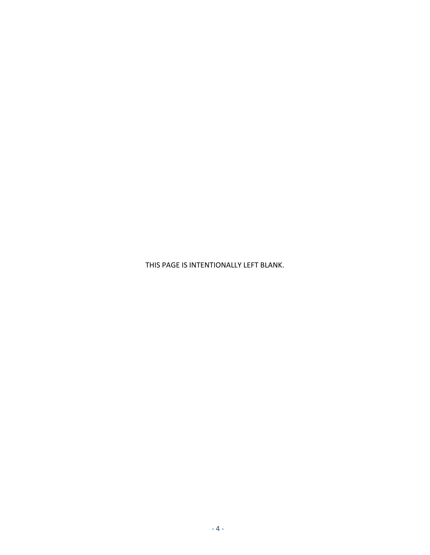THIS PAGE IS INTENTIONALLY LEFT BLANK.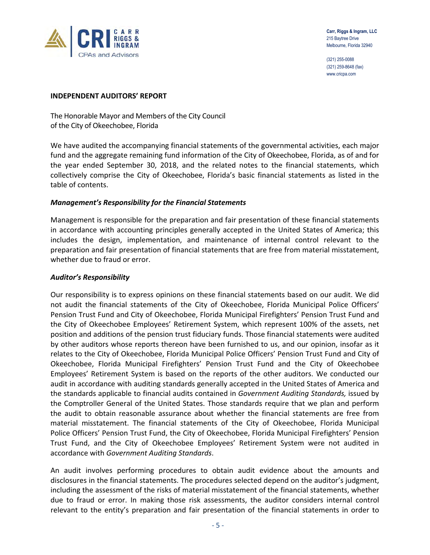

**Carr, Riggs & Ingram, LLC**  215 Baytree Drive Melbourne, Florida 32940

(321) 255-0088 (321) 259-8648 (fax) www.cricpa.com

# **INDEPENDENT AUDITORS' REPORT**

The Honorable Mayor and Members of the City Council of the City of Okeechobee, Florida

We have audited the accompanying financial statements of the governmental activities, each major fund and the aggregate remaining fund information of the City of Okeechobee, Florida, as of and for the year ended September 30, 2018, and the related notes to the financial statements, which collectively comprise the City of Okeechobee, Florida's basic financial statements as listed in the table of contents.

# *Management's Responsibility for the Financial Statements*

Management is responsible for the preparation and fair presentation of these financial statements in accordance with accounting principles generally accepted in the United States of America; this includes the design, implementation, and maintenance of internal control relevant to the preparation and fair presentation of financial statements that are free from material misstatement, whether due to fraud or error.

# *Auditor's Responsibility*

Our responsibility is to express opinions on these financial statements based on our audit. We did not audit the financial statements of the City of Okeechobee, Florida Municipal Police Officers' Pension Trust Fund and City of Okeechobee, Florida Municipal Firefighters' Pension Trust Fund and the City of Okeechobee Employees' Retirement System, which represent 100% of the assets, net position and additions of the pension trust fiduciary funds. Those financial statements were audited by other auditors whose reports thereon have been furnished to us, and our opinion, insofar as it relates to the City of Okeechobee, Florida Municipal Police Officers' Pension Trust Fund and City of Okeechobee, Florida Municipal Firefighters' Pension Trust Fund and the City of Okeechobee Employees' Retirement System is based on the reports of the other auditors. We conducted our audit in accordance with auditing standards generally accepted in the United States of America and the standards applicable to financial audits contained in *Government Auditing Standards,* issued by the Comptroller General of the United States. Those standards require that we plan and perform the audit to obtain reasonable assurance about whether the financial statements are free from material misstatement. The financial statements of the City of Okeechobee, Florida Municipal Police Officers' Pension Trust Fund, the City of Okeechobee, Florida Municipal Firefighters' Pension Trust Fund, and the City of Okeechobee Employees' Retirement System were not audited in accordance with *Government Auditing Standards*.

An audit involves performing procedures to obtain audit evidence about the amounts and disclosures in the financial statements. The procedures selected depend on the auditor's judgment, including the assessment of the risks of material misstatement of the financial statements, whether due to fraud or error. In making those risk assessments, the auditor considers internal control relevant to the entity's preparation and fair presentation of the financial statements in order to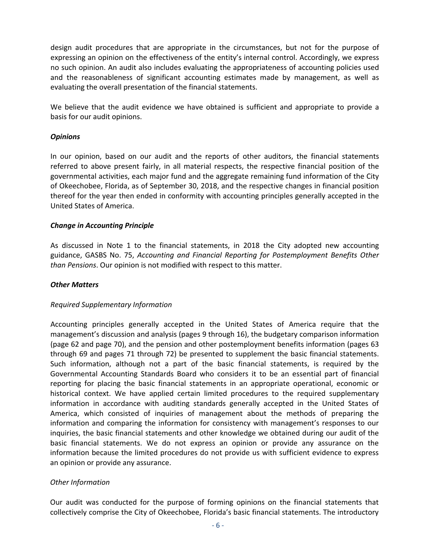design audit procedures that are appropriate in the circumstances, but not for the purpose of expressing an opinion on the effectiveness of the entity's internal control. Accordingly, we express no such opinion. An audit also includes evaluating the appropriateness of accounting policies used and the reasonableness of significant accounting estimates made by management, as well as evaluating the overall presentation of the financial statements.

We believe that the audit evidence we have obtained is sufficient and appropriate to provide a basis for our audit opinions.

# *Opinions*

In our opinion, based on our audit and the reports of other auditors, the financial statements referred to above present fairly, in all material respects, the respective financial position of the governmental activities, each major fund and the aggregate remaining fund information of the City of Okeechobee, Florida, as of September 30, 2018, and the respective changes in financial position thereof for the year then ended in conformity with accounting principles generally accepted in the United States of America.

# *Change in Accounting Principle*

As discussed in Note 1 to the financial statements, in 2018 the City adopted new accounting guidance, GASBS No. 75, *Accounting and Financial Reporting for Postemployment Benefits Other than Pensions*. Our opinion is not modified with respect to this matter.

### *Other Matters*

# *Required Supplementary Information*

Accounting principles generally accepted in the United States of America require that the management's discussion and analysis (pages 9 through 16), the budgetary comparison information (page 62 and page 70), and the pension and other postemployment benefits information (pages 63 through 69 and pages 71 through 72) be presented to supplement the basic financial statements. Such information, although not a part of the basic financial statements, is required by the Governmental Accounting Standards Board who considers it to be an essential part of financial reporting for placing the basic financial statements in an appropriate operational, economic or historical context. We have applied certain limited procedures to the required supplementary information in accordance with auditing standards generally accepted in the United States of America, which consisted of inquiries of management about the methods of preparing the information and comparing the information for consistency with management's responses to our inquiries, the basic financial statements and other knowledge we obtained during our audit of the basic financial statements. We do not express an opinion or provide any assurance on the information because the limited procedures do not provide us with sufficient evidence to express an opinion or provide any assurance.

# *Other Information*

Our audit was conducted for the purpose of forming opinions on the financial statements that collectively comprise the City of Okeechobee, Florida's basic financial statements. The introductory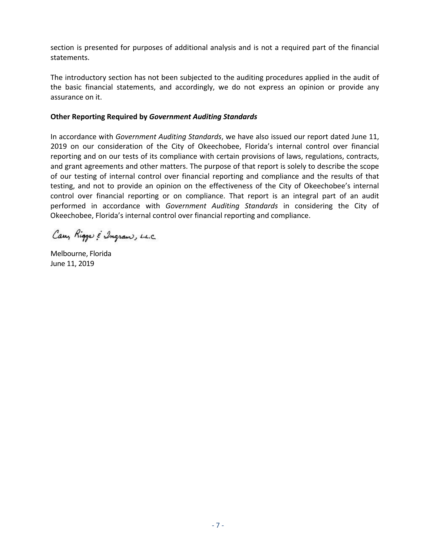section is presented for purposes of additional analysis and is not a required part of the financial statements.

The introductory section has not been subjected to the auditing procedures applied in the audit of the basic financial statements, and accordingly, we do not express an opinion or provide any assurance on it.

### **Other Reporting Required by** *Government Auditing Standards*

In accordance with *Government Auditing Standards*, we have also issued our report dated June 11, 2019 on our consideration of the City of Okeechobee, Florida's internal control over financial reporting and on our tests of its compliance with certain provisions of laws, regulations, contracts, and grant agreements and other matters. The purpose of that report is solely to describe the scope of our testing of internal control over financial reporting and compliance and the results of that testing, and not to provide an opinion on the effectiveness of the City of Okeechobee's internal control over financial reporting or on compliance. That report is an integral part of an audit performed in accordance with *Government Auditing Standards* in considering the City of Okeechobee, Florida's internal control over financial reporting and compliance.

Cau, Rigge & Ingram, L.L.C

Melbourne, Florida June 11, 2019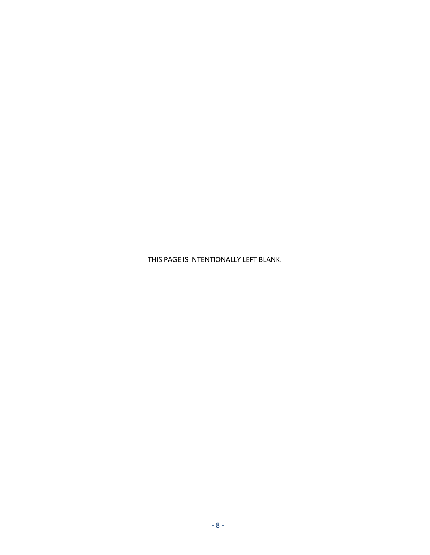THIS PAGE IS INTENTIONALLY LEFT BLANK.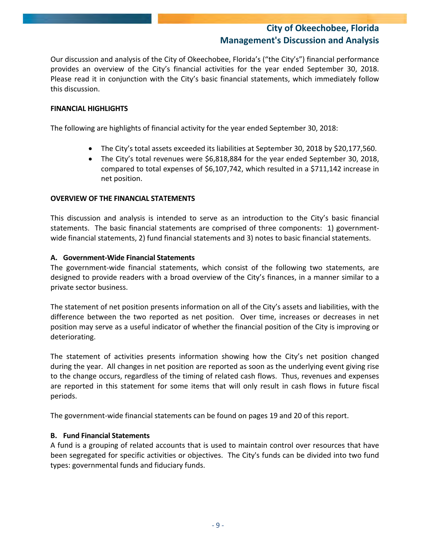Our discussion and analysis of the City of Okeechobee, Florida's ("the City's") financial performance provides an overview of the City's financial activities for the year ended September 30, 2018. Please read it in conjunction with the City's basic financial statements, which immediately follow this discussion.

# **FINANCIAL HIGHLIGHTS**

The following are highlights of financial activity for the year ended September 30, 2018:

- The City's total assets exceeded its liabilities at September 30, 2018 by \$20,177,560.
- The City's total revenues were \$6,818,884 for the year ended September 30, 2018, compared to total expenses of \$6,107,742, which resulted in a \$711,142 increase in net position.

# **OVERVIEW OF THE FINANCIAL STATEMENTS**

This discussion and analysis is intended to serve as an introduction to the City's basic financial statements. The basic financial statements are comprised of three components: 1) government‐ wide financial statements, 2) fund financial statements and 3) notes to basic financial statements.

# **A. Government‐Wide Financial Statements**

The government‐wide financial statements, which consist of the following two statements, are designed to provide readers with a broad overview of the City's finances, in a manner similar to a private sector business.

The statement of net position presents information on all of the City's assets and liabilities, with the difference between the two reported as net position. Over time, increases or decreases in net position may serve as a useful indicator of whether the financial position of the City is improving or deteriorating.

The statement of activities presents information showing how the City's net position changed during the year. All changes in net position are reported as soon as the underlying event giving rise to the change occurs, regardless of the timing of related cash flows. Thus, revenues and expenses are reported in this statement for some items that will only result in cash flows in future fiscal periods.

The government‐wide financial statements can be found on pages 19 and 20 of this report.

# **B. Fund Financial Statements**

A fund is a grouping of related accounts that is used to maintain control over resources that have been segregated for specific activities or objectives. The City's funds can be divided into two fund types: governmental funds and fiduciary funds.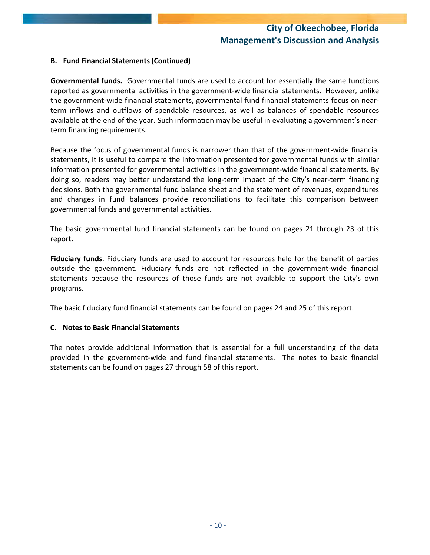# **B. Fund Financial Statements (Continued)**

**Governmental funds.** Governmental funds are used to account for essentially the same functions reported as governmental activities in the government‐wide financial statements. However, unlike the government‐wide financial statements, governmental fund financial statements focus on near‐ term inflows and outflows of spendable resources, as well as balances of spendable resources available at the end of the year. Such information may be useful in evaluating a government's near‐ term financing requirements.

Because the focus of governmental funds is narrower than that of the government-wide financial statements, it is useful to compare the information presented for governmental funds with similar information presented for governmental activities in the government‐wide financial statements. By doing so, readers may better understand the long-term impact of the City's near-term financing decisions. Both the governmental fund balance sheet and the statement of revenues, expenditures and changes in fund balances provide reconciliations to facilitate this comparison between governmental funds and governmental activities.

The basic governmental fund financial statements can be found on pages 21 through 23 of this report.

**Fiduciary funds**. Fiduciary funds are used to account for resources held for the benefit of parties outside the government. Fiduciary funds are not reflected in the government‐wide financial statements because the resources of those funds are not available to support the City's own programs.

The basic fiduciary fund financial statements can be found on pages 24 and 25 of this report.

### **C. Notes to Basic Financial Statements**

The notes provide additional information that is essential for a full understanding of the data provided in the government‐wide and fund financial statements. The notes to basic financial statements can be found on pages 27 through 58 of this report.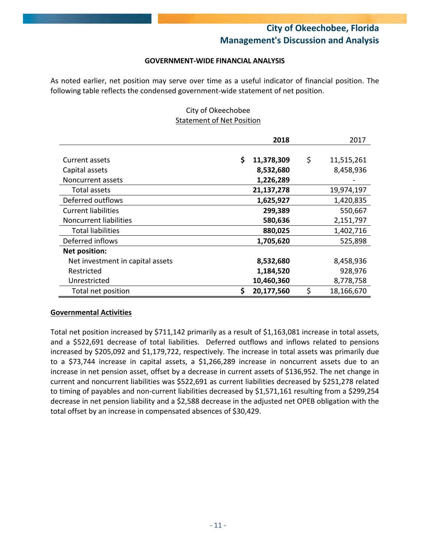### **GOVERNMENT‐WIDE FINANCIAL ANALYSIS**

As noted earlier, net position may serve over time as a useful indicator of financial position. The following table reflects the condensed government‐wide statement of net position.

# City of Okeechobee Statement of Net Position

|                                  | 2018             | 2017             |
|----------------------------------|------------------|------------------|
|                                  |                  |                  |
| Current assets                   | \$<br>11,378,309 | \$<br>11,515,261 |
| Capital assets                   | 8,532,680        | 8,458,936        |
| Noncurrent assets                | 1,226,289        |                  |
| Total assets                     | 21,137,278       | 19,974,197       |
| Deferred outflows                | 1,625,927        | 1,420,835        |
| <b>Current liabilities</b>       | 299,389          | 550,667          |
| Noncurrent liabilities           | 580,636          | 2,151,797        |
| <b>Total liabilities</b>         | 880,025          | 1,402,716        |
| Deferred inflows                 | 1,705,620        | 525,898          |
| <b>Net position:</b>             |                  |                  |
| Net investment in capital assets | 8,532,680        | 8,458,936        |
| Restricted                       | 1,184,520        | 928,976          |
| Unrestricted                     | 10,460,360       | 8,778,758        |
| Total net position               | \$<br>20,177,560 | \$<br>18,166,670 |

### **Governmental Activities**

Total net position increased by \$711,142 primarily as a result of \$1,163,081 increase in total assets, and a \$522,691 decrease of total liabilities. Deferred outflows and inflows related to pensions increased by \$205,092 and \$1,179,722, respectively. The increase in total assets was primarily due to a \$73,744 increase in capital assets, a \$1,266,289 increase in noncurrent assets due to an increase in net pension asset, offset by a decrease in current assets of \$136,952. The net change in current and noncurrent liabilities was \$522,691 as current liabilities decreased by \$251,278 related to timing of payables and non-current liabilities decreased by \$1,571,161 resulting from a \$299,254 decrease in net pension liability and a \$2,588 decrease in the adjusted net OPEB obligation with the total offset by an increase in compensated absences of \$30,429.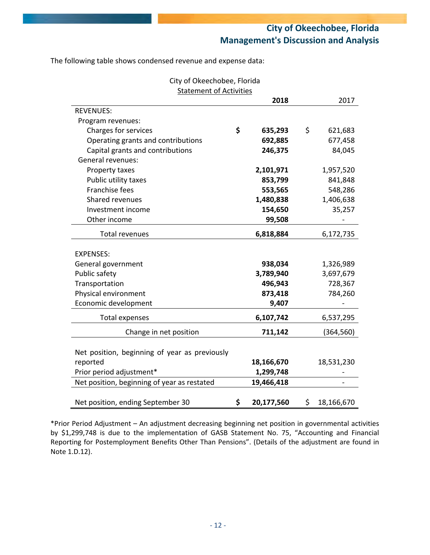The following table shows condensed revenue and expense data:

| City of Okeechobee, Florida                   |    |            |    |            |  |  |
|-----------------------------------------------|----|------------|----|------------|--|--|
| <b>Statement of Activities</b>                |    |            |    |            |  |  |
|                                               |    | 2018       |    | 2017       |  |  |
| <b>REVENUES:</b>                              |    |            |    |            |  |  |
| Program revenues:                             |    |            |    |            |  |  |
| <b>Charges for services</b>                   | \$ | 635,293    | \$ | 621,683    |  |  |
| Operating grants and contributions            |    | 692,885    |    | 677,458    |  |  |
| Capital grants and contributions              |    | 246,375    |    | 84,045     |  |  |
| <b>General revenues:</b>                      |    |            |    |            |  |  |
| Property taxes                                |    | 2,101,971  |    | 1,957,520  |  |  |
| Public utility taxes                          |    | 853,799    |    | 841,848    |  |  |
| Franchise fees                                |    | 553,565    |    | 548,286    |  |  |
| Shared revenues                               |    | 1,480,838  |    | 1,406,638  |  |  |
| Investment income                             |    | 154,650    |    | 35,257     |  |  |
| Other income                                  |    | 99,508     |    |            |  |  |
| <b>Total revenues</b>                         |    | 6,818,884  |    | 6,172,735  |  |  |
| <b>EXPENSES:</b>                              |    |            |    |            |  |  |
| General government                            |    | 938,034    |    | 1,326,989  |  |  |
| Public safety                                 |    | 3,789,940  |    | 3,697,679  |  |  |
| Transportation                                |    | 496,943    |    | 728,367    |  |  |
| Physical environment                          |    | 873,418    |    | 784,260    |  |  |
| Economic development                          |    | 9,407      |    |            |  |  |
|                                               |    |            |    |            |  |  |
| <b>Total expenses</b>                         |    | 6,107,742  |    | 6,537,295  |  |  |
| Change in net position                        |    | 711,142    |    | (364, 560) |  |  |
|                                               |    |            |    |            |  |  |
| Net position, beginning of year as previously |    |            |    |            |  |  |
| reported                                      |    | 18,166,670 |    | 18,531,230 |  |  |
| Prior period adjustment*                      |    | 1,299,748  |    |            |  |  |
| Net position, beginning of year as restated   |    | 19,466,418 |    |            |  |  |
| Net position, ending September 30             | \$ | 20,177,560 | \$ | 18,166,670 |  |  |

\*Prior Period Adjustment – An adjustment decreasing beginning net position in governmental activities by \$1,299,748 is due to the implementation of GASB Statement No. 75, "Accounting and Financial Reporting for Postemployment Benefits Other Than Pensions". (Details of the adjustment are found in Note 1.D.12).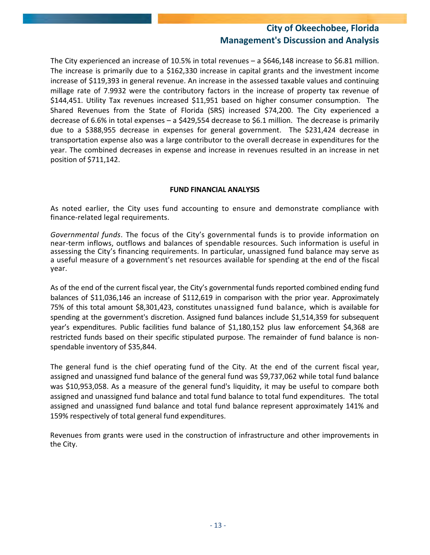The City experienced an increase of 10.5% in total revenues – a \$646,148 increase to \$6.81 million. The increase is primarily due to a \$162,330 increase in capital grants and the investment income increase of \$119,393 in general revenue. An increase in the assessed taxable values and continuing millage rate of 7.9932 were the contributory factors in the increase of property tax revenue of \$144,451. Utility Tax revenues increased \$11,951 based on higher consumer consumption. The Shared Revenues from the State of Florida (SRS) increased \$74,200. The City experienced a decrease of 6.6% in total expenses – a \$429,554 decrease to \$6.1 million. The decrease is primarily due to a \$388,955 decrease in expenses for general government. The \$231,424 decrease in transportation expense also was a large contributor to the overall decrease in expenditures for the year. The combined decreases in expense and increase in revenues resulted in an increase in net position of \$711,142.

# **FUND FINANCIAL ANALYSIS**

As noted earlier, the City uses fund accounting to ensure and demonstrate compliance with finance‐related legal requirements.

*Governmental funds*. The focus of the City's governmental funds is to provide information on near-term inflows, outflows and balances of spendable resources. Such information is useful in assessing the City's financing requirements. In particular, unassigned fund balance may serve as a useful measure of a government's net resources available for spending at the end of the fiscal year.

As of the end of the current fiscal year, the City's governmental funds reported combined ending fund balances of \$11,036,146 an increase of \$112,619 in comparison with the prior year. Approximately 75% of this total amount \$8,301,423, constitutes unassigned fund balance, which is available for spending at the government's discretion. Assigned fund balances include \$1,514,359 for subsequent year's expenditures. Public facilities fund balance of \$1,180,152 plus law enforcement \$4,368 are restricted funds based on their specific stipulated purpose. The remainder of fund balance is non‐ spendable inventory of \$35,844.

The general fund is the chief operating fund of the City. At the end of the current fiscal year, assigned and unassigned fund balance of the general fund was \$9,737,062 while total fund balance was \$10,953,058. As a measure of the general fund's liquidity, it may be useful to compare both assigned and unassigned fund balance and total fund balance to total fund expenditures. The total assigned and unassigned fund balance and total fund balance represent approximately 141% and 159% respectively of total general fund expenditures.

Revenues from grants were used in the construction of infrastructure and other improvements in the City.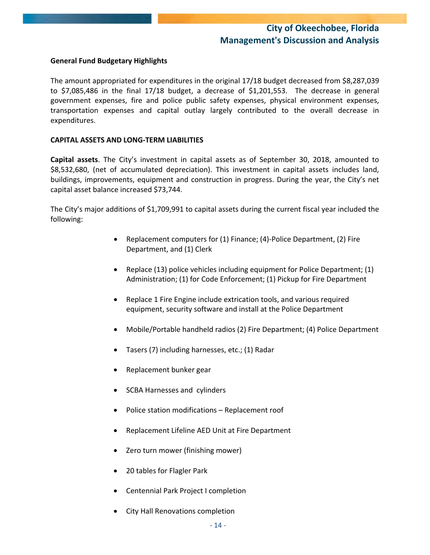### **General Fund Budgetary Highlights**

The amount appropriated for expenditures in the original 17/18 budget decreased from \$8,287,039 to  $$7,085,486$  in the final  $17/18$  budget, a decrease of  $$1,201,553$ . The decrease in general government expenses, fire and police public safety expenses, physical environment expenses, transportation expenses and capital outlay largely contributed to the overall decrease in expenditures.

#### **CAPITAL ASSETS AND LONG‐TERM LIABILITIES**

**Capital assets**. The City's investment in capital assets as of September 30, 2018, amounted to \$8,532,680, (net of accumulated depreciation). This investment in capital assets includes land, buildings, improvements, equipment and construction in progress. During the year, the City's net capital asset balance increased \$73,744.

The City's major additions of \$1,709,991 to capital assets during the current fiscal year included the following:

- Replacement computers for (1) Finance; (4)‐Police Department, (2) Fire Department, and (1) Clerk
- Replace (13) police vehicles including equipment for Police Department; (1) Administration; (1) for Code Enforcement; (1) Pickup for Fire Department
- Replace 1 Fire Engine include extrication tools, and various required equipment, security software and install at the Police Department
- Mobile/Portable handheld radios (2) Fire Department; (4) Police Department
- Tasers (7) including harnesses, etc.; (1) Radar
- Replacement bunker gear
- SCBA Harnesses and cylinders
- Police station modifications Replacement roof
- Replacement Lifeline AED Unit at Fire Department
- Zero turn mower (finishing mower)
- 20 tables for Flagler Park
- Centennial Park Project I completion
- City Hall Renovations completion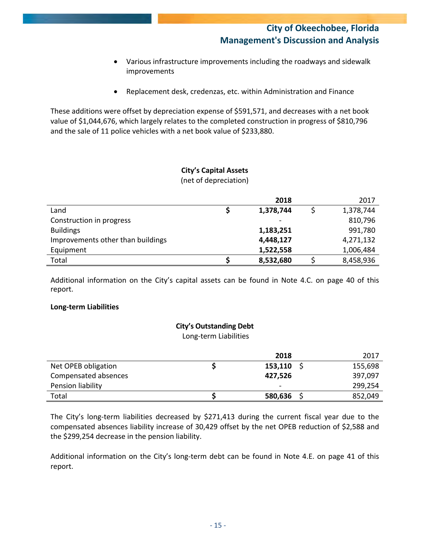- Various infrastructure improvements including the roadways and sidewalk improvements
- Replacement desk, credenzas, etc. within Administration and Finance

These additions were offset by depreciation expense of \$591,571, and decreases with a net book value of \$1,044,676, which largely relates to the completed construction in progress of \$810,796 and the sale of 11 police vehicles with a net book value of \$233,880.

# **City's Capital Assets**

(net of depreciation)

|                                   | 2018                     | 2017      |
|-----------------------------------|--------------------------|-----------|
| Land                              | 1,378,744                | 1,378,744 |
| Construction in progress          | $\overline{\phantom{a}}$ | 810,796   |
| <b>Buildings</b>                  | 1,183,251                | 991,780   |
| Improvements other than buildings | 4,448,127                | 4,271,132 |
| Equipment                         | 1,522,558                | 1,006,484 |
| Total                             | 8,532,680                | 8,458,936 |

Additional information on the City's capital assets can be found in Note 4.C. on page 40 of this report.

### **Long‐term Liabilities**

# **City's Outstanding Debt**

Long‐term Liabilities

|                      | 2018                     | 2017    |
|----------------------|--------------------------|---------|
| Net OPEB obligation  | 153,110                  | 155,698 |
| Compensated absences | 427,526                  | 397,097 |
| Pension liability    | $\overline{\phantom{0}}$ | 299,254 |
| Total                | 580,636                  | 852,049 |

The City's long-term liabilities decreased by \$271,413 during the current fiscal year due to the compensated absences liability increase of 30,429 offset by the net OPEB reduction of \$2,588 and the \$299,254 decrease in the pension liability.

Additional information on the City's long-term debt can be found in Note 4.E. on page 41 of this report.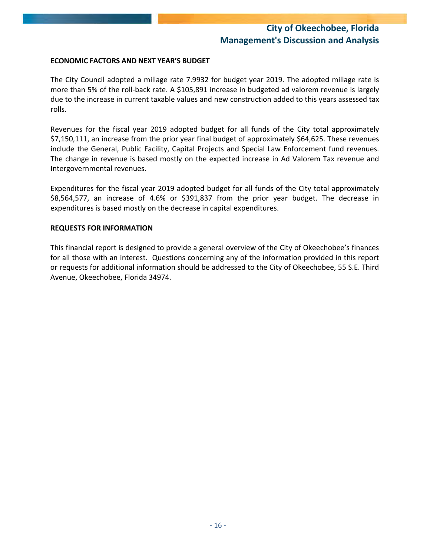# **ECONOMIC FACTORS AND NEXT YEAR'S BUDGET**

The City Council adopted a millage rate 7.9932 for budget year 2019. The adopted millage rate is more than 5% of the roll-back rate. A \$105,891 increase in budgeted ad valorem revenue is largely due to the increase in current taxable values and new construction added to this years assessed tax rolls.

Revenues for the fiscal year 2019 adopted budget for all funds of the City total approximately \$7,150,111, an increase from the prior year final budget of approximately \$64,625. These revenues include the General, Public Facility, Capital Projects and Special Law Enforcement fund revenues. The change in revenue is based mostly on the expected increase in Ad Valorem Tax revenue and Intergovernmental revenues.

Expenditures for the fiscal year 2019 adopted budget for all funds of the City total approximately \$8,564,577, an increase of 4.6% or \$391,837 from the prior year budget. The decrease in expenditures is based mostly on the decrease in capital expenditures.

### **REQUESTS FOR INFORMATION**

This financial report is designed to provide a general overview of the City of Okeechobee's finances for all those with an interest. Questions concerning any of the information provided in this report or requests for additional information should be addressed to the City of Okeechobee, 55 S.E. Third Avenue, Okeechobee, Florida 34974.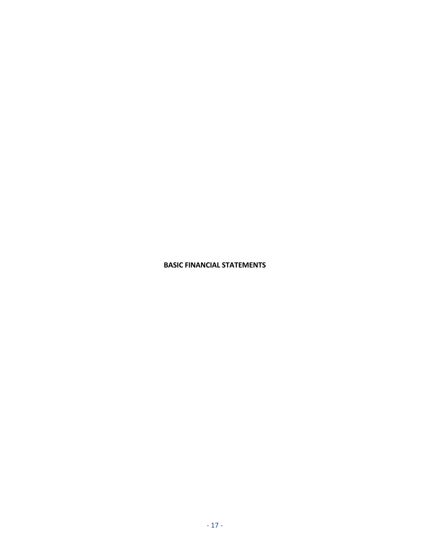# **BASIC FINANCIAL STATEMENTS**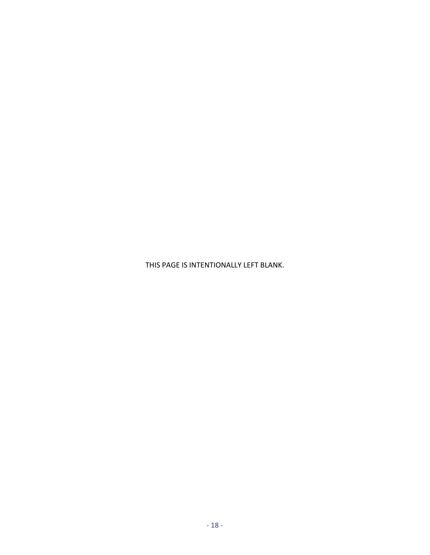THIS PAGE IS INTENTIONALLY LEFT BLANK.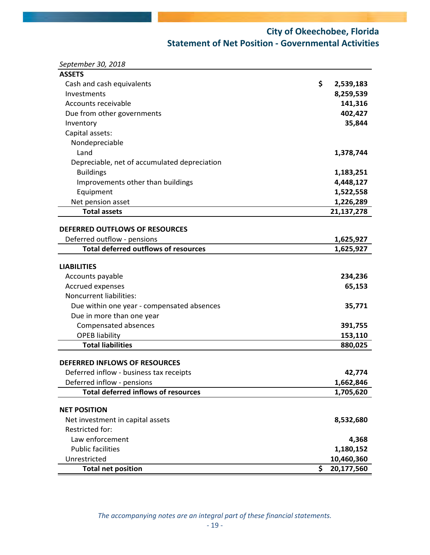# **City of Okeechobee, Florida Statement of Net Position ‐ Governmental Activities**

*September 30, 2018*

| <b>ASSETS</b>                                |                  |
|----------------------------------------------|------------------|
| Cash and cash equivalents                    | \$<br>2,539,183  |
| Investments                                  | 8,259,539        |
| Accounts receivable                          | 141,316          |
| Due from other governments                   | 402,427          |
| Inventory                                    | 35,844           |
| Capital assets:                              |                  |
| Nondepreciable                               |                  |
| Land                                         | 1,378,744        |
| Depreciable, net of accumulated depreciation |                  |
| <b>Buildings</b>                             | 1,183,251        |
| Improvements other than buildings            | 4,448,127        |
| Equipment                                    | 1,522,558        |
| Net pension asset                            | 1,226,289        |
| <b>Total assets</b>                          | 21, 137, 278     |
|                                              |                  |
| DEFERRED OUTFLOWS OF RESOURCES               |                  |
| Deferred outflow - pensions                  | 1,625,927        |
| <b>Total deferred outflows of resources</b>  | 1,625,927        |
| <b>LIABILITIES</b>                           |                  |
| Accounts payable                             | 234,236          |
| Accrued expenses                             | 65,153           |
| Noncurrent liabilities:                      |                  |
| Due within one year - compensated absences   | 35,771           |
| Due in more than one year                    |                  |
| Compensated absences                         | 391,755          |
| <b>OPEB liability</b>                        | 153,110          |
| <b>Total liabilities</b>                     | 880,025          |
| <b>DEFERRED INFLOWS OF RESOURCES</b>         |                  |
| Deferred inflow - business tax receipts      | 42,774           |
| Deferred inflow - pensions                   | 1,662,846        |
| <b>Total deferred inflows of resources</b>   | 1,705,620        |
|                                              |                  |
| <b>NET POSITION</b>                          |                  |
| Net investment in capital assets             | 8,532,680        |
| Restricted for:                              |                  |
| Law enforcement                              | 4,368            |
| <b>Public facilities</b>                     | 1,180,152        |
| Unrestricted                                 | 10,460,360       |
| <b>Total net position</b>                    | \$<br>20,177,560 |

*The accompanying notes are an integral part of these financial statements.*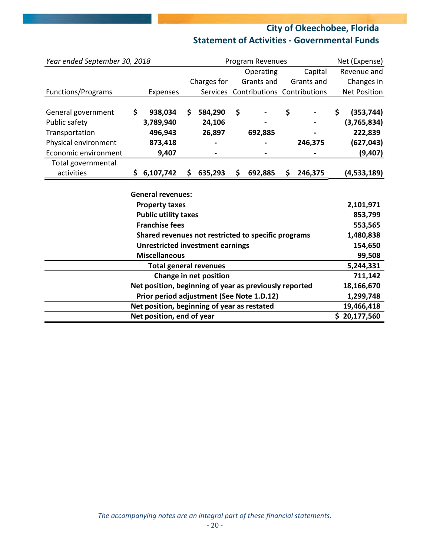# **City of Okeechobee, Florida Statement of Activities ‐ Governmental Funds**

| Year ended September 30, 2018 |    |                                                        | Program Revenues |                        |    |                                      |    |            | Net (Expense)       |
|-------------------------------|----|--------------------------------------------------------|------------------|------------------------|----|--------------------------------------|----|------------|---------------------|
|                               |    |                                                        |                  |                        |    | Operating<br>Capital                 |    |            | Revenue and         |
|                               |    |                                                        |                  | Charges for            |    | Grants and                           |    | Grants and | Changes in          |
| Functions/Programs            |    | <b>Expenses</b>                                        |                  |                        |    | Services Contributions Contributions |    |            | <b>Net Position</b> |
|                               |    |                                                        |                  |                        |    |                                      |    |            |                     |
| General government            | \$ | 938,034                                                | \$               | 584,290                | \$ |                                      | \$ |            | \$<br>(353, 744)    |
| Public safety                 |    | 3,789,940                                              |                  | 24,106                 |    |                                      |    |            | (3,765,834)         |
| Transportation                |    | 496,943                                                |                  | 26,897                 |    | 692,885                              |    |            | 222,839             |
| Physical environment          |    | 873,418                                                |                  |                        |    |                                      |    | 246,375    | (627, 043)          |
| Economic environment          |    | 9,407                                                  |                  |                        |    |                                      |    |            | (9,407)             |
| Total governmental            |    |                                                        |                  |                        |    |                                      |    |            |                     |
| activities                    |    | \$6,107,742                                            | \$               | 635,293                | \$ | 692,885                              | \$ | 246,375    | (4,533,189)         |
|                               |    |                                                        |                  |                        |    |                                      |    |            |                     |
|                               |    | <b>General revenues:</b>                               |                  |                        |    |                                      |    |            |                     |
|                               |    | <b>Property taxes</b>                                  |                  |                        |    |                                      |    |            | 2,101,971           |
|                               |    | <b>Public utility taxes</b>                            |                  |                        |    |                                      |    |            | 853,799             |
|                               |    | <b>Franchise fees</b>                                  |                  |                        |    |                                      |    |            | 553,565             |
|                               |    | Shared revenues not restricted to specific programs    |                  |                        |    |                                      |    |            | 1,480,838           |
|                               |    | <b>Unrestricted investment earnings</b>                |                  |                        |    |                                      |    |            | 154,650             |
| <b>Miscellaneous</b>          |    |                                                        |                  |                        |    | 99,508                               |    |            |                     |
|                               |    | <b>Total general revenues</b>                          |                  |                        |    |                                      |    |            | 5,244,331           |
|                               |    |                                                        |                  | Change in net position |    |                                      |    |            | 711,142             |
|                               |    | Net position, beginning of year as previously reported |                  |                        |    |                                      |    |            | 18,166,670          |
|                               |    | Prior period adjustment (See Note 1.D.12)              |                  |                        |    |                                      |    |            | 1,299,748           |
|                               |    | Net position, beginning of year as restated            |                  |                        |    |                                      |    |            | 19,466,418          |
|                               |    | Net position, end of year                              |                  |                        |    |                                      |    |            | \$20,177,560        |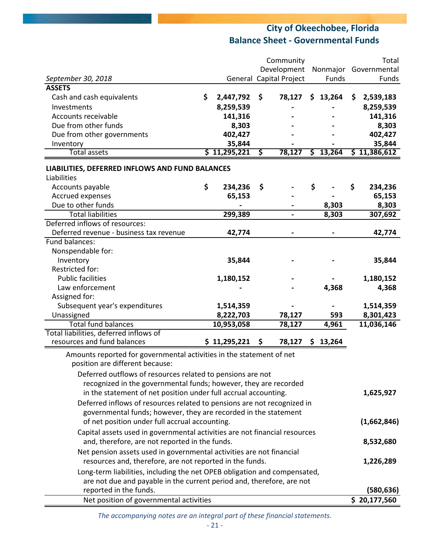# **City of Okeechobee, Florida Balance Sheet ‐ Governmental Funds**

|                                                                                                         |                 |      | Community               |                         |                | Total                 |
|---------------------------------------------------------------------------------------------------------|-----------------|------|-------------------------|-------------------------|----------------|-----------------------|
|                                                                                                         |                 |      | Development             |                         |                | Nonmajor Governmental |
| September 30, 2018                                                                                      |                 |      | General Capital Project |                         | Funds          | Funds                 |
| <b>ASSETS</b>                                                                                           |                 |      |                         |                         |                |                       |
| Cash and cash equivalents                                                                               | \$<br>2,447,792 | \$   | 78,127                  |                         | \$13,264       | \$<br>2,539,183       |
| Investments                                                                                             | 8,259,539       |      |                         |                         |                | 8,259,539             |
| Accounts receivable                                                                                     | 141,316         |      |                         |                         |                | 141,316               |
| Due from other funds                                                                                    | 8,303           |      |                         |                         |                | 8,303                 |
| Due from other governments                                                                              | 402,427         |      |                         |                         |                | 402,427               |
| Inventory                                                                                               | 35,844          |      |                         |                         |                | 35,844                |
| Total assets                                                                                            | \$11,295,221    | \$   | 78,127                  | $\overline{\mathsf{S}}$ | 13,264         | \$11,386,612          |
|                                                                                                         |                 |      |                         |                         |                |                       |
| LIABILITIES, DEFERRED INFLOWS AND FUND BALANCES<br>Liabilities                                          |                 |      |                         |                         |                |                       |
|                                                                                                         | \$              | \$   |                         | \$                      |                | \$                    |
| Accounts payable                                                                                        | 234,236         |      |                         |                         |                | 234,236               |
| <b>Accrued expenses</b><br>Due to other funds                                                           | 65,153          |      |                         |                         |                | 65,153                |
| <b>Total liabilities</b>                                                                                |                 |      |                         |                         | 8,303<br>8,303 | 8,303                 |
| Deferred inflows of resources:                                                                          | 299,389         |      |                         |                         |                | 307,692               |
| Deferred revenue - business tax revenue                                                                 |                 |      |                         |                         |                |                       |
| Fund balances:                                                                                          | 42,774          |      |                         |                         |                | 42,774                |
|                                                                                                         |                 |      |                         |                         |                |                       |
| Nonspendable for:                                                                                       |                 |      |                         |                         |                |                       |
| Inventory<br><b>Restricted for:</b>                                                                     | 35,844          |      |                         |                         |                | 35,844                |
| <b>Public facilities</b>                                                                                |                 |      |                         |                         |                |                       |
| Law enforcement                                                                                         | 1,180,152       |      |                         |                         |                | 1,180,152             |
|                                                                                                         |                 |      |                         |                         | 4,368          | 4,368                 |
| Assigned for:                                                                                           |                 |      |                         |                         |                |                       |
| Subsequent year's expenditures                                                                          | 1,514,359       |      |                         |                         |                | 1,514,359             |
| Unassigned                                                                                              | 8,222,703       |      | 78,127                  |                         | 593            | 8,301,423             |
| <b>Total fund balances</b>                                                                              | 10,953,058      |      | 78,127                  |                         | 4,961          | 11,036,146            |
| Total liabilities, deferred inflows of                                                                  |                 |      |                         |                         |                |                       |
| resources and fund balances                                                                             | \$11,295,221    | - \$ | 78,127                  |                         | \$13,264       |                       |
| Amounts reported for governmental activities in the statement of net<br>position are different because: |                 |      |                         |                         |                |                       |

| Deferred outflows of resources related to pensions are not<br>recognized in the governmental funds; however, they are recorded<br>in the statement of net position under full accrual accounting. | 1,625,927                |
|---------------------------------------------------------------------------------------------------------------------------------------------------------------------------------------------------|--------------------------|
| Deferred inflows of resources related to pensions are not recognized in<br>governmental funds; however, they are recorded in the statement                                                        |                          |
| of net position under full accrual accounting.<br>Capital assets used in governmental activities are not financial resources<br>and, therefore, are not reported in the funds.                    | (1,662,846)<br>8,532,680 |
| Net pension assets used in governmental activities are not financial<br>resources and, therefore, are not reported in the funds.                                                                  | 1,226,289                |
| Long-term liabilities, including the net OPEB obligation and compensated,<br>are not due and payable in the current period and, therefore, are not<br>reported in the funds.                      | (580,636)                |
| Net position of governmental activities                                                                                                                                                           | \$20,177,560             |

*The accompanying notes are an integral part of these financial statements.*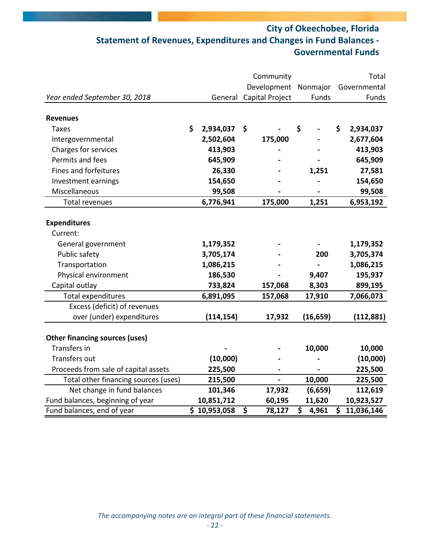# **City of Okeechobee, Florida Statement of Revenues, Expenditures and Changes in Fund Balances ‐ Governmental Funds**

|                                       |                           | Community            |             | Total            |
|---------------------------------------|---------------------------|----------------------|-------------|------------------|
|                                       |                           | Development Nonmajor |             | Governmental     |
| Year ended September 30, 2018         | General                   | Capital Project      | Funds       | Funds            |
| <b>Revenues</b>                       |                           |                      |             |                  |
| Taxes                                 | \$<br>2,934,037           | \$                   | \$          | \$<br>2,934,037  |
| Intergovernmental                     | 2,502,604                 | 175,000              |             | 2,677,604        |
| Charges for services                  | 413,903                   |                      |             | 413,903          |
| Permits and fees                      | 645,909                   |                      |             | 645,909          |
| Fines and forfeitures                 | 26,330                    |                      | 1,251       | 27,581           |
| Investment earnings                   | 154,650                   |                      |             | 154,650          |
| Miscellaneous                         | 99,508                    |                      |             | 99,508           |
| <b>Total revenues</b>                 | 6,776,941                 | 175,000              | 1,251       | 6,953,192        |
| <b>Expenditures</b><br>Current:       |                           |                      |             |                  |
| General government                    | 1,179,352                 |                      |             | 1,179,352        |
| Public safety                         | 3,705,174                 |                      | 200         | 3,705,374        |
| Transportation                        | 1,086,215                 |                      |             | 1,086,215        |
| Physical environment                  | 186,530                   |                      | 9,407       | 195,937          |
| Capital outlay                        | 733,824                   | 157,068              | 8,303       | 899,195          |
| <b>Total expenditures</b>             | 6,891,095                 | 157,068              | 17,910      | 7,066,073        |
| Excess (deficit) of revenues          |                           |                      |             |                  |
| over (under) expenditures             | (114, 154)                | 17,932               | (16, 659)   | (112,881)        |
| <b>Other financing sources (uses)</b> |                           |                      |             |                  |
| <b>Transfers in</b>                   |                           |                      | 10,000      | 10,000           |
| Transfers out                         | (10,000)                  |                      |             | (10,000)         |
| Proceeds from sale of capital assets  | 225,500                   |                      |             | 225,500          |
| Total other financing sources (uses)  | 215,500                   |                      | 10,000      | 225,500          |
| Net change in fund balances           | 101,346                   | 17,932               | (6, 659)    | 112,619          |
| Fund balances, beginning of year      | 10,851,712                | 60,195               | 11,620      | 10,923,527       |
| Fund balances, end of year            | $\overline{5}$ 10,953,058 | \$<br>78,127         | \$<br>4,961 | \$<br>11,036,146 |

 $\mathcal{L} = \{ \mathcal{L}^{\mathcal{L}} \mid \mathcal{L}^{\mathcal{L}} \mathcal{L}^{\mathcal{L}} \mathcal{L}^{\mathcal{L}} \mathcal{L}^{\mathcal{L}} \mathcal{L}^{\mathcal{L}} \mathcal{L}^{\mathcal{L}} \mathcal{L}^{\mathcal{L}} \mathcal{L}^{\mathcal{L}} \mathcal{L}^{\mathcal{L}} \mathcal{L}^{\mathcal{L}} \mathcal{L}^{\mathcal{L}} \mathcal{L}^{\mathcal{L}} \mathcal{L}^{\mathcal{L}} \mathcal{L}^{\mathcal{L}} \mathcal{L}^{\mathcal{L}} \$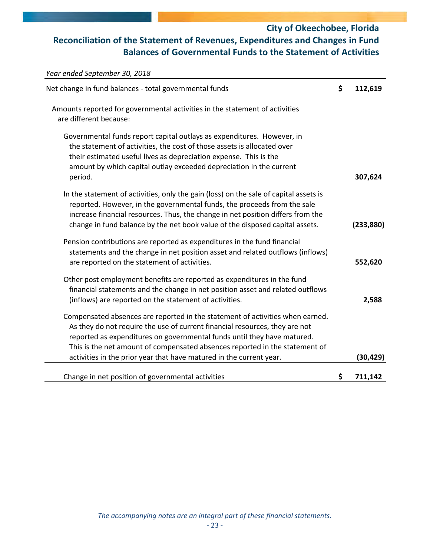# **City of Okeechobee, Florida Reconciliation of the Statement of Revenues, Expenditures and Changes in Fund Balances of Governmental Funds to the Statement of Activities**

| Year ended September 30, 2018                                                                                                                                                                                                                                                                                                                                                                 |               |
|-----------------------------------------------------------------------------------------------------------------------------------------------------------------------------------------------------------------------------------------------------------------------------------------------------------------------------------------------------------------------------------------------|---------------|
| Net change in fund balances - total governmental funds                                                                                                                                                                                                                                                                                                                                        | \$<br>112,619 |
| Amounts reported for governmental activities in the statement of activities<br>are different because:                                                                                                                                                                                                                                                                                         |               |
| Governmental funds report capital outlays as expenditures. However, in<br>the statement of activities, the cost of those assets is allocated over<br>their estimated useful lives as depreciation expense. This is the<br>amount by which capital outlay exceeded depreciation in the current<br>period.                                                                                      | 307,624       |
| In the statement of activities, only the gain (loss) on the sale of capital assets is<br>reported. However, in the governmental funds, the proceeds from the sale<br>increase financial resources. Thus, the change in net position differs from the<br>change in fund balance by the net book value of the disposed capital assets.                                                          | (233,880)     |
| Pension contributions are reported as expenditures in the fund financial<br>statements and the change in net position asset and related outflows (inflows)<br>are reported on the statement of activities.                                                                                                                                                                                    | 552,620       |
| Other post employment benefits are reported as expenditures in the fund<br>financial statements and the change in net position asset and related outflows<br>(inflows) are reported on the statement of activities.                                                                                                                                                                           | 2,588         |
| Compensated absences are reported in the statement of activities when earned.<br>As they do not require the use of current financial resources, they are not<br>reported as expenditures on governmental funds until they have matured.<br>This is the net amount of compensated absences reported in the statement of<br>activities in the prior year that have matured in the current year. | (30, 429)     |
| Change in net position of governmental activities                                                                                                                                                                                                                                                                                                                                             | \$<br>711,142 |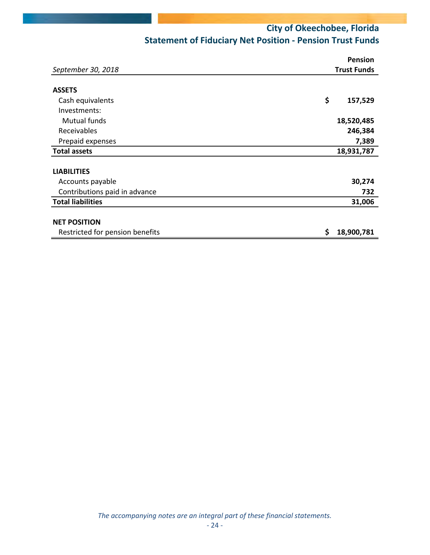# **City of Okeechobee, Florida Statement of Fiduciary Net Position ‐ Pension Trust Funds**

|                                 | <b>Pension</b>     |
|---------------------------------|--------------------|
| September 30, 2018              | <b>Trust Funds</b> |
|                                 |                    |
| <b>ASSETS</b>                   |                    |
| Cash equivalents                | \$<br>157,529      |
| Investments:                    |                    |
| Mutual funds                    | 18,520,485         |
| Receivables                     | 246,384            |
| Prepaid expenses                | 7,389              |
| <b>Total assets</b>             | 18,931,787         |
|                                 |                    |
| <b>LIABILITIES</b>              |                    |
| Accounts payable                | 30,274             |
| Contributions paid in advance   | 732                |
| <b>Total liabilities</b>        | 31,006             |
|                                 |                    |
| <b>NET POSITION</b>             |                    |
| Restricted for pension benefits | \$<br>18,900,781   |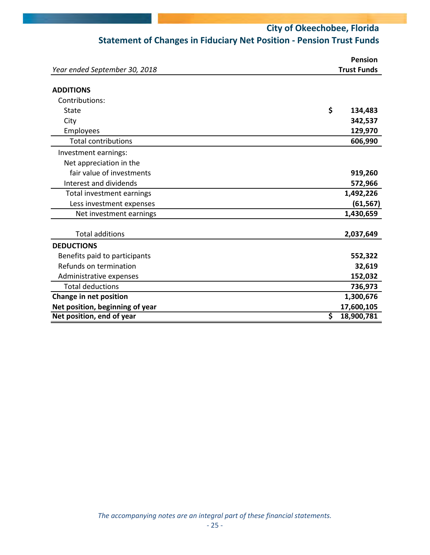# **City of Okeechobee, Florida Statement of Changes in Fiduciary Net Position ‐ Pension Trust Funds**

|                                 | <b>Pension</b>     |
|---------------------------------|--------------------|
| Year ended September 30, 2018   | <b>Trust Funds</b> |
|                                 |                    |
| <b>ADDITIONS</b>                |                    |
| Contributions:                  |                    |
| <b>State</b>                    | \$<br>134,483      |
| City                            | 342,537            |
| Employees                       | 129,970            |
| <b>Total contributions</b>      | 606,990            |
| Investment earnings:            |                    |
| Net appreciation in the         |                    |
| fair value of investments       | 919,260            |
| Interest and dividends          | 572,966            |
| Total investment earnings       | 1,492,226          |
| Less investment expenses        | (61, 567)          |
| Net investment earnings         | 1,430,659          |
|                                 |                    |
| <b>Total additions</b>          | 2,037,649          |
| <b>DEDUCTIONS</b>               |                    |
| Benefits paid to participants   | 552,322            |
| Refunds on termination          | 32,619             |
| Administrative expenses         | 152,032            |
| <b>Total deductions</b>         | 736,973            |
| Change in net position          | 1,300,676          |
| Net position, beginning of year | 17,600,105         |
| Net position, end of year       | \$<br>18,900,781   |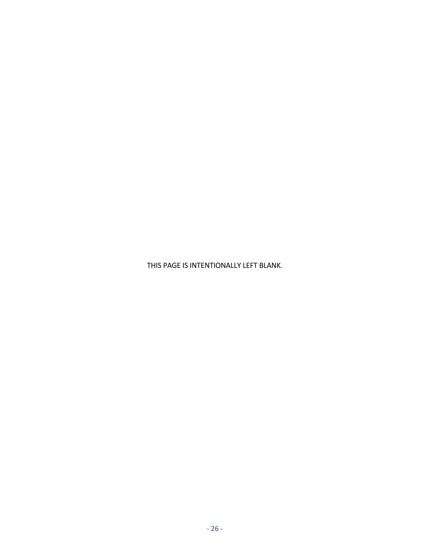THIS PAGE IS INTENTIONALLY LEFT BLANK.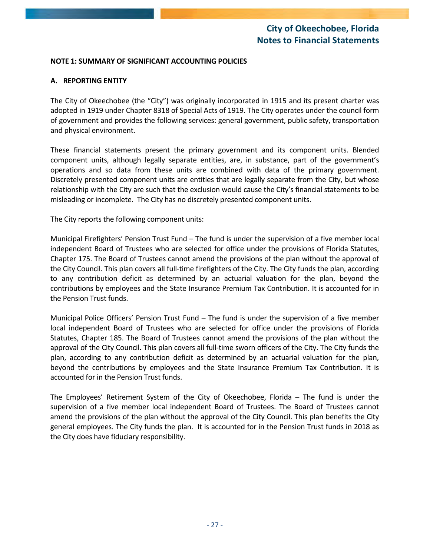### **NOTE 1: SUMMARY OF SIGNIFICANT ACCOUNTING POLICIES**

# **A. REPORTING ENTITY**

The City of Okeechobee (the "City") was originally incorporated in 1915 and its present charter was adopted in 1919 under Chapter 8318 of Special Acts of 1919. The City operates under the council form of government and provides the following services: general government, public safety, transportation and physical environment.

These financial statements present the primary government and its component units. Blended component units, although legally separate entities, are, in substance, part of the government's operations and so data from these units are combined with data of the primary government. Discretely presented component units are entities that are legally separate from the City, but whose relationship with the City are such that the exclusion would cause the City's financial statements to be misleading or incomplete. The City has no discretely presented component units.

The City reports the following component units:

Municipal Firefighters' Pension Trust Fund – The fund is under the supervision of a five member local independent Board of Trustees who are selected for office under the provisions of Florida Statutes, Chapter 175. The Board of Trustees cannot amend the provisions of the plan without the approval of the City Council. This plan covers all full‐time firefighters of the City. The City funds the plan, according to any contribution deficit as determined by an actuarial valuation for the plan, beyond the contributions by employees and the State Insurance Premium Tax Contribution. It is accounted for in the Pension Trust funds.

Municipal Police Officers' Pension Trust Fund – The fund is under the supervision of a five member local independent Board of Trustees who are selected for office under the provisions of Florida Statutes, Chapter 185. The Board of Trustees cannot amend the provisions of the plan without the approval of the City Council. This plan covers all full‐time sworn officers of the City. The City funds the plan, according to any contribution deficit as determined by an actuarial valuation for the plan, beyond the contributions by employees and the State Insurance Premium Tax Contribution. It is accounted for in the Pension Trust funds.

The Employees' Retirement System of the City of Okeechobee, Florida – The fund is under the supervision of a five member local independent Board of Trustees. The Board of Trustees cannot amend the provisions of the plan without the approval of the City Council. This plan benefits the City general employees. The City funds the plan. It is accounted for in the Pension Trust funds in 2018 as the City does have fiduciary responsibility.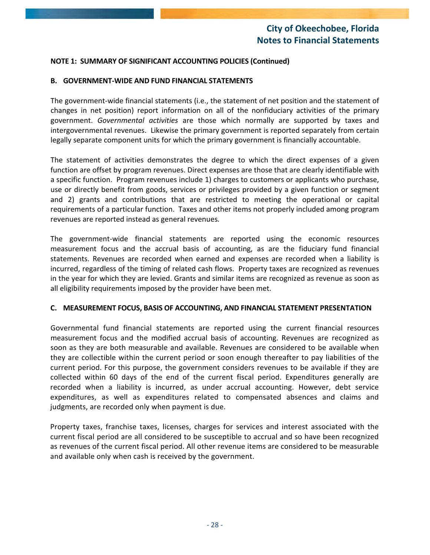# **NOTE 1: SUMMARY OF SIGNIFICANT ACCOUNTING POLICIES (Continued)**

# **B. GOVERNMENT‐WIDE AND FUND FINANCIAL STATEMENTS**

The government-wide financial statements (i.e., the statement of net position and the statement of changes in net position) report information on all of the nonfiduciary activities of the primary government. *Governmental activities* are those which normally are supported by taxes and intergovernmental revenues. Likewise the primary government is reported separately from certain legally separate component units for which the primary government is financially accountable.

The statement of activities demonstrates the degree to which the direct expenses of a given function are offset by program revenues. Direct expenses are those that are clearly identifiable with a specific function. Program revenues include 1) charges to customers or applicants who purchase, use or directly benefit from goods, services or privileges provided by a given function or segment and 2) grants and contributions that are restricted to meeting the operational or capital requirements of a particular function. Taxes and other items not properly included among program revenues are reported instead as general revenues*.*

The government-wide financial statements are reported using the economic resources measurement focus and the accrual basis of accounting, as are the fiduciary fund financial statements. Revenues are recorded when earned and expenses are recorded when a liability is incurred, regardless of the timing of related cash flows. Property taxes are recognized as revenues in the year for which they are levied. Grants and similar items are recognized as revenue as soon as all eligibility requirements imposed by the provider have been met.

### **C. MEASUREMENT FOCUS, BASIS OF ACCOUNTING, AND FINANCIAL STATEMENT PRESENTATION**

Governmental fund financial statements are reported using the current financial resources measurement focus and the modified accrual basis of accounting. Revenues are recognized as soon as they are both measurable and available. Revenues are considered to be available when they are collectible within the current period or soon enough thereafter to pay liabilities of the current period. For this purpose, the government considers revenues to be available if they are collected within 60 days of the end of the current fiscal period. Expenditures generally are recorded when a liability is incurred, as under accrual accounting. However, debt service expenditures, as well as expenditures related to compensated absences and claims and judgments, are recorded only when payment is due.

Property taxes, franchise taxes, licenses, charges for services and interest associated with the current fiscal period are all considered to be susceptible to accrual and so have been recognized as revenues of the current fiscal period. All other revenue items are considered to be measurable and available only when cash is received by the government.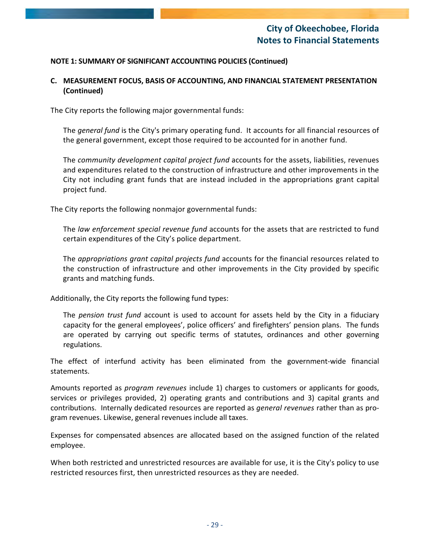# **NOTE 1: SUMMARY OF SIGNIFICANT ACCOUNTING POLICIES (Continued)**

# **C. MEASUREMENT FOCUS, BASIS OF ACCOUNTING, AND FINANCIAL STATEMENT PRESENTATION (Continued)**

The City reports the following major governmental funds:

The *general fund* is the City's primary operating fund. It accounts for all financial resources of the general government, except those required to be accounted for in another fund.

The *community development capital project fund* accounts for the assets, liabilities, revenues and expenditures related to the construction of infrastructure and other improvements in the City not including grant funds that are instead included in the appropriations grant capital project fund.

The City reports the following nonmajor governmental funds:

The *law enforcement special revenue fund* accounts for the assets that are restricted to fund certain expenditures of the City's police department.

The *appropriations grant capital projects fund* accounts for the financial resources related to the construction of infrastructure and other improvements in the City provided by specific grants and matching funds.

Additionally, the City reports the following fund types:

The *pension trust fund* account is used to account for assets held by the City in a fiduciary capacity for the general employees', police officers' and firefighters' pension plans. The funds are operated by carrying out specific terms of statutes, ordinances and other governing regulations.

The effect of interfund activity has been eliminated from the government‐wide financial statements.

Amounts reported as *program revenues* include 1) charges to customers or applicants for goods, services or privileges provided, 2) operating grants and contributions and 3) capital grants and contributions. Internally dedicated resources are reported as *general revenues* rather than as pro‐ gram revenues. Likewise, general revenues include all taxes.

Expenses for compensated absences are allocated based on the assigned function of the related employee.

When both restricted and unrestricted resources are available for use, it is the City's policy to use restricted resources first, then unrestricted resources as they are needed.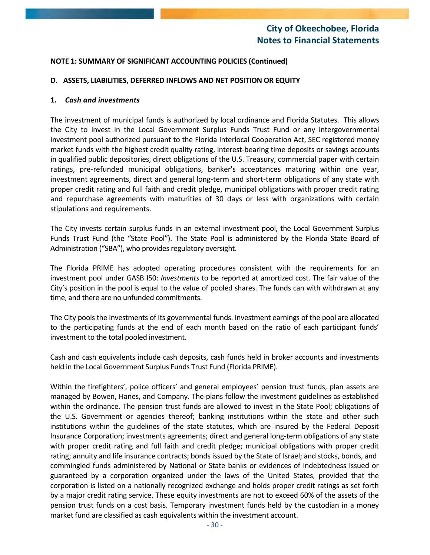### **NOTE 1: SUMMARY OF SIGNIFICANT ACCOUNTING POLICIES (Continued)**

#### **D. ASSETS, LIABILITIES, DEFERRED INFLOWS AND NET POSITION OR EQUITY**

#### **1.** *Cash and investments*

The investment of municipal funds is authorized by local ordinance and Florida Statutes. This allows the City to invest in the Local Government Surplus Funds Trust Fund or any intergovernmental investment pool authorized pursuant to the Florida Interlocal Cooperation Act, SEC registered money market funds with the highest credit quality rating, interest-bearing time deposits or savings accounts in qualified public depositories, direct obligations of the U.S. Treasury, commercial paper with certain ratings, pre-refunded municipal obligations, banker's acceptances maturing within one year, investment agreements, direct and general long‐term and short‐term obligations of any state with proper credit rating and full faith and credit pledge, municipal obligations with proper credit rating and repurchase agreements with maturities of 30 days or less with organizations with certain stipulations and requirements.

The City invests certain surplus funds in an external investment pool, the Local Government Surplus Funds Trust Fund (the "State Pool"). The State Pool is administered by the Florida State Board of Administration ("SBA"), who provides regulatory oversight.

The Florida PRIME has adopted operating procedures consistent with the requirements for an investment pool under GASB I50: *Investments* to be reported at amortized cost. The fair value of the City's position in the pool is equal to the value of pooled shares. The funds can with withdrawn at any time, and there are no unfunded commitments.

The City pools the investments of its governmental funds. Investment earnings of the pool are allocated to the participating funds at the end of each month based on the ratio of each participant funds' investment to the total pooled investment.

Cash and cash equivalents include cash deposits, cash funds held in broker accounts and investments held in the Local Government Surplus Funds Trust Fund (Florida PRIME).

Within the firefighters', police officers' and general employees' pension trust funds, plan assets are managed by Bowen, Hanes, and Company. The plans follow the investment guidelines as established within the ordinance. The pension trust funds are allowed to invest in the State Pool; obligations of the U.S. Government or agencies thereof; banking institutions within the state and other such institutions within the guidelines of the state statutes, which are insured by the Federal Deposit Insurance Corporation; investments agreements; direct and general long‐term obligations of any state with proper credit rating and full faith and credit pledge; municipal obligations with proper credit rating; annuity and life insurance contracts; bonds issued by the State of Israel; and stocks, bonds, and commingled funds administered by National or State banks or evidences of indebtedness issued or guaranteed by a corporation organized under the laws of the United States, provided that the corporation is listed on a nationally recognized exchange and holds proper credit ratings as set forth by a major credit rating service. These equity investments are not to exceed 60% of the assets of the pension trust funds on a cost basis. Temporary investment funds held by the custodian in a money market fund are classified as cash equivalents within the investment account.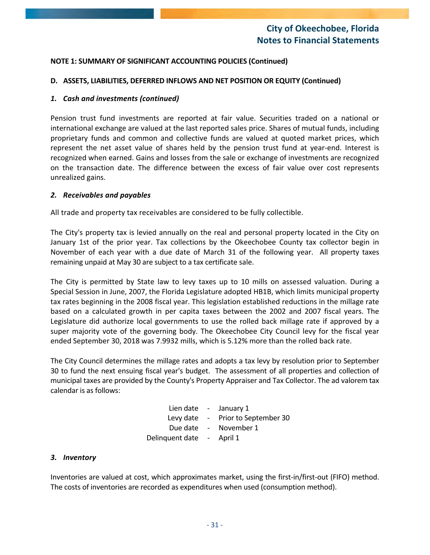# **NOTE 1: SUMMARY OF SIGNIFICANT ACCOUNTING POLICIES (Continued)**

# **D. ASSETS, LIABILITIES, DEFERRED INFLOWS AND NET POSITION OR EQUITY (Continued)**

# *1. Cash and investments (continued)*

Pension trust fund investments are reported at fair value. Securities traded on a national or international exchange are valued at the last reported sales price. Shares of mutual funds, including proprietary funds and common and collective funds are valued at quoted market prices, which represent the net asset value of shares held by the pension trust fund at year-end. Interest is recognized when earned. Gains and losses from the sale or exchange of investments are recognized on the transaction date. The difference between the excess of fair value over cost represents unrealized gains.

### *2. Receivables and payables*

All trade and property tax receivables are considered to be fully collectible.

The City's property tax is levied annually on the real and personal property located in the City on January 1st of the prior year. Tax collections by the Okeechobee County tax collector begin in November of each year with a due date of March 31 of the following year. All property taxes remaining unpaid at May 30 are subject to a tax certificate sale.

The City is permitted by State law to levy taxes up to 10 mills on assessed valuation. During a Special Session in June, 2007, the Florida Legislature adopted HB1B, which limits municipal property tax rates beginning in the 2008 fiscal year. This legislation established reductions in the millage rate based on a calculated growth in per capita taxes between the 2002 and 2007 fiscal years. The Legislature did authorize local governments to use the rolled back millage rate if approved by a super majority vote of the governing body. The Okeechobee City Council levy for the fiscal year ended September 30, 2018 was 7.9932 mills, which is 5.12% more than the rolled back rate.

The City Council determines the millage rates and adopts a tax levy by resolution prior to September 30 to fund the next ensuing fiscal year's budget. The assessment of all properties and collection of municipal taxes are provided by the County's Property Appraiser and Tax Collector. The ad valorem tax calendar is as follows:

| Lien date -              | January 1             |
|--------------------------|-----------------------|
| $\alpha_{\rm{eff}}=0.02$ | Prior to September 30 |
| Due date                 | November 1            |
| Delinguent date -        | April 1               |
|                          | $\sim$ $ \sim$        |

### *3. Inventory*

Inventories are valued at cost, which approximates market, using the first-in/first-out (FIFO) method. The costs of inventories are recorded as expenditures when used (consumption method).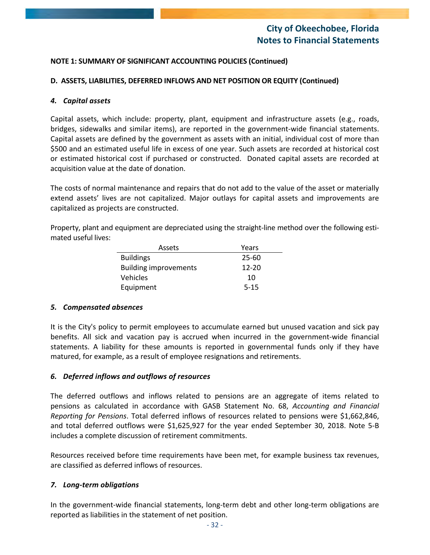# **NOTE 1: SUMMARY OF SIGNIFICANT ACCOUNTING POLICIES (Continued)**

# **D. ASSETS, LIABILITIES, DEFERRED INFLOWS AND NET POSITION OR EQUITY (Continued)**

### *4. Capital assets*

Capital assets, which include: property, plant, equipment and infrastructure assets (e.g., roads, bridges, sidewalks and similar items), are reported in the government‐wide financial statements. Capital assets are defined by the government as assets with an initial, individual cost of more than \$500 and an estimated useful life in excess of one year. Such assets are recorded at historical cost or estimated historical cost if purchased or constructed. Donated capital assets are recorded at acquisition value at the date of donation.

The costs of normal maintenance and repairs that do not add to the value of the asset or materially extend assets' lives are not capitalized. Major outlays for capital assets and improvements are capitalized as projects are constructed.

Property, plant and equipment are depreciated using the straight‐line method over the following esti‐ mated useful lives:

| Assets                       | Years     |
|------------------------------|-----------|
| <b>Buildings</b>             | 25-60     |
| <b>Building improvements</b> | $12 - 20$ |
| Vehicles                     | 10        |
| Equipment                    | $5 - 15$  |

### *5. Compensated absences*

It is the City's policy to permit employees to accumulate earned but unused vacation and sick pay benefits. All sick and vacation pay is accrued when incurred in the government-wide financial statements. A liability for these amounts is reported in governmental funds only if they have matured, for example, as a result of employee resignations and retirements.

# *6. Deferred inflows and outflows of resources*

The deferred outflows and inflows related to pensions are an aggregate of items related to pensions as calculated in accordance with GASB Statement No. 68, *Accounting and Financial Reporting for Pensions*. Total deferred inflows of resources related to pensions were \$1,662,846, and total deferred outflows were \$1,625,927 for the year ended September 30, 2018. Note 5‐B includes a complete discussion of retirement commitments.

Resources received before time requirements have been met, for example business tax revenues, are classified as deferred inflows of resources.

# *7. Long‐term obligations*

In the government‐wide financial statements, long‐term debt and other long‐term obligations are reported as liabilities in the statement of net position.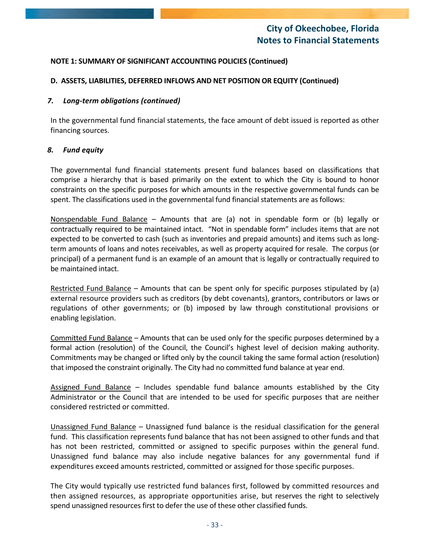# **NOTE 1: SUMMARY OF SIGNIFICANT ACCOUNTING POLICIES (Continued)**

# **D. ASSETS, LIABILITIES, DEFERRED INFLOWS AND NET POSITION OR EQUITY (Continued)**

# *7. Long‐term obligations (continued)*

In the governmental fund financial statements, the face amount of debt issued is reported as other financing sources.

### *8. Fund equity*

The governmental fund financial statements present fund balances based on classifications that comprise a hierarchy that is based primarily on the extent to which the City is bound to honor constraints on the specific purposes for which amounts in the respective governmental funds can be spent. The classifications used in the governmental fund financial statements are as follows:

Nonspendable Fund Balance – Amounts that are (a) not in spendable form or (b) legally or contractually required to be maintained intact. "Not in spendable form" includes items that are not expected to be converted to cash (such as inventories and prepaid amounts) and items such as long‐ term amounts of loans and notes receivables, as well as property acquired for resale. The corpus (or principal) of a permanent fund is an example of an amount that is legally or contractually required to be maintained intact.

Restricted Fund Balance – Amounts that can be spent only for specific purposes stipulated by (a) external resource providers such as creditors (by debt covenants), grantors, contributors or laws or regulations of other governments; or (b) imposed by law through constitutional provisions or enabling legislation.

Committed Fund Balance – Amounts that can be used only for the specific purposes determined by a formal action (resolution) of the Council, the Council's highest level of decision making authority. Commitments may be changed or lifted only by the council taking the same formal action (resolution) that imposed the constraint originally. The City had no committed fund balance at year end.

Assigned Fund Balance – Includes spendable fund balance amounts established by the City Administrator or the Council that are intended to be used for specific purposes that are neither considered restricted or committed.

Unassigned Fund Balance – Unassigned fund balance is the residual classification for the general fund. This classification represents fund balance that has not been assigned to other funds and that has not been restricted, committed or assigned to specific purposes within the general fund. Unassigned fund balance may also include negative balances for any governmental fund if expenditures exceed amounts restricted, committed or assigned for those specific purposes.

The City would typically use restricted fund balances first, followed by committed resources and then assigned resources, as appropriate opportunities arise, but reserves the right to selectively spend unassigned resources first to defer the use of these other classified funds.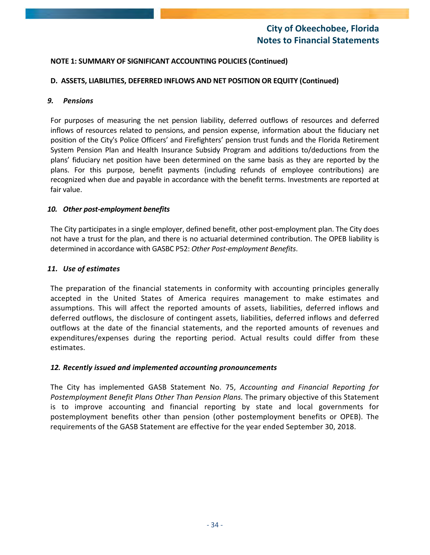# **NOTE 1: SUMMARY OF SIGNIFICANT ACCOUNTING POLICIES (Continued)**

### **D. ASSETS, LIABILITIES, DEFERRED INFLOWS AND NET POSITION OR EQUITY (Continued)**

#### *9. Pensions*

For purposes of measuring the net pension liability, deferred outflows of resources and deferred inflows of resources related to pensions, and pension expense, information about the fiduciary net position of the City's Police Officers' and Firefighters' pension trust funds and the Florida Retirement System Pension Plan and Health Insurance Subsidy Program and additions to/deductions from the plans' fiduciary net position have been determined on the same basis as they are reported by the plans. For this purpose, benefit payments (including refunds of employee contributions) are recognized when due and payable in accordance with the benefit terms. Investments are reported at fair value.

### *10. Other post‐employment benefits*

The City participates in a single employer, defined benefit, other post‐employment plan. The City does not have a trust for the plan, and there is no actuarial determined contribution. The OPEB liability is determined in accordance with GASBC P52: *Other Post‐employment Benefits*.

### *11. Use of estimates*

The preparation of the financial statements in conformity with accounting principles generally accepted in the United States of America requires management to make estimates and assumptions. This will affect the reported amounts of assets, liabilities, deferred inflows and deferred outflows, the disclosure of contingent assets, liabilities, deferred inflows and deferred outflows at the date of the financial statements, and the reported amounts of revenues and expenditures/expenses during the reporting period. Actual results could differ from these estimates.

### *12. Recently issued and implemented accounting pronouncements*

The City has implemented GASB Statement No. 75, *Accounting and Financial Reporting for Postemployment Benefit Plans Other Than Pension Plans.* The primary objective of this Statement is to improve accounting and financial reporting by state and local governments for postemployment benefits other than pension (other postemployment benefits or OPEB). The requirements of the GASB Statement are effective for the year ended September 30, 2018.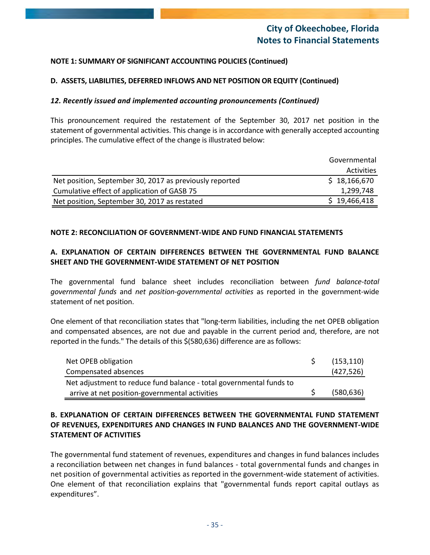# **NOTE 1: SUMMARY OF SIGNIFICANT ACCOUNTING POLICIES (Continued)**

# **D. ASSETS, LIABILITIES, DEFERRED INFLOWS AND NET POSITION OR EQUITY (Continued)**

# *12. Recently issued and implemented accounting pronouncements (Continued)*

This pronouncement required the restatement of the September 30, 2017 net position in the statement of governmental activities. This change is in accordance with generally accepted accounting principles. The cumulative effect of the change is illustrated below:

|                                                         | Governmental      |
|---------------------------------------------------------|-------------------|
|                                                         | <b>Activities</b> |
| Net position, September 30, 2017 as previously reported | \$18,166,670      |
| Cumulative effect of application of GASB 75             | 1,299,748         |
| Net position, September 30, 2017 as restated            | \$19,466,418      |

### **NOTE 2: RECONCILIATION OF GOVERNMENT‐WIDE AND FUND FINANCIAL STATEMENTS**

# **A. EXPLANATION OF CERTAIN DIFFERENCES BETWEEN THE GOVERNMENTAL FUND BALANCE SHEET AND THE GOVERNMENT‐WIDE STATEMENT OF NET POSITION**

The governmental fund balance sheet includes reconciliation between *fund balance‐total governmental funds* and *net position‐governmental activities* as reported in the government‐wide statement of net position.

One element of that reconciliation states that "long‐term liabilities, including the net OPEB obligation and compensated absences, are not due and payable in the current period and, therefore, are not reported in the funds." The details of this \$(580,636) difference are as follows:

| Net OPEB obligation                                                 | (153, 110) |
|---------------------------------------------------------------------|------------|
| Compensated absences                                                | (427, 526) |
| Net adjustment to reduce fund balance - total governmental funds to |            |
| arrive at net position-governmental activities                      | (580, 636) |

# **B. EXPLANATION OF CERTAIN DIFFERENCES BETWEEN THE GOVERNMENTAL FUND STATEMENT OF REVENUES, EXPENDITURES AND CHANGES IN FUND BALANCES AND THE GOVERNMENT‐WIDE STATEMENT OF ACTIVITIES**

The governmental fund statement of revenues, expenditures and changes in fund balances includes a reconciliation between net changes in fund balances ‐ total governmental funds and changes in net position of governmental activities as reported in the government‐wide statement of activities. One element of that reconciliation explains that "governmental funds report capital outlays as expenditures".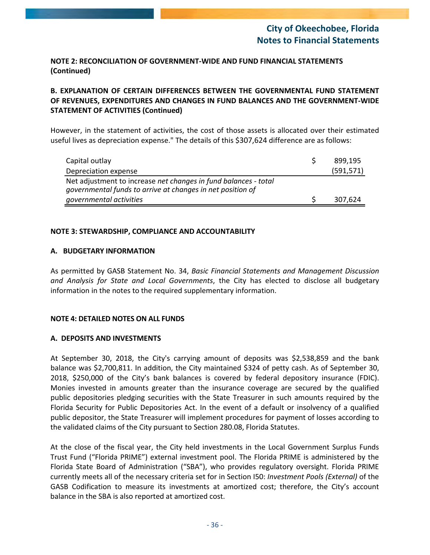# **NOTE 2: RECONCILIATION OF GOVERNMENT‐WIDE AND FUND FINANCIAL STATEMENTS (Continued)**

# **B. EXPLANATION OF CERTAIN DIFFERENCES BETWEEN THE GOVERNMENTAL FUND STATEMENT OF REVENUES, EXPENDITURES AND CHANGES IN FUND BALANCES AND THE GOVERNMENT‐WIDE STATEMENT OF ACTIVITIES (Continued)**

However, in the statement of activities, the cost of those assets is allocated over their estimated useful lives as depreciation expense." The details of this \$307,624 difference are as follows:

| Capital outlay                                                                                                                | 899,195    |
|-------------------------------------------------------------------------------------------------------------------------------|------------|
| Depreciation expense                                                                                                          | (591, 571) |
| Net adjustment to increase net changes in fund balances - total<br>governmental funds to arrive at changes in net position of |            |
| governmental activities                                                                                                       | 307,624    |

# **NOTE 3: STEWARDSHIP, COMPLIANCE AND ACCOUNTABILITY**

# **A. BUDGETARY INFORMATION**

As permitted by GASB Statement No. 34, *Basic Financial Statements and Management Discussion and Analysis for State and Local Governments*, the City has elected to disclose all budgetary information in the notes to the required supplementary information.

# **NOTE 4: DETAILED NOTES ON ALL FUNDS**

### **A. DEPOSITS AND INVESTMENTS**

At September 30, 2018, the City's carrying amount of deposits was \$2,538,859 and the bank balance was \$2,700,811. In addition, the City maintained \$324 of petty cash. As of September 30, 2018, \$250,000 of the City's bank balances is covered by federal depository insurance (FDIC). Monies invested in amounts greater than the insurance coverage are secured by the qualified public depositories pledging securities with the State Treasurer in such amounts required by the Florida Security for Public Depositories Act. In the event of a default or insolvency of a qualified public depositor, the State Treasurer will implement procedures for payment of losses according to the validated claims of the City pursuant to Section 280.08, Florida Statutes.

At the close of the fiscal year, the City held investments in the Local Government Surplus Funds Trust Fund ("Florida PRIME") external investment pool. The Florida PRIME is administered by the Florida State Board of Administration ("SBA"), who provides regulatory oversight. Florida PRIME currently meets all of the necessary criteria set for in Section I50: *Investment Pools (External)* of the GASB Codification to measure its investments at amortized cost; therefore, the City's account balance in the SBA is also reported at amortized cost.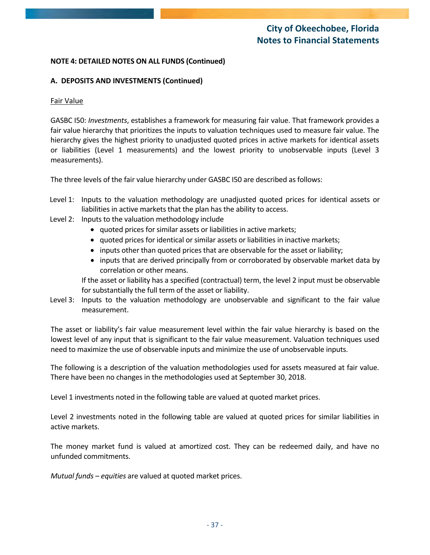#### **NOTE 4: DETAILED NOTES ON ALL FUNDS (Continued)**

#### **A. DEPOSITS AND INVESTMENTS (Continued)**

#### Fair Value

GASBC I50: *Investments*, establishes a framework for measuring fair value. That framework provides a fair value hierarchy that prioritizes the inputs to valuation techniques used to measure fair value. The hierarchy gives the highest priority to unadjusted quoted prices in active markets for identical assets or liabilities (Level 1 measurements) and the lowest priority to unobservable inputs (Level 3 measurements).

The three levels of the fair value hierarchy under GASBC I50 are described as follows:

- Level 1: Inputs to the valuation methodology are unadjusted quoted prices for identical assets or liabilities in active markets that the plan has the ability to access.
- Level 2: Inputs to the valuation methodology include
	- quoted prices for similar assets or liabilities in active markets;
	- quoted prices for identical or similar assets or liabilities in inactive markets;
	- inputs other than quoted prices that are observable for the asset or liability;
	- inputs that are derived principally from or corroborated by observable market data by correlation or other means.

If the asset or liability has a specified (contractual) term, the level 2 input must be observable for substantially the full term of the asset or liability.

Level 3: Inputs to the valuation methodology are unobservable and significant to the fair value measurement.

The asset or liability's fair value measurement level within the fair value hierarchy is based on the lowest level of any input that is significant to the fair value measurement. Valuation techniques used need to maximize the use of observable inputs and minimize the use of unobservable inputs.

The following is a description of the valuation methodologies used for assets measured at fair value. There have been no changes in the methodologies used at September 30, 2018.

Level 1 investments noted in the following table are valued at quoted market prices.

Level 2 investments noted in the following table are valued at quoted prices for similar liabilities in active markets.

The money market fund is valued at amortized cost. They can be redeemed daily, and have no unfunded commitments.

*Mutual funds* – *equities* are valued at quoted market prices.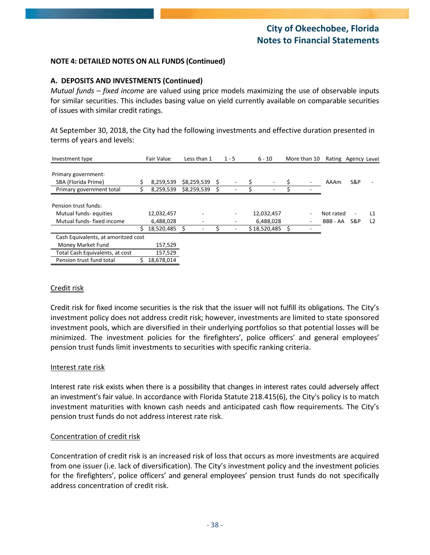#### **NOTE 4: DETAILED NOTES ON ALL FUNDS (Continued)**

#### **A. DEPOSITS AND INVESTMENTS (Continued)**

*Mutual funds – fixed income* are valued using price models maximizing the use of observable inputs for similar securities. This includes basing value on yield currently available on comparable securities of issues with similar credit ratings.

#### At September 30, 2018, the City had the following investments and effective duration presented in terms of years and levels:

| Investment type                     | Fair Value | Less than 1     | $1 - 5$ | $6 - 10$     |   | More than 10 |           | Rating Agency Level |                |
|-------------------------------------|------------|-----------------|---------|--------------|---|--------------|-----------|---------------------|----------------|
|                                     |            |                 |         |              |   |              |           |                     |                |
| Primary government:                 |            |                 |         |              |   |              |           |                     |                |
| SBA (Florida Prime)                 | 8,259,539  | $$8,259,539$ \$ |         |              |   |              | AAAm      | <b>S&amp;P</b>      |                |
| Primary government total            | 8,259,539  | \$8,259,539     |         |              |   |              |           |                     |                |
| Pension trust funds:                |            |                 |         |              |   |              |           |                     |                |
| Mutual funds-equities               | 12,032,457 |                 |         | 12,032,457   |   |              | Not rated |                     | L1             |
| Mutual funds-fixed income           | 6,488,028  |                 | -       | 6,488,028    |   |              | BBB - AA  | S&P                 | L <sub>2</sub> |
|                                     | 18,520,485 |                 |         | \$18,520,485 | S |              |           |                     |                |
| Cash Equivalents, at amoritzed cost |            |                 |         |              |   |              |           |                     |                |
| Money Market Fund                   | 157,529    |                 |         |              |   |              |           |                     |                |
| Total Cash Equivalents, at cost     | 157,529    |                 |         |              |   |              |           |                     |                |
| Pension trust fund total            | 18,678,014 |                 |         |              |   |              |           |                     |                |
|                                     |            |                 |         |              |   |              |           |                     |                |

#### Credit risk

Credit risk for fixed income securities is the risk that the issuer will not fulfill its obligations. The City's investment policy does not address credit risk; however, investments are limited to state sponsored investment pools, which are diversified in their underlying portfolios so that potential losses will be minimized. The investment policies for the firefighters', police officers' and general employees' pension trust funds limit investments to securities with specific ranking criteria.

#### Interest rate risk

Interest rate risk exists when there is a possibility that changes in interest rates could adversely affect an investment's fair value. In accordance with Florida Statute 218.415(6), the City's policy is to match investment maturities with known cash needs and anticipated cash flow requirements. The City's pension trust funds do not address interest rate risk.

#### Concentration of credit risk

Concentration of credit risk is an increased risk of loss that occurs as more investments are acquired from one issuer (i.e. lack of diversification). The City's investment policy and the investment policies for the firefighters', police officers' and general employees' pension trust funds do not specifically address concentration of credit risk.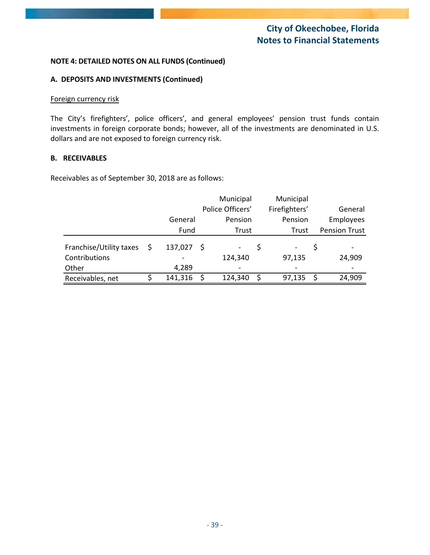#### **NOTE 4: DETAILED NOTES ON ALL FUNDS (Continued)**

#### **A. DEPOSITS AND INVESTMENTS (Continued)**

#### Foreign currency risk

The City's firefighters', police officers', and general employees' pension trust funds contain investments in foreign corporate bonds; however, all of the investments are denominated in U.S. dollars and are not exposed to foreign currency risk.

#### **B. RECEIVABLES**

Receivables as of September 30, 2018 are as follows:

|                                          |         |     | Municipal                           |     | Municipal                              |                                    |
|------------------------------------------|---------|-----|-------------------------------------|-----|----------------------------------------|------------------------------------|
|                                          |         |     | Police Officers'                    |     | Firefighters'                          | General                            |
|                                          | General |     | Pension                             |     | Pension                                | <b>Employees</b>                   |
|                                          | Fund    |     | Trust                               |     | Trust                                  | <b>Pension Trust</b>               |
| Franchise/Utility taxes<br>Contributions | 137,027 | - S | $\overline{\phantom{a}}$<br>124,340 |     | $\qquad \qquad \blacksquare$<br>97,135 | $\overline{\phantom{a}}$<br>24,909 |
| Other                                    | 4,289   |     | $\overline{\phantom{0}}$            |     | $\overline{\phantom{0}}$               | $\overline{\phantom{a}}$           |
| Receivables, net                         | 141,316 |     | 124,340                             | \$. | 97,135                                 | 24,909                             |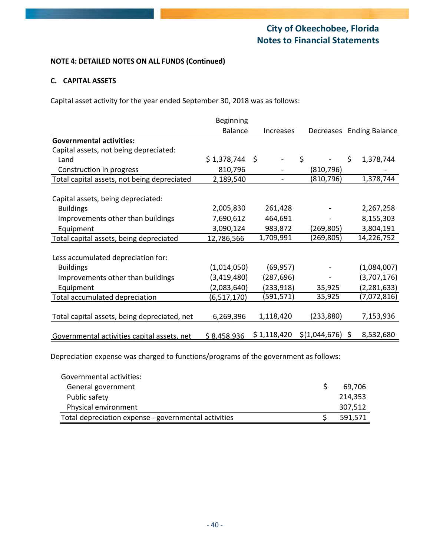## **NOTE 4: DETAILED NOTES ON ALL FUNDS (Continued)**

### **C. CAPITAL ASSETS**

Capital asset activity for the year ended September 30, 2018 was as follows:

|                                              | <b>Beginning</b> |                  |                   |                          |
|----------------------------------------------|------------------|------------------|-------------------|--------------------------|
|                                              | <b>Balance</b>   | <b>Increases</b> |                   | Decreases Ending Balance |
| <b>Governmental activities:</b>              |                  |                  |                   |                          |
| Capital assets, not being depreciated:       |                  |                  |                   |                          |
| Land                                         | \$1,378,744      | \$               | \$                | \$<br>1,378,744          |
| Construction in progress                     | 810,796          |                  | (810, 796)        |                          |
| Total capital assets, not being depreciated  | 2,189,540        |                  | (810,796)         | 1,378,744                |
|                                              |                  |                  |                   |                          |
| Capital assets, being depreciated:           |                  |                  |                   |                          |
| <b>Buildings</b>                             | 2,005,830        | 261,428          |                   | 2,267,258                |
| Improvements other than buildings            | 7,690,612        | 464,691          |                   | 8,155,303                |
| Equipment                                    | 3,090,124        | 983,872          | (269, 805)        | 3,804,191                |
| Total capital assets, being depreciated      | 12,786,566       | 1,709,991        | (269,805)         | 14,226,752               |
|                                              |                  |                  |                   |                          |
| Less accumulated depreciation for:           |                  |                  |                   |                          |
| <b>Buildings</b>                             | (1,014,050)      | (69, 957)        |                   | (1,084,007)              |
| Improvements other than buildings            | (3,419,480)      | (287,696)        |                   | (3,707,176)              |
| Equipment                                    | (2,083,640)      | (233,918)        | 35,925            | (2, 281, 633)            |
| Total accumulated depreciation               | (6, 517, 170)    | (591,571)        | 35,925            | (7,072,816)              |
|                                              |                  |                  |                   |                          |
| Total capital assets, being depreciated, net | 6,269,396        | 1,118,420        | (233,880)         | 7,153,936                |
|                                              |                  |                  |                   |                          |
| Governmental activities capital assets, net  | \$8,458,936      | \$1,118,420      | $$(1,044,676)$ \$ | 8,532,680                |

Depreciation expense was charged to functions/programs of the government as follows:

| Governmental activities:                             |         |
|------------------------------------------------------|---------|
| General government                                   | 69,706  |
| Public safety                                        | 214,353 |
| Physical environment                                 | 307,512 |
| Total depreciation expense - governmental activities | 591,571 |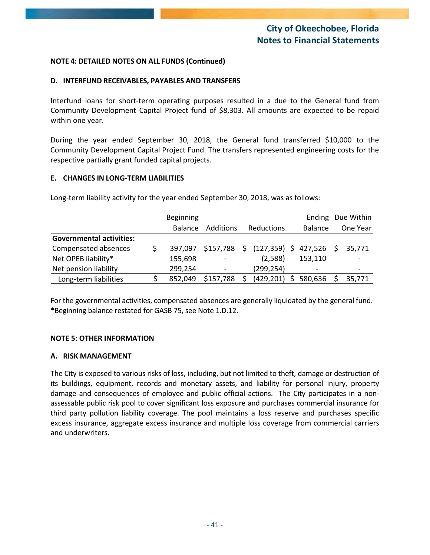#### **NOTE 4: DETAILED NOTES ON ALL FUNDS (Continued)**

#### **D. INTERFUND RECEIVABLES, PAYABLES AND TRANSFERS**

Interfund loans for short‐term operating purposes resulted in a due to the General fund from Community Development Capital Project fund of \$8,303. All amounts are expected to be repaid within one year.

During the year ended September 30, 2018, the General fund transferred \$10,000 to the Community Development Capital Project Fund. The transfers represented engineering costs for the respective partially grant funded capital projects.

#### **E. CHANGES IN LONG‐TERM LIABILITIES**

|                                 | <b>Beginning</b> |                                              |     |                   |                 | Ending Due Within        |
|---------------------------------|------------------|----------------------------------------------|-----|-------------------|-----------------|--------------------------|
|                                 | <b>Balance</b>   | Additions                                    |     | <b>Reductions</b> | <b>Balance</b>  | One Year                 |
| <b>Governmental activities:</b> |                  |                                              |     |                   |                 |                          |
| Compensated absences            | 397.097          | $$157,788$ \$ (127,359) \$ 427,526 \$ 35,771 |     |                   |                 |                          |
| Net OPEB liability*             | 155,698          |                                              |     | (2,588)           | 153,110         |                          |
| Net pension liability           | 299,254          | $\overline{\phantom{a}}$                     |     | (299, 254)        | $\qquad \qquad$ | $\overline{\phantom{0}}$ |
| Long-term liabilities           | 852,049          | \$157,788                                    | - 5 | (429, 201)        | 580,636         | 35,771                   |

Long-term liability activity for the year ended September 30, 2018, was as follows:

For the governmental activities, compensated absences are generally liquidated by the general fund. \*Beginning balance restated for GASB 75, see Note 1.D.12.

#### **NOTE 5: OTHER INFORMATION**

#### **A. RISK MANAGEMENT**

The City is exposed to various risks of loss, including, but not limited to theft, damage or destruction of its buildings, equipment, records and monetary assets, and liability for personal injury, property damage and consequences of employee and public official actions. The City participates in a nonassessable public risk pool to cover significant loss exposure and purchases commercial insurance for third party pollution liability coverage. The pool maintains a loss reserve and purchases specific excess insurance, aggregate excess insurance and multiple loss coverage from commercial carriers and underwriters.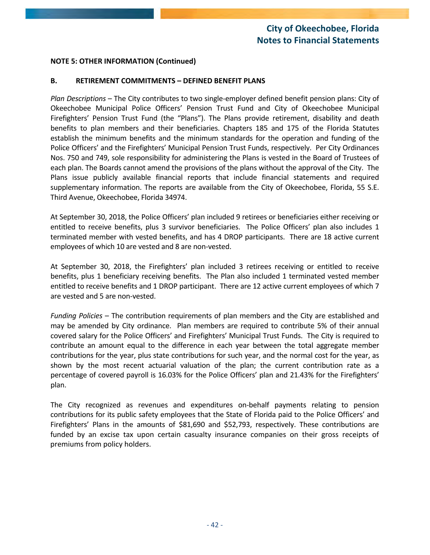#### **NOTE 5: OTHER INFORMATION (Continued)**

#### **B. RETIREMENT COMMITMENTS – DEFINED BENEFIT PLANS**

*Plan Descriptions* – The City contributes to two single‐employer defined benefit pension plans: City of Okeechobee Municipal Police Officers' Pension Trust Fund and City of Okeechobee Municipal Firefighters' Pension Trust Fund (the "Plans"). The Plans provide retirement, disability and death benefits to plan members and their beneficiaries. Chapters 185 and 175 of the Florida Statutes establish the minimum benefits and the minimum standards for the operation and funding of the Police Officers' and the Firefighters' Municipal Pension Trust Funds, respectively. Per City Ordinances Nos. 750 and 749, sole responsibility for administering the Plans is vested in the Board of Trustees of each plan. The Boards cannot amend the provisions of the plans without the approval of the City. The Plans issue publicly available financial reports that include financial statements and required supplementary information. The reports are available from the City of Okeechobee, Florida, 55 S.E. Third Avenue, Okeechobee, Florida 34974.

At September 30, 2018, the Police Officers' plan included 9 retirees or beneficiaries either receiving or entitled to receive benefits, plus 3 survivor beneficiaries. The Police Officers' plan also includes 1 terminated member with vested benefits, and has 4 DROP participants. There are 18 active current employees of which 10 are vested and 8 are non‐vested.

At September 30, 2018, the Firefighters' plan included 3 retirees receiving or entitled to receive benefits, plus 1 beneficiary receiving benefits. The Plan also included 1 terminated vested member entitled to receive benefits and 1 DROP participant. There are 12 active current employees of which 7 are vested and 5 are non‐vested.

*Funding Policies* – The contribution requirements of plan members and the City are established and may be amended by City ordinance. Plan members are required to contribute 5% of their annual covered salary for the Police Officers' and Firefighters' Municipal Trust Funds. The City is required to contribute an amount equal to the difference in each year between the total aggregate member contributions for the year, plus state contributions for such year, and the normal cost for the year, as shown by the most recent actuarial valuation of the plan; the current contribution rate as a percentage of covered payroll is 16.03% for the Police Officers' plan and 21.43% for the Firefighters' plan.

The City recognized as revenues and expenditures on‐behalf payments relating to pension contributions for its public safety employees that the State of Florida paid to the Police Officers' and Firefighters' Plans in the amounts of \$81,690 and \$52,793, respectively. These contributions are funded by an excise tax upon certain casualty insurance companies on their gross receipts of premiums from policy holders.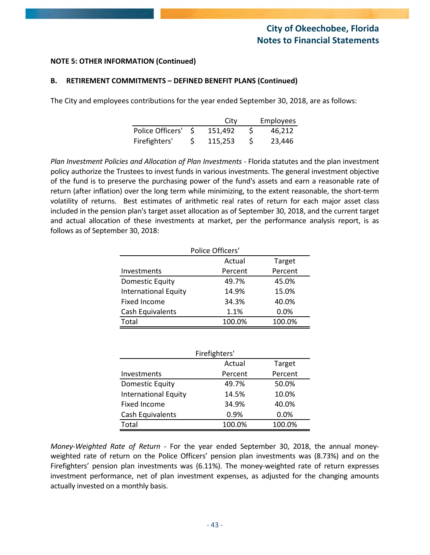#### **NOTE 5: OTHER INFORMATION (Continued)**

#### **B. RETIREMENT COMMITMENTS – DEFINED BENEFIT PLANS (Continued)**

The City and employees contributions for the year ended September 30, 2018, are as follows:

|                  |             | City    | <b>Employees</b> |
|------------------|-------------|---------|------------------|
| Police Officers' | $\varsigma$ | 151,492 | 46.212           |
| Firefighters'    |             | 115.253 | 23.446           |

*Plan Investment Policies and Allocation of Plan Investments* ‐ Florida statutes and the plan investment policy authorize the Trustees to invest funds in various investments. The general investment objective of the fund is to preserve the purchasing power of the fund's assets and earn a reasonable rate of return (after inflation) over the long term while minimizing, to the extent reasonable, the short-term volatility of returns. Best estimates of arithmetic real rates of return for each major asset class included in the pension plan's target asset allocation as of September 30, 2018, and the current target and actual allocation of these investments at market, per the performance analysis report, is as follows as of September 30, 2018:

| Police Officers'            |         |         |  |  |  |  |  |
|-----------------------------|---------|---------|--|--|--|--|--|
| Actual<br>Target            |         |         |  |  |  |  |  |
| Investments                 | Percent | Percent |  |  |  |  |  |
| <b>Domestic Equity</b>      | 49.7%   | 45.0%   |  |  |  |  |  |
| <b>International Equity</b> | 14.9%   | 15.0%   |  |  |  |  |  |
| <b>Fixed Income</b>         | 34.3%   | 40.0%   |  |  |  |  |  |
| Cash Equivalents            | 1.1%    | 0.0%    |  |  |  |  |  |
| Total                       | 100.0%  | 100.0%  |  |  |  |  |  |

| Firefighters'               |         |         |  |  |  |  |
|-----------------------------|---------|---------|--|--|--|--|
|                             | Actual  | Target  |  |  |  |  |
| Investments                 | Percent | Percent |  |  |  |  |
| <b>Domestic Equity</b>      | 49.7%   | 50.0%   |  |  |  |  |
| <b>International Equity</b> | 14.5%   | 10.0%   |  |  |  |  |
| <b>Fixed Income</b>         | 34.9%   | 40.0%   |  |  |  |  |
| Cash Equivalents            | 0.9%    | 0.0%    |  |  |  |  |
| Total                       | 100.0%  | 100.0%  |  |  |  |  |

*Money‐Weighted Rate of Return ‐*  For the year ended September 30, 2018, the annual money‐ weighted rate of return on the Police Officers' pension plan investments was (8.73%) and on the Firefighters' pension plan investments was (6.11%). The money-weighted rate of return expresses investment performance, net of plan investment expenses, as adjusted for the changing amounts actually invested on a monthly basis.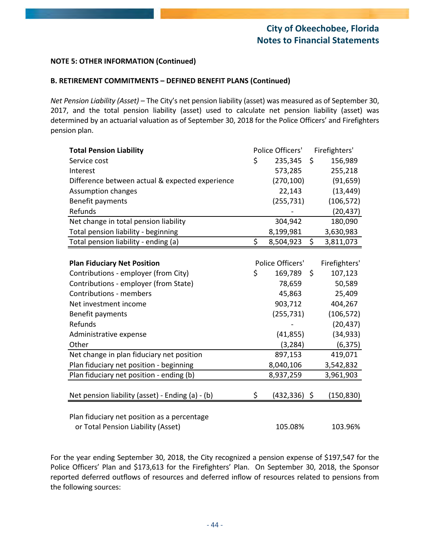#### **NOTE 5: OTHER INFORMATION (Continued)**

#### **B. RETIREMENT COMMITMENTS – DEFINED BENEFIT PLANS (Continued)**

*Net Pension Liability (Asset) –* The City's net pension liability (asset) was measured as of September 30, 2017, and the total pension liability (asset) used to calculate net pension liability (asset) was determined by an actuarial valuation as of September 30, 2018 for the Police Officers' and Firefighters pension plan.

| <b>Total Pension Liability</b>                   | Police Officers'   | Firefighters'   |
|--------------------------------------------------|--------------------|-----------------|
| Service cost                                     | \$<br>235,345      | \$<br>156,989   |
| Interest                                         | 573,285            | 255,218         |
| Difference between actual & expected experience  | (270, 100)         | (91, 659)       |
| <b>Assumption changes</b>                        | 22,143             | (13, 449)       |
| Benefit payments                                 | (255, 731)         | (106, 572)      |
| Refunds                                          |                    | (20, 437)       |
| Net change in total pension liability            | 304,942            | 180,090         |
| Total pension liability - beginning              | 8,199,981          | 3,630,983       |
| Total pension liability - ending (a)             | \$<br>8,504,923    | \$<br>3,811,073 |
|                                                  |                    |                 |
| <b>Plan Fiduciary Net Position</b>               | Police Officers'   | Firefighters'   |
| Contributions - employer (from City)             | \$<br>169,789      | \$<br>107,123   |
| Contributions - employer (from State)            | 78,659             | 50,589          |
| <b>Contributions - members</b>                   | 45,863             | 25,409          |
| Net investment income                            | 903,712            | 404,267         |
| Benefit payments                                 | (255, 731)         | (106, 572)      |
| Refunds                                          |                    | (20, 437)       |
| Administrative expense                           | (41, 855)          | (34, 933)       |
| Other                                            | (3, 284)           | (6, 375)        |
| Net change in plan fiduciary net position        | 897,153            | 419,071         |
| Plan fiduciary net position - beginning          | 8,040,106          | 3,542,832       |
| Plan fiduciary net position - ending (b)         | 8,937,259          | 3,961,903       |
|                                                  |                    |                 |
| Net pension liability (asset) - Ending (a) - (b) | \$<br>(432,336) \$ | (150, 830)      |
|                                                  |                    |                 |
| Plan fiduciary net position as a percentage      |                    |                 |
| or Total Pension Liability (Asset)               | 105.08%            | 103.96%         |

For the year ending September 30, 2018, the City recognized a pension expense of \$197,547 for the Police Officers' Plan and \$173,613 for the Firefighters' Plan. On September 30, 2018, the Sponsor reported deferred outflows of resources and deferred inflow of resources related to pensions from the following sources: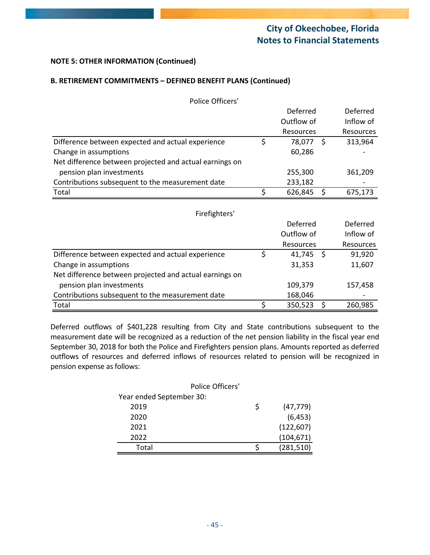#### **NOTE 5: OTHER INFORMATION (Continued)**

#### **B. RETIREMENT COMMITMENTS – DEFINED BENEFIT PLANS (Continued)**

| Police Officers'                                        |                   |                  |
|---------------------------------------------------------|-------------------|------------------|
|                                                         | <b>Deferred</b>   | <b>Deferred</b>  |
|                                                         | Outflow of        | Inflow of        |
|                                                         | <b>Resources</b>  | <b>Resources</b> |
| Difference between expected and actual experience       | \$<br>78,077 \$   | 313,964          |
| Change in assumptions                                   | 60,286            |                  |
| Net difference between projected and actual earnings on |                   |                  |
| pension plan investments                                | 255,300           | 361,209          |
| Contributions subsequent to the measurement date        | 233,182           |                  |
| Total                                                   | \$<br>626,845     | 675,173          |
|                                                         |                   |                  |
| Firefighters'                                           |                   |                  |
|                                                         | Deferred          | Deferred         |
|                                                         | Outflow of        | Inflow of        |
|                                                         | <b>Resources</b>  | Resources        |
| Difference between expected and actual experience       | \$<br>$41,745$ \$ | 91,920           |
| Change in assumptions                                   | 31,353            | 11,607           |
| Net difference between projected and actual earnings on |                   |                  |
| pension plan investments                                | 109,379           | 157,458          |

Deferred outflows of \$401,228 resulting from City and State contributions subsequent to the measurement date will be recognized as a reduction of the net pension liability in the fiscal year end September 30, 2018 for both the Police and Firefighters pension plans. Amounts reported as deferred outflows of resources and deferred inflows of resources related to pension will be recognized in pension expense as follows:

Total \$ 350,523 \$ 260,985

Contributions subsequent to the measurement date  $168,046$ 

| Police Officers'         |   |            |
|--------------------------|---|------------|
| Year ended September 30: |   |            |
| 2019                     | Ś | (47, 779)  |
| 2020                     |   | (6, 453)   |
| 2021                     |   | (122, 607) |
| 2022                     |   | (104, 671) |
| Total                    |   | (281, 510) |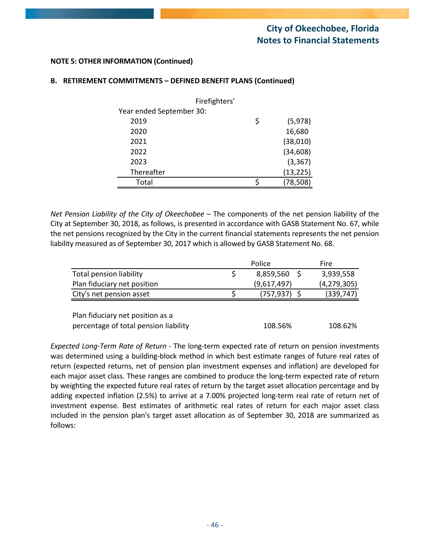#### **NOTE 5: OTHER INFORMATION (Continued)**

|                          | Firefighters' |           |
|--------------------------|---------------|-----------|
| Year ended September 30: |               |           |
| 2019                     | \$            | (5,978)   |
| 2020                     |               | 16,680    |
| 2021                     |               | (38,010)  |
| 2022                     |               | (34, 608) |
| 2023                     |               | (3, 367)  |
| Thereafter               |               | (13, 225) |
| Total                    |               | (78,508)  |

#### **B. RETIREMENT COMMITMENTS – DEFINED BENEFIT PLANS (Continued)**

*Net Pension Liability of the City of Okeechobee* – The components of the net pension liability of the City at September 30, 2018, as follows, is presented in accordance with GASB Statement No. 67, while the net pensions recognized by the City in the current financial statements represents the net pension liability measured as of September 30, 2017 which is allowed by GASB Statement No. 68.

|                                  | Police          | Fire          |  |
|----------------------------------|-----------------|---------------|--|
| <b>Total pension liability</b>   | 8,859,560 \$    | 3,939,558     |  |
| Plan fiduciary net position      | (9,617,497)     | (4, 279, 305) |  |
| City's net pension asset         | $(757, 937)$ \$ | (339, 747)    |  |
| Plan fiduciary net position as a |                 |               |  |

percentage of total pension liability 108.56% 108.62%

*Expected Long‐Term Rate of Return* ‐ The long‐term expected rate of return on pension investments was determined using a building‐block method in which best estimate ranges of future real rates of return (expected returns, net of pension plan investment expenses and inflation) are developed for each major asset class. These ranges are combined to produce the long-term expected rate of return by weighting the expected future real rates of return by the target asset allocation percentage and by adding expected inflation (2.5%) to arrive at a 7.00% projected long-term real rate of return net of investment expense. Best estimates of arithmetic real rates of return for each major asset class included in the pension plan's target asset allocation as of September 30, 2018 are summarized as follows: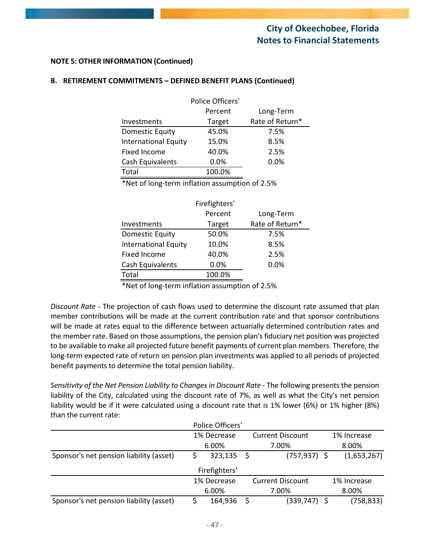#### **NOTE 5: OTHER INFORMATION (Continued)**

|                             | Police Officers' |                 |
|-----------------------------|------------------|-----------------|
|                             | Percent          | Long-Term       |
| Investments                 | Target           | Rate of Return* |
| <b>Domestic Equity</b>      | 45.0%            | 7.5%            |
| <b>International Equity</b> | 15.0%            | 8.5%            |
| <b>Fixed Income</b>         | 40.0%            | 2.5%            |
| Cash Equivalents            | 0.0%             | 0.0%            |
| Total                       | 100.0%           |                 |

#### **B. RETIREMENT COMMITMENTS – DEFINED BENEFIT PLANS (Continued)**

\*Net of long‐term inflation assumption of 2.5%

|                             | Firefighters' |                 |
|-----------------------------|---------------|-----------------|
|                             | Percent       | Long-Term       |
| Investments                 | Target        | Rate of Return* |
| Domestic Equity             | 50.0%         | 7.5%            |
| <b>International Equity</b> | 10.0%         | 8.5%            |
| <b>Fixed Income</b>         | 40.0%         | 2.5%            |
| Cash Equivalents            | 0.0%          | 0.0%            |
| Total                       | 100.0%        |                 |

\*Net of long‐term inflation assumption of 2.5%

*Discount Rate* ‐ The projection of cash flows used to determine the discount rate assumed that plan member contributions will be made at the current contribution rate and that sponsor contributions will be made at rates equal to the difference between actuarially determined contribution rates and the member rate. Based on those assumptions, the pension plan's fiduciary net position was projected to be available to make all projected future benefit payments of current plan members. Therefore, the long-term expected rate of return on pension plan investments was applied to all periods of projected benefit payments to determine the total pension liability.

*Sensitivity of the Net Pension Liability to Changes in Discount Rate* ‐ The following presents the pension liability of the City, calculated using the discount rate of 7%, as well as what the City's net pension liability would be if it were calculated using a discount rate that is 1% lower (6%) or 1% higher (8%) than the current rate:

|                                         | Police Officers'                       |                |     |                         |             |             |
|-----------------------------------------|----------------------------------------|----------------|-----|-------------------------|-------------|-------------|
|                                         | 1% Decrease                            |                |     | <b>Current Discount</b> |             | 1% Increase |
|                                         |                                        | 6.00%<br>7.00% |     |                         |             | 8.00%       |
| Sponsor's net pension liability (asset) |                                        | 323,135        | - S | $(757, 937)$ \$         |             | (1,653,267) |
|                                         |                                        | Firefighters'  |     |                         |             |             |
|                                         | 1% Decrease<br><b>Current Discount</b> |                |     |                         | 1% Increase |             |
|                                         |                                        | 6.00%          |     | 7.00%                   |             | 8.00%       |
| Sponsor's net pension liability (asset) |                                        | 164,936        | -S  | (339, 747)              | - S         | (758, 833)  |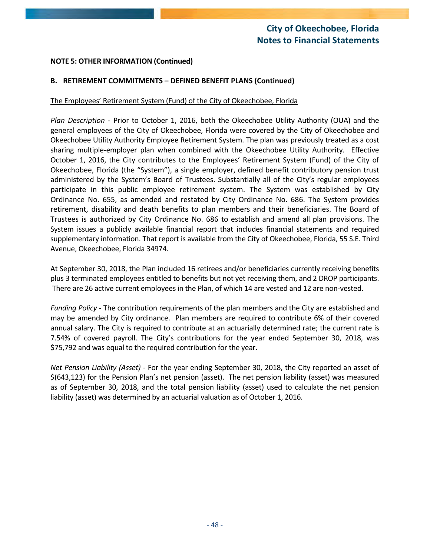#### **NOTE 5: OTHER INFORMATION (Continued)**

#### **B. RETIREMENT COMMITMENTS – DEFINED BENEFIT PLANS (Continued)**

#### The Employees' Retirement System (Fund) of the City of Okeechobee, Florida

*Plan Description* ‐ Prior to October 1, 2016, both the Okeechobee Utility Authority (OUA) and the general employees of the City of Okeechobee, Florida were covered by the City of Okeechobee and Okeechobee Utility Authority Employee Retirement System. The plan was previously treated as a cost sharing multiple-employer plan when combined with the Okeechobee Utility Authority. Effective October 1, 2016, the City contributes to the Employees' Retirement System (Fund) of the City of Okeechobee, Florida (the "System"), a single employer, defined benefit contributory pension trust administered by the System's Board of Trustees. Substantially all of the City's regular employees participate in this public employee retirement system. The System was established by City Ordinance No. 655, as amended and restated by City Ordinance No. 686. The System provides retirement, disability and death benefits to plan members and their beneficiaries. The Board of Trustees is authorized by City Ordinance No. 686 to establish and amend all plan provisions. The System issues a publicly available financial report that includes financial statements and required supplementary information. That report is available from the City of Okeechobee, Florida, 55 S.E. Third Avenue, Okeechobee, Florida 34974.

At September 30, 2018, the Plan included 16 retirees and/or beneficiaries currently receiving benefits plus 3 terminated employees entitled to benefits but not yet receiving them, and 2 DROP participants. There are 26 active current employees in the Plan, of which 14 are vested and 12 are non‐vested.

*Funding Policy* ‐ The contribution requirements of the plan members and the City are established and may be amended by City ordinance. Plan members are required to contribute 6% of their covered annual salary. The City is required to contribute at an actuarially determined rate; the current rate is 7.54% of covered payroll. The City's contributions for the year ended September 30, 2018, was \$75,792 and was equal to the required contribution for the year.

*Net Pension Liability (Asset)* ‐ For the year ending September 30, 2018, the City reported an asset of \$(643,123) for the Pension Plan's net pension (asset). The net pension liability (asset) was measured as of September 30, 2018, and the total pension liability (asset) used to calculate the net pension liability (asset) was determined by an actuarial valuation as of October 1, 2016.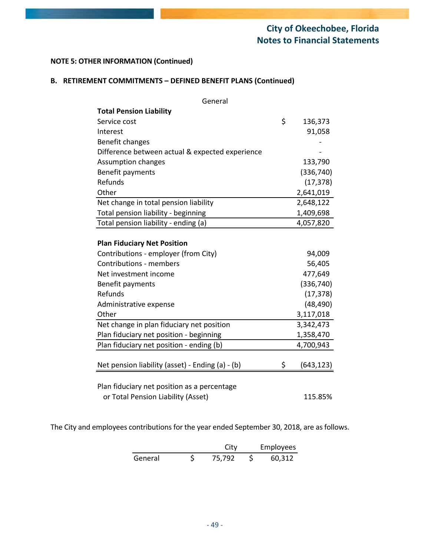## **NOTE 5: OTHER INFORMATION (Continued)**

## **B. RETIREMENT COMMITMENTS – DEFINED BENEFIT PLANS (Continued)**

| General                                          |                  |
|--------------------------------------------------|------------------|
| <b>Total Pension Liability</b>                   |                  |
| Service cost                                     | \$<br>136,373    |
| Interest                                         | 91,058           |
| Benefit changes                                  |                  |
| Difference between actual & expected experience  |                  |
| Assumption changes                               | 133,790          |
| Benefit payments                                 | (336, 740)       |
| Refunds                                          | (17, 378)        |
| Other                                            | 2,641,019        |
| Net change in total pension liability            | 2,648,122        |
| Total pension liability - beginning              | 1,409,698        |
| Total pension liability - ending (a)             | 4,057,820        |
|                                                  |                  |
| <b>Plan Fiduciary Net Position</b>               |                  |
| Contributions - employer (from City)             | 94,009           |
| Contributions - members                          | 56,405           |
| Net investment income                            | 477,649          |
| Benefit payments                                 | (336, 740)       |
| Refunds                                          | (17, 378)        |
| Administrative expense                           | (48, 490)        |
| Other                                            | 3,117,018        |
| Net change in plan fiduciary net position        | 3,342,473        |
| Plan fiduciary net position - beginning          | 1,358,470        |
| Plan fiduciary net position - ending (b)         | 4,700,943        |
|                                                  |                  |
| Net pension liability (asset) - Ending (a) - (b) | \$<br>(643, 123) |
|                                                  |                  |
| Plan fiduciary net position as a percentage      |                  |
| or Total Pension Liability (Asset)               | 115.85%          |

The City and employees contributions for the year ended September 30, 2018, are as follows.

|         | City   | Employees |        |
|---------|--------|-----------|--------|
| General | 75.792 |           | 60,312 |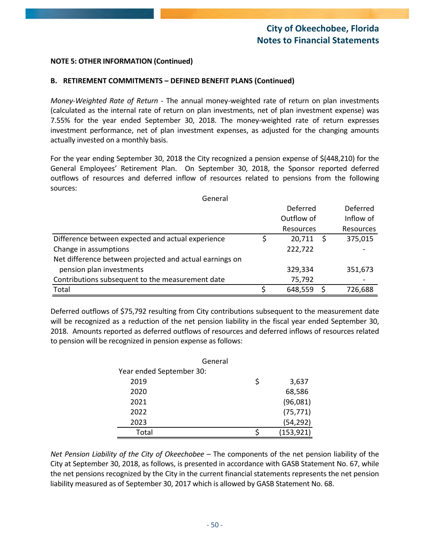#### **NOTE 5: OTHER INFORMATION (Continued)**

#### **B. RETIREMENT COMMITMENTS – DEFINED BENEFIT PLANS (Continued)**

*Money‐Weighted Rate of Return* ‐ The annual money‐weighted rate of return on plan investments (calculated as the internal rate of return on plan investments, net of plan investment expense) was 7.55% for the year ended September 30, 2018. The money‐weighted rate of return expresses investment performance, net of plan investment expenses, as adjusted for the changing amounts actually invested on a monthly basis.

For the year ending September 30, 2018 the City recognized a pension expense of \$(448,210) for the General Employees' Retirement Plan. On September 30, 2018, the Sponsor reported deferred outflows of resources and deferred inflow of resources related to pensions from the following sources:

| General                                                 |   |                  |     |                  |
|---------------------------------------------------------|---|------------------|-----|------------------|
|                                                         |   | Deferred         |     | Deferred         |
|                                                         |   | Outflow of       |     | Inflow of        |
|                                                         |   | <b>Resources</b> |     | <b>Resources</b> |
| Difference between expected and actual experience       |   | 20,711           | - S | 375,015          |
| Change in assumptions                                   |   | 222,722          |     |                  |
| Net difference between projected and actual earnings on |   |                  |     |                  |
| pension plan investments                                |   | 329,334          |     | 351,673          |
| Contributions subsequent to the measurement date        |   | 75,792           |     |                  |
| Total                                                   | ς | 648,559          |     | 726,688          |

Deferred outflows of \$75,792 resulting from City contributions subsequent to the measurement date will be recognized as a reduction of the net pension liability in the fiscal year ended September 30, 2018. Amounts reported as deferred outflows of resources and deferred inflows of resources related to pension will be recognized in pension expense as follows:

| General                  |             |
|--------------------------|-------------|
| Year ended September 30: |             |
| 2019                     | \$<br>3,637 |
| 2020                     | 68,586      |
| 2021                     | (96,081)    |
| 2022                     | (75, 771)   |
| 2023                     | (54, 292)   |
| Total                    | (153, 921)  |

*Net Pension Liability of the City of Okeechobee* – The components of the net pension liability of the City at September 30, 2018, as follows, is presented in accordance with GASB Statement No. 67, while the net pensions recognized by the City in the current financial statements represents the net pension liability measured as of September 30, 2017 which is allowed by GASB Statement No. 68.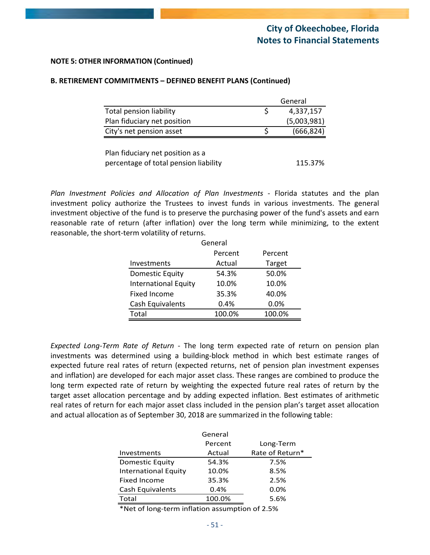#### **NOTE 5: OTHER INFORMATION (Continued)**

#### **B. RETIREMENT COMMITMENTS – DEFINED BENEFIT PLANS (Continued)**

|                             | General     |
|-----------------------------|-------------|
| Total pension liability     | 4,337,157   |
| Plan fiduciary net position | (5,003,981) |
| City's net pension asset    | (666, 824)  |
|                             |             |

Plan fiduciary net position as a percentage of total pension liability 115.37%

*Plan Investment Policies and Allocation of Plan Investments* ‐ Florida statutes and the plan investment policy authorize the Trustees to invest funds in various investments. The general investment objective of the fund is to preserve the purchasing power of the fund's assets and earn reasonable rate of return (after inflation) over the long term while minimizing, to the extent reasonable, the short-term volatility of returns.

|                             | General |         |
|-----------------------------|---------|---------|
|                             | Percent | Percent |
| Investments                 | Actual  | Target  |
| <b>Domestic Equity</b>      | 54.3%   | 50.0%   |
| <b>International Equity</b> | 10.0%   | 10.0%   |
| <b>Fixed Income</b>         | 35.3%   | 40.0%   |
| Cash Equivalents            | 0.4%    | 0.0%    |
| Total                       | 100.0%  | 100.0%  |

*Expected Long‐Term Rate of Return* ‐ The long term expected rate of return on pension plan investments was determined using a building‐block method in which best estimate ranges of expected future real rates of return (expected returns, net of pension plan investment expenses and inflation) are developed for each major asset class. These ranges are combined to produce the long term expected rate of return by weighting the expected future real rates of return by the target asset allocation percentage and by adding expected inflation. Best estimates of arithmetic real rates of return for each major asset class included in the pension plan's target asset allocation and actual allocation as of September 30, 2018 are summarized in the following table:

|                             | General |                 |
|-----------------------------|---------|-----------------|
|                             | Percent | Long-Term       |
| Investments                 | Actual  | Rate of Return* |
| Domestic Equity             | 54.3%   | 7.5%            |
| <b>International Equity</b> | 10.0%   | 8.5%            |
| <b>Fixed Income</b>         | 35.3%   | 2.5%            |
| Cash Equivalents            | 0.4%    | 0.0%            |
| Total                       | 100.0%  | 5.6%            |

\*Net of long‐term inflation assumption of 2.5%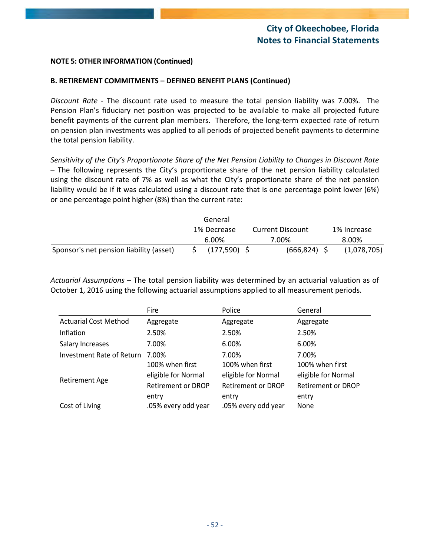#### **NOTE 5: OTHER INFORMATION (Continued)**

#### **B. RETIREMENT COMMITMENTS – DEFINED BENEFIT PLANS (Continued)**

*Discount Rate* ‐ The discount rate used to measure the total pension liability was 7.00%. The Pension Plan's fiduciary net position was projected to be available to make all projected future benefit payments of the current plan members. Therefore, the long-term expected rate of return on pension plan investments was applied to all periods of projected benefit payments to determine the total pension liability.

*Sensitivity of the City's Proportionate Share of the Net Pension Liability to Changes in Discount Rate* – The following represents the City's proportionate share of the net pension liability calculated using the discount rate of 7% as well as what the City's proportionate share of the net pension liability would be if it was calculated using a discount rate that is one percentage point lower (6%) or one percentage point higher (8%) than the current rate:

|                                         | General        |                         |             |
|-----------------------------------------|----------------|-------------------------|-------------|
|                                         | 1% Decrease    | <b>Current Discount</b> | 1% Increase |
|                                         | 6.00%          | 7.00%                   | 8.00%       |
| Sponsor's net pension liability (asset) | $(177,590)$ \$ | $(666, 824)$ \$         | (1,078,705) |

*Actuarial Assumptions* – The total pension liability was determined by an actuarial valuation as of October 1, 2016 using the following actuarial assumptions applied to all measurement periods.

|                                  | Fire                      | Police                    | General                   |  |  |
|----------------------------------|---------------------------|---------------------------|---------------------------|--|--|
| <b>Actuarial Cost Method</b>     | Aggregate                 | Aggregate                 | Aggregate                 |  |  |
| Inflation                        | 2.50%                     | 2.50%                     | 2.50%                     |  |  |
| Salary Increases                 | 7.00%                     | 6.00%                     | 6.00%                     |  |  |
| <b>Investment Rate of Return</b> | 7.00%                     | 7.00%                     | 7.00%                     |  |  |
|                                  | 100% when first           | 100% when first           | 100% when first           |  |  |
|                                  | eligible for Normal       | eligible for Normal       | eligible for Normal       |  |  |
| <b>Retirement Age</b>            | <b>Retirement or DROP</b> | <b>Retirement or DROP</b> | <b>Retirement or DROP</b> |  |  |
|                                  | entry                     | entry                     | entry                     |  |  |
| Cost of Living                   | .05% every odd year       | .05% every odd year       | None                      |  |  |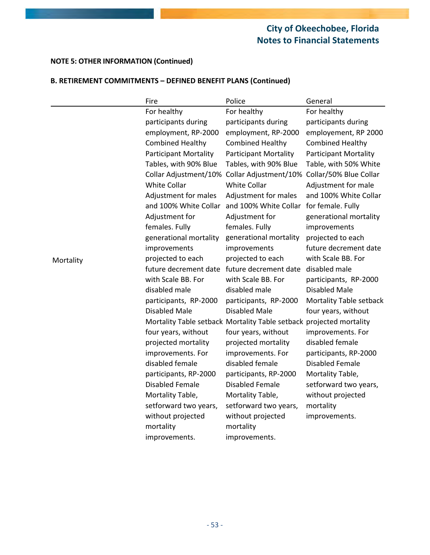## **NOTE 5: OTHER INFORMATION (Continued)**

|           | Fire                                        | Police                                                              | General                      |
|-----------|---------------------------------------------|---------------------------------------------------------------------|------------------------------|
|           | For healthy                                 | For healthy                                                         | For healthy                  |
|           | participants during                         | participants during                                                 | participants during          |
|           | employment, RP-2000                         | employment, RP-2000                                                 | employement, RP 2000         |
|           | <b>Combined Healthy</b>                     | <b>Combined Healthy</b>                                             | <b>Combined Healthy</b>      |
|           | <b>Participant Mortality</b>                | <b>Participant Mortality</b>                                        | <b>Participant Mortality</b> |
|           | Tables, with 90% Blue                       | Tables, with 90% Blue                                               | Table, with 50% White        |
|           |                                             | Collar Adjustment/10% Collar Adjustment/10% Collar/50% Blue Collar  |                              |
|           | <b>White Collar</b>                         | <b>White Collar</b>                                                 | Adjustment for male          |
|           | Adjustment for males                        | Adjustment for males                                                | and 100% White Collar        |
|           |                                             | and 100% White Collar and 100% White Collar for female. Fully       |                              |
|           | Adjustment for                              | Adjustment for                                                      | generational mortality       |
|           | females. Fully                              | females. Fully                                                      | improvements                 |
|           | generational mortality                      | generational mortality                                              | projected to each            |
|           | improvements                                | improvements                                                        | future decrement date        |
| Mortality | projected to each                           | projected to each                                                   | with Scale BB. For           |
|           | future decrement date future decrement date |                                                                     | disabled male                |
|           | with Scale BB. For                          | with Scale BB. For                                                  | participants, RP-2000        |
|           | disabled male                               | disabled male                                                       | <b>Disabled Male</b>         |
|           | participants, RP-2000                       | participants, RP-2000                                               | Mortality Table setback      |
|           | <b>Disabled Male</b>                        | <b>Disabled Male</b>                                                | four years, without          |
|           |                                             | Mortality Table setback Mortality Table setback projected mortality |                              |
|           | four years, without                         | four years, without                                                 | improvements. For            |
|           | projected mortality                         | projected mortality                                                 | disabled female              |
|           | improvements. For                           | improvements. For                                                   | participants, RP-2000        |
|           | disabled female                             | disabled female                                                     | <b>Disabled Female</b>       |
|           | participants, RP-2000                       | participants, RP-2000                                               | Mortality Table,             |
|           | <b>Disabled Female</b>                      | <b>Disabled Female</b>                                              | setforward two years,        |
|           | Mortality Table,                            | Mortality Table,                                                    | without projected            |
|           | setforward two years,                       | setforward two years,                                               | mortality                    |
|           | without projected                           | without projected                                                   | improvements.                |
|           | mortality                                   | mortality                                                           |                              |
|           | improvements.                               | improvements.                                                       |                              |

## **B. RETIREMENT COMMITMENTS – DEFINED BENEFIT PLANS (Continued)**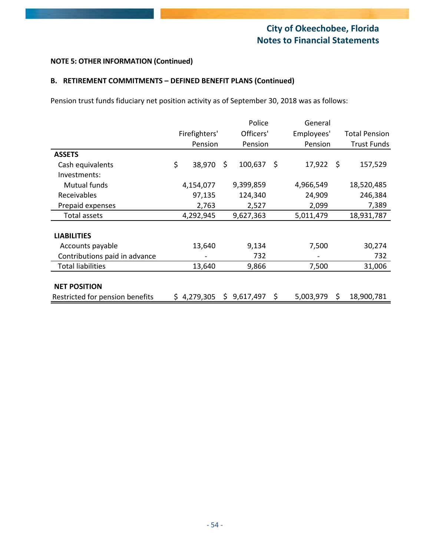## **NOTE 5: OTHER INFORMATION (Continued)**

## **B. RETIREMENT COMMITMENTS – DEFINED BENEFIT PLANS (Continued)**

Pension trust funds fiduciary net position activity as of September 30, 2018 was as follows:

|                                 |               | Police          | General |                   |    |                    |  |  |  |
|---------------------------------|---------------|-----------------|---------|-------------------|----|--------------------|--|--|--|
|                                 | Firefighters' | Officers'       |         | Employees'        |    |                    |  |  |  |
|                                 | Pension       | Pension         |         | Pension           |    | <b>Trust Funds</b> |  |  |  |
| <b>ASSETS</b>                   |               |                 |         |                   |    |                    |  |  |  |
| Cash equivalents                | \$<br>38,970  | \$<br>100,637   | \$      | $17,922 \quad$ \$ |    | 157,529            |  |  |  |
| Investments:                    |               |                 |         |                   |    |                    |  |  |  |
| <b>Mutual funds</b>             | 4,154,077     | 9,399,859       |         | 4,966,549         |    | 18,520,485         |  |  |  |
| Receivables                     | 97,135        | 124,340         |         | 24,909            |    | 246,384            |  |  |  |
| Prepaid expenses                | 2,763         | 2,527           |         | 2,099             |    | 7,389              |  |  |  |
| Total assets                    | 4,292,945     | 9,627,363       |         | 5,011,479         |    | 18,931,787         |  |  |  |
|                                 |               |                 |         |                   |    |                    |  |  |  |
| <b>LIABILITIES</b>              |               |                 |         |                   |    |                    |  |  |  |
| Accounts payable                | 13,640        | 9,134           |         | 7,500             |    | 30,274             |  |  |  |
| Contributions paid in advance   |               | 732             |         |                   |    | 732                |  |  |  |
| <b>Total liabilities</b>        | 13,640        | 9,866           |         | 7,500             |    | 31,006             |  |  |  |
|                                 |               |                 |         |                   |    |                    |  |  |  |
| <b>NET POSITION</b>             |               |                 |         |                   |    |                    |  |  |  |
| Restricted for pension benefits | \$4,279,305   | \$<br>9,617,497 | S       | 5,003,979         | \$ | 18,900,781         |  |  |  |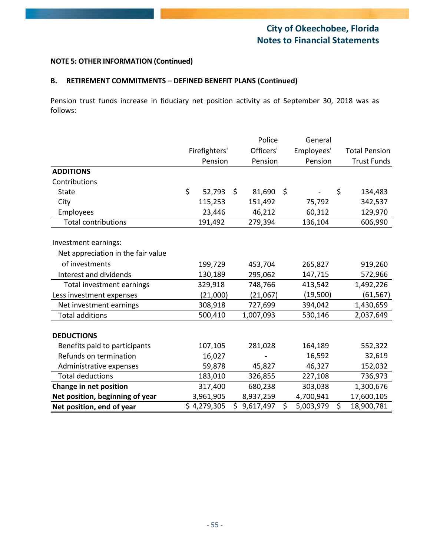## **NOTE 5: OTHER INFORMATION (Continued)**

## **B. RETIREMENT COMMITMENTS – DEFINED BENEFIT PLANS (Continued)**

Pension trust funds increase in fiduciary net position activity as of September 30, 2018 was as follows:

|                                    |               | Police          | General         |                      |
|------------------------------------|---------------|-----------------|-----------------|----------------------|
|                                    | Firefighters' | Officers'       | Employees'      | <b>Total Pension</b> |
|                                    | Pension       | Pension         | Pension         | <b>Trust Funds</b>   |
| <b>ADDITIONS</b>                   |               |                 |                 |                      |
| Contributions                      |               |                 |                 |                      |
| State                              | \$<br>52,793  | \$<br>81,690    | \$              | \$<br>134,483        |
| City                               | 115,253       | 151,492         | 75,792          | 342,537              |
| Employees                          | 23,446        | 46,212          | 60,312          | 129,970              |
| <b>Total contributions</b>         | 191,492       | 279,394         | 136,104         | 606,990              |
|                                    |               |                 |                 |                      |
| Investment earnings:               |               |                 |                 |                      |
| Net appreciation in the fair value |               |                 |                 |                      |
| of investments                     | 199,729       | 453,704         | 265,827         | 919,260              |
| Interest and dividends             | 130,189       | 295,062         | 147,715         | 572,966              |
| Total investment earnings          | 329,918       | 748,766         | 413,542         | 1,492,226            |
| Less investment expenses           | (21,000)      | (21,067)        | (19,500)        | (61, 567)            |
| Net investment earnings            | 308,918       | 727,699         | 394,042         | 1,430,659            |
| <b>Total additions</b>             | 500,410       | 1,007,093       | 530,146         | 2,037,649            |
|                                    |               |                 |                 |                      |
| <b>DEDUCTIONS</b>                  |               |                 |                 |                      |
| Benefits paid to participants      | 107,105       | 281,028         | 164,189         | 552,322              |
| Refunds on termination             | 16,027        |                 | 16,592          | 32,619               |
| Administrative expenses            | 59,878        | 45,827          | 46,327          | 152,032              |
| <b>Total deductions</b>            | 183,010       | 326,855         | 227,108         | 736,973              |
| Change in net position             | 317,400       | 680,238         | 303,038         | 1,300,676            |
| Net position, beginning of year    | 3,961,905     | 8,937,259       | 4,700,941       | 17,600,105           |
| Net position, end of year          | \$4,279,305   | \$<br>9,617,497 | \$<br>5,003,979 | \$<br>18,900,781     |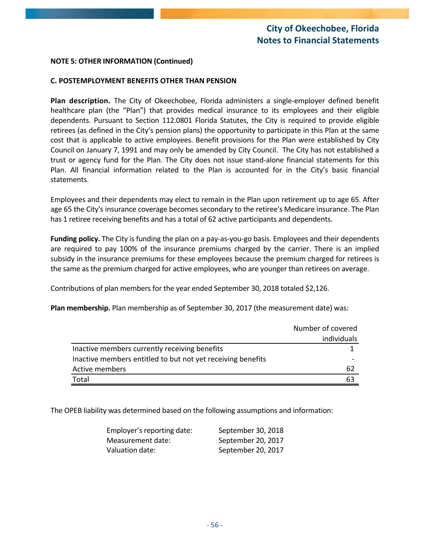#### **NOTE 5: OTHER INFORMATION (Continued)**

#### **C. POSTEMPLOYMENT BENEFITS OTHER THAN PENSION**

**Plan description.** The City of Okeechobee, Florida administers a single‐employer defined benefit healthcare plan (the "Plan") that provides medical insurance to its employees and their eligible dependents. Pursuant to Section 112.0801 Florida Statutes, the City is required to provide eligible retirees (as defined in the City's pension plans) the opportunity to participate in this Plan at the same cost that is applicable to active employees. Benefit provisions for the Plan were established by City Council on January 7, 1991 and may only be amended by City Council. The City has not established a trust or agency fund for the Plan. The City does not issue stand‐alone financial statements for this Plan. All financial information related to the Plan is accounted for in the City's basic financial statements.

Employees and their dependents may elect to remain in the Plan upon retirement up to age 65. After age 65 the City's insurance coverage becomes secondary to the retiree's Medicare insurance. The Plan has 1 retiree receiving benefits and has a total of 62 active participants and dependents.

**Funding policy.** The City is funding the plan on a pay‐as‐you‐go basis. Employees and their dependents are required to pay 100% of the insurance premiums charged by the carrier. There is an implied subsidy in the insurance premiums for these employees because the premium charged for retirees is the same as the premium charged for active employees, who are younger than retirees on average.

Contributions of plan members for the year ended September 30, 2018 totaled \$2,126.

**Plan membership.** Plan membership as of September 30, 2017 (the measurement date) was:

|                                                             | Number of covered |
|-------------------------------------------------------------|-------------------|
|                                                             | individuals       |
| Inactive members currently receiving benefits               |                   |
| Inactive members entitled to but not yet receiving benefits |                   |
| Active members                                              | 62                |
| Total                                                       | 63                |

The OPEB liability was determined based on the following assumptions and information:

| Employer's reporting date: | September 30, 2018 |
|----------------------------|--------------------|
| Measurement date:          | September 20, 2017 |
| Valuation date:            | September 20, 2017 |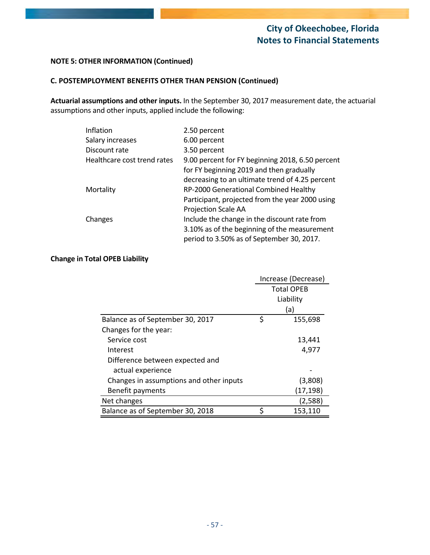#### **NOTE 5: OTHER INFORMATION (Continued)**

## **C. POSTEMPLOYMENT BENEFITS OTHER THAN PENSION (Continued)**

**Actuarial assumptions and other inputs.** In the September 30, 2017 measurement date, the actuarial assumptions and other inputs, applied include the following:

| Inflation                   | 2.50 percent                                     |
|-----------------------------|--------------------------------------------------|
| Salary increases            | 6.00 percent                                     |
| Discount rate               | 3.50 percent                                     |
| Healthcare cost trend rates | 9.00 percent for FY beginning 2018, 6.50 percent |
|                             | for FY beginning 2019 and then gradually         |
|                             | decreasing to an ultimate trend of 4.25 percent  |
| Mortality                   | RP-2000 Generational Combined Healthy            |
|                             | Participant, projected from the year 2000 using  |
|                             | <b>Projection Scale AA</b>                       |
| Changes                     | Include the change in the discount rate from     |
|                             | 3.10% as of the beginning of the measurement     |
|                             | period to 3.50% as of September 30, 2017.        |

## **Change in Total OPEB Liability**

|                                         | Increase (Decrease) |           |  |  |  |  |  |  |
|-----------------------------------------|---------------------|-----------|--|--|--|--|--|--|
|                                         | <b>Total OPEB</b>   |           |  |  |  |  |  |  |
|                                         | Liability           |           |  |  |  |  |  |  |
|                                         | (a)                 |           |  |  |  |  |  |  |
| Balance as of September 30, 2017        | \$                  | 155,698   |  |  |  |  |  |  |
| Changes for the year:                   |                     |           |  |  |  |  |  |  |
| Service cost                            |                     | 13,441    |  |  |  |  |  |  |
| Interest                                |                     | 4,977     |  |  |  |  |  |  |
| Difference between expected and         |                     |           |  |  |  |  |  |  |
| actual experience                       |                     |           |  |  |  |  |  |  |
| Changes in assumptions and other inputs |                     | (3,808)   |  |  |  |  |  |  |
| Benefit payments                        |                     | (17, 198) |  |  |  |  |  |  |
| Net changes                             |                     | (2,588)   |  |  |  |  |  |  |
| Balance as of September 30, 2018        | Ś                   | 153,110   |  |  |  |  |  |  |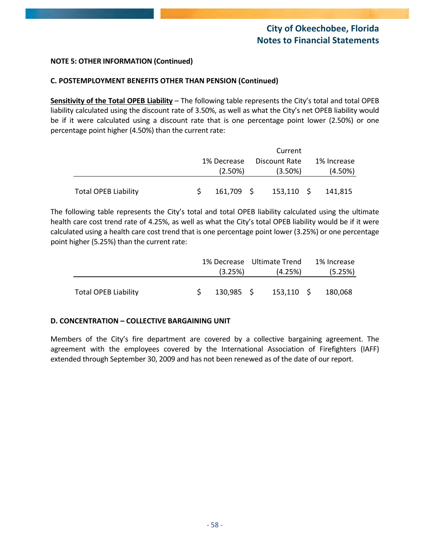#### **NOTE 5: OTHER INFORMATION (Continued)**

#### **C. POSTEMPLOYMENT BENEFITS OTHER THAN PENSION (Continued)**

**Sensitivity of the Total OPEB Liability** – The following table represents the City's total and total OPEB liability calculated using the discount rate of 3.50%, as well as what the City's net OPEB liability would be if it were calculated using a discount rate that is one percentage point lower (2.50%) or one percentage point higher (4.50%) than the current rate:

|                             | Current     |                      |  |             |  |  |  |  |
|-----------------------------|-------------|----------------------|--|-------------|--|--|--|--|
|                             | 1% Decrease | <b>Discount Rate</b> |  | 1% Increase |  |  |  |  |
|                             | $(2.50\%)$  | $(3.50\%)$           |  | $(4.50\%)$  |  |  |  |  |
|                             |             |                      |  |             |  |  |  |  |
| <b>Total OPEB Liability</b> | 161,709 \$  | $153,110 \pm 5$      |  | 141,815     |  |  |  |  |

The following table represents the City's total and total OPEB liability calculated using the ultimate health care cost trend rate of 4.25%, as well as what the City's total OPEB liability would be if it were calculated using a health care cost trend that is one percentage point lower (3.25%) or one percentage point higher (5.25%) than the current rate:

|                             |            | 1% Decrease Ultimate Trend | 1% Increase |
|-----------------------------|------------|----------------------------|-------------|
|                             | (3.25%)    | (4.25%)                    | (5.25%)     |
|                             |            |                            |             |
| <b>Total OPEB Liability</b> | 130,985 \$ | 153,110 S                  | 180,068     |

#### **D. CONCENTRATION – COLLECTIVE BARGAINING UNIT**

Members of the City's fire department are covered by a collective bargaining agreement. The agreement with the employees covered by the International Association of Firefighters (IAFF) extended through September 30, 2009 and has not been renewed as of the date of our report.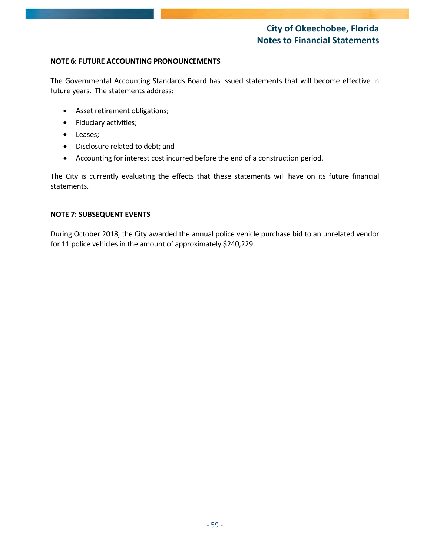#### **NOTE 6: FUTURE ACCOUNTING PRONOUNCEMENTS**

The Governmental Accounting Standards Board has issued statements that will become effective in future years. The statements address:

- Asset retirement obligations;
- Fiduciary activities;
- Leases;
- Disclosure related to debt; and
- Accounting for interest cost incurred before the end of a construction period.

The City is currently evaluating the effects that these statements will have on its future financial statements.

#### **NOTE 7: SUBSEQUENT EVENTS**

During October 2018, the City awarded the annual police vehicle purchase bid to an unrelated vendor for 11 police vehicles in the amount of approximately \$240,229.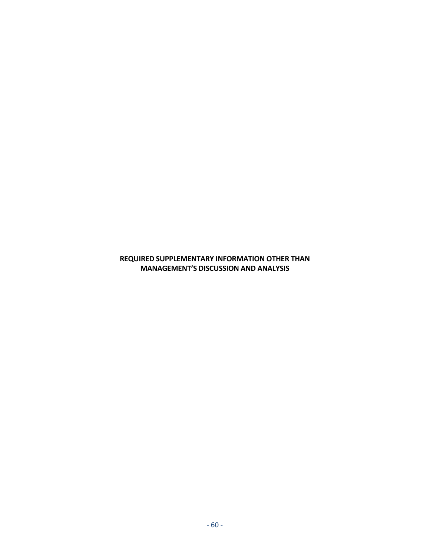## **REQUIRED SUPPLEMENTARY INFORMATION OTHER THAN MANAGEMENT'S DISCUSSION AND ANALYSIS**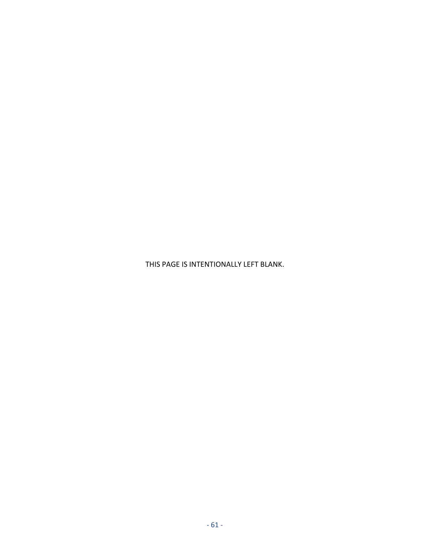THIS PAGE IS INTENTIONALLY LEFT BLANK.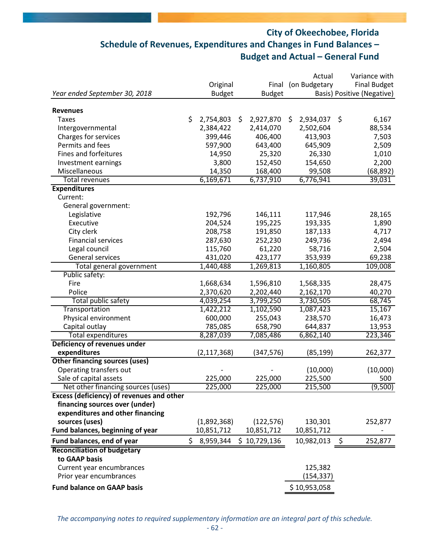# **City of Okeechobee, Florida Schedule of Revenues, Expenditures and Changes in Fund Balances – Budget and Actual – General Fund**

|                                           |          |               |    |               |                     | Actual              |                    | Variance with              |
|-------------------------------------------|----------|---------------|----|---------------|---------------------|---------------------|--------------------|----------------------------|
|                                           | Original |               |    |               | Final (on Budgetary | <b>Final Budget</b> |                    |                            |
| Year ended September 30, 2018             |          | <b>Budget</b> |    | <b>Budget</b> |                     |                     |                    | Basis) Positive (Negative) |
|                                           |          |               |    |               |                     |                     |                    |                            |
| <b>Revenues</b>                           | \$       |               | \$ |               |                     |                     |                    | 6,167                      |
| Taxes                                     |          | 2,754,803     |    | 2,927,870     | \$                  | 2,934,037           | \$                 |                            |
| Intergovernmental                         |          | 2,384,422     |    | 2,414,070     |                     | 2,502,604           |                    | 88,534                     |
| Charges for services                      |          | 399,446       |    | 406,400       |                     | 413,903             |                    | 7,503                      |
| Permits and fees                          |          | 597,900       |    | 643,400       |                     | 645,909             |                    | 2,509                      |
| <b>Fines and forfeitures</b>              |          | 14,950        |    | 25,320        |                     | 26,330              |                    | 1,010                      |
| Investment earnings                       |          | 3,800         |    | 152,450       |                     | 154,650             |                    | 2,200                      |
| Miscellaneous                             |          | 14,350        |    | 168,400       |                     | 99,508              |                    | (68, 892)                  |
| <b>Total revenues</b>                     |          | 6,169,671     |    | 6,737,910     |                     | 6,776,941           |                    | 39,031                     |
| <b>Expenditures</b>                       |          |               |    |               |                     |                     |                    |                            |
| Current:                                  |          |               |    |               |                     |                     |                    |                            |
| General government:                       |          |               |    |               |                     |                     |                    |                            |
| Legislative                               |          | 192,796       |    | 146,111       |                     | 117,946             |                    | 28,165                     |
| Executive                                 |          | 204,524       |    | 195,225       |                     | 193,335             |                    | 1,890                      |
| City clerk                                |          | 208,758       |    | 191,850       |                     | 187,133             |                    | 4,717                      |
| <b>Financial services</b>                 |          | 287,630       |    | 252,230       |                     | 249,736             |                    | 2,494                      |
| Legal council                             |          | 115,760       |    | 61,220        |                     | 58,716              |                    | 2,504                      |
| General services                          |          | 431,020       |    | 423,177       |                     | 353,939             |                    | 69,238                     |
| Total general government                  |          | 1,440,488     |    | 1,269,813     |                     | 1,160,805           |                    | 109,008                    |
| Public safety:                            |          |               |    |               |                     |                     |                    |                            |
| Fire                                      |          | 1,668,634     |    | 1,596,810     |                     | 1,568,335           |                    | 28,475                     |
| Police                                    |          | 2,370,620     |    | 2,202,440     |                     | 2,162,170           |                    | 40,270                     |
| Total public safety                       |          | 4,039,254     |    | 3,799,250     |                     | 3,730,505           |                    | 68,745                     |
| Transportation                            |          | 1,422,212     |    | 1,102,590     |                     | 1,087,423           |                    | 15,167                     |
| Physical environment                      |          | 600,000       |    | 255,043       |                     | 238,570             |                    | 16,473                     |
| Capital outlay                            |          | 785,085       |    | 658,790       |                     | 644,837             |                    | 13,953                     |
| Total expenditures                        |          | 8,287,039     |    | 7,085,486     |                     | 6,862,140           |                    | 223,346                    |
| Deficiency of revenues under              |          |               |    |               |                     |                     |                    |                            |
| expenditures                              |          | (2, 117, 368) |    | (347, 576)    |                     | (85, 199)           |                    | 262,377                    |
| <b>Other financing sources (uses)</b>     |          |               |    |               |                     |                     |                    |                            |
| Operating transfers out                   |          |               |    |               |                     | (10,000)            |                    | (10,000)                   |
| Sale of capital assets                    |          | 225,000       |    | 225,000       |                     | 225,500             |                    | 500                        |
| Net other financing sources (uses)        |          | 225,000       |    | 225,000       |                     | 215,500             |                    | (9,500)                    |
| Excess (deficiency) of revenues and other |          |               |    |               |                     |                     |                    |                            |
| financing sources over (under)            |          |               |    |               |                     |                     |                    |                            |
| expenditures and other financing          |          |               |    |               |                     |                     |                    |                            |
| sources (uses)                            |          | (1,892,368)   |    | (122, 576)    |                     | 130,301             |                    | 252,877                    |
| Fund balances, beginning of year          |          | 10,851,712    |    | 10,851,712    |                     | 10,851,712          |                    |                            |
|                                           |          |               |    |               |                     |                     |                    |                            |
| Fund balances, end of year                | \$       | 8,959,344     |    | \$10,729,136  |                     | 10,982,013          | $\ddot{\varsigma}$ | 252,877                    |
| <b>Reconciliation of budgetary</b>        |          |               |    |               |                     |                     |                    |                            |
| to GAAP basis                             |          |               |    |               |                     |                     |                    |                            |
| Current year encumbrances                 |          |               |    |               |                     | 125,382             |                    |                            |
| Prior year encumbrances                   |          |               |    |               |                     | (154, 337)          |                    |                            |
| <b>Fund balance on GAAP basis</b>         |          |               |    |               |                     | \$10,953,058        |                    |                            |

*The accompanying notes to required supplementary information are an integral part of this schedule.*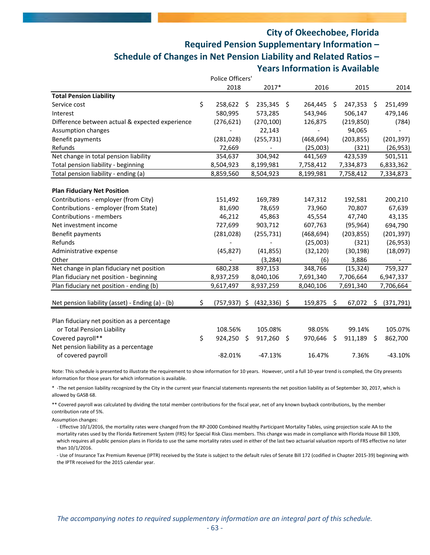## **City of Okeechobee, Florida**

**Required Pension Supplementary Information –** 

**Schedule of Changes in Net Pension Liability and Related Ratios –** 

## **Years Information is Available**

|                                                  | Police Officers'      |    |                 |            |            |    |                          |
|--------------------------------------------------|-----------------------|----|-----------------|------------|------------|----|--------------------------|
|                                                  | 2018                  |    | 2017*           | 2016       | 2015       |    | 2014                     |
| <b>Total Pension Liability</b>                   |                       |    |                 |            |            |    |                          |
| Service cost                                     | \$<br>258,622         | Ŝ. | 235,345 \$      | 264,445 \$ | 247,353 \$ |    | 251,499                  |
| Interest                                         | 580,995               |    | 573,285         | 543,946    | 506,147    |    | 479,146                  |
| Difference between actual & expected experience  | (276, 621)            |    | (270, 100)      | 126,875    | (219, 850) |    | (784)                    |
| Assumption changes                               |                       |    | 22,143          |            | 94,065     |    |                          |
| <b>Benefit payments</b>                          | (281, 028)            |    | (255, 731)      | (468, 694) | (203, 855) |    | (201, 397)               |
| Refunds                                          | 72,669                |    |                 | (25,003)   | (321)      |    | (26, 953)                |
| Net change in total pension liability            | 354,637               |    | 304,942         | 441,569    | 423,539    |    | 501,511                  |
| Total pension liability - beginning              | 8,504,923             |    | 8,199,981       | 7,758,412  | 7,334,873  |    | 6,833,362                |
| Total pension liability - ending (a)             | 8,859,560             |    | 8,504,923       | 8,199,981  | 7,758,412  |    | 7,334,873                |
|                                                  |                       |    |                 |            |            |    |                          |
| <b>Plan Fiduciary Net Position</b>               |                       |    |                 |            |            |    |                          |
| Contributions - employer (from City)             | 151,492               |    | 169,789         | 147,312    | 192,581    |    | 200,210                  |
| Contributions - employer (from State)            | 81,690                |    | 78,659          | 73,960     | 70,807     |    | 67,639                   |
| Contributions - members                          | 46,212                |    | 45,863          | 45,554     | 47,740     |    | 43,135                   |
| Net investment income                            | 727,699               |    | 903,712         | 607,763    | (95, 964)  |    | 694,790                  |
| Benefit payments                                 | (281, 028)            |    | (255, 731)      | (468, 694) | (203, 855) |    | (201, 397)               |
| Refunds                                          |                       |    |                 | (25,003)   | (321)      |    | (26, 953)                |
| Administrative expense                           | (45, 827)             |    | (41, 855)       | (32, 120)  | (30, 198)  |    | (18,097)                 |
| Other                                            |                       |    | (3, 284)        | (6)        | 3,886      |    | $\overline{\phantom{a}}$ |
| Net change in plan fiduciary net position        | 680,238               |    | 897,153         | 348,766    | (15, 324)  |    | 759,327                  |
| Plan fiduciary net position - beginning          | 8,937,259             |    | 8,040,106       | 7,691,340  | 7,706,664  |    | 6,947,337                |
| Plan fiduciary net position - ending (b)         | 9,617,497             |    | 8,937,259       | 8,040,106  | 7,691,340  |    | 7,706,664                |
|                                                  |                       |    |                 |            |            |    |                          |
| Net pension liability (asset) - Ending (a) - (b) | \$<br>$(757, 937)$ \$ |    | $(432, 336)$ \$ | 159,875 \$ | 67,072     | \$ | (371, 791)               |
|                                                  |                       |    |                 |            |            |    |                          |
| Plan fiduciary net position as a percentage      |                       |    |                 |            |            |    |                          |
| or Total Pension Liability                       | 108.56%               |    | 105.08%         | 98.05%     | 99.14%     |    | 105.07%                  |
| Covered payroll**                                | \$<br>$924,250$ \$    |    | $917,260$ \$    | 970,646 \$ | 911,189    | S. | 862,700                  |
| Net pension liability as a percentage            |                       |    |                 |            |            |    |                          |
| of covered payroll                               | $-82.01%$             |    | $-47.13%$       | 16.47%     | 7.36%      |    | $-43.10%$                |

Note: This schedule is presented to illustrate the requirement to show information for 10 years. However, until a full 10‐year trend is complied, the City presents information for those years for which information is available.

\* ‐The net pension liability recognized by the City in the current year financial statements represents the net position liability as of September 30, 2017, which is allowed by GASB 68.

\*\* Covered payroll was calculated by dividing the total member contributions for the fiscal year, net of any known buyback contributions, by the member contribution rate of 5%.

Assumption changes:

‐ Effective 10/1/2016, the mortality rates were changed from the RP‐2000 Combined Healthy Participant Mortality Tables, using projection scale AA to the mortality rates used by the Florida Retirement System (FRS) for Special Risk Class members. This change was made in compliance with Florida House Bill 1309, which requires all public pension plans in Florida to use the same mortality rates used in either of the last two actuarial valuation reports of FRS effective no later than 10/1/2016.

‐ Use of Insurance Tax Premium Revenue (IPTR) received by the State is subject to the default rules of Senate Bill 172 (codified in Chapter 2015‐39) beginning with the IPTR received for the 2015 calendar year.

*The accompanying notes to required supplementary information are an integral part of this schedule.*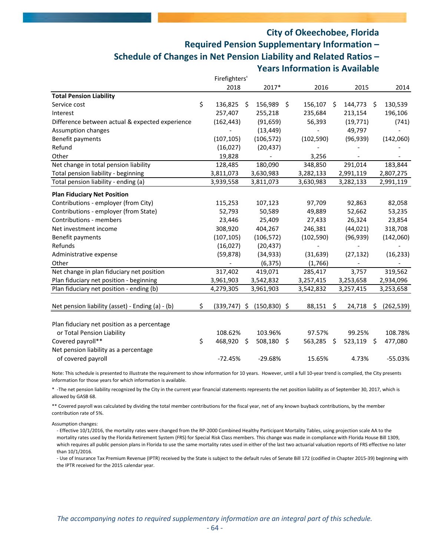## **City of Okeechobee, Florida**

## **Required Pension Supplementary Information –**

**Schedule of Changes in Net Pension Liability and Related Ratios –** 

## **Years Information is Available**

|                                                            |    | Firefighters'   |                 |              |    |            |      |            |
|------------------------------------------------------------|----|-----------------|-----------------|--------------|----|------------|------|------------|
|                                                            |    | 2018            | 2017*           | 2016         |    | 2015       |      | 2014       |
| <b>Total Pension Liability</b>                             |    |                 |                 |              |    |            |      |            |
| Service cost                                               | \$ | 136,825 \$      | 156,989 \$      | $156,107$ \$ |    | 144,773 \$ |      | 130,539    |
| Interest                                                   |    | 257,407         | 255,218         | 235,684      |    | 213,154    |      | 196,106    |
| Difference between actual & expected experience            |    | (162, 443)      | (91, 659)       | 56,393       |    | (19, 771)  |      | (741)      |
| Assumption changes                                         |    |                 | (13, 449)       |              |    | 49,797     |      |            |
| <b>Benefit payments</b>                                    |    | (107, 105)      | (106, 572)      | (102, 590)   |    | (96, 939)  |      | (142,060)  |
| Refund                                                     |    | (16, 027)       | (20, 437)       |              |    |            |      |            |
| Other                                                      |    | 19,828          |                 | 3,256        |    |            |      |            |
| Net change in total pension liability                      |    | 128,485         | 180,090         | 348,850      |    | 291,014    |      | 183,844    |
| Total pension liability - beginning                        |    | 3,811,073       | 3,630,983       | 3,282,133    |    | 2,991,119  |      | 2,807,275  |
| Total pension liability - ending (a)                       |    | 3,939,558       | 3,811,073       | 3,630,983    |    | 3,282,133  |      | 2,991,119  |
| <b>Plan Fiduciary Net Position</b>                         |    |                 |                 |              |    |            |      |            |
| Contributions - employer (from City)                       |    | 115,253         | 107,123         | 97,709       |    | 92,863     |      | 82,058     |
| Contributions - employer (from State)                      |    | 52,793          | 50,589          | 49,889       |    | 52,662     |      | 53,235     |
| Contributions - members                                    |    | 23,446          | 25,409          | 27,433       |    | 26,324     |      | 23,854     |
| Net investment income                                      |    | 308,920         | 404,267         | 246,381      |    | (44, 021)  |      | 318,708    |
| Benefit payments                                           |    | (107, 105)      | (106, 572)      | (102, 590)   |    | (96, 939)  |      | (142,060)  |
| Refunds                                                    |    | (16, 027)       | (20, 437)       |              |    |            |      |            |
| Administrative expense                                     |    | (59, 878)       | (34, 933)       | (31, 639)    |    | (27, 132)  |      | (16, 233)  |
| Other                                                      |    |                 | (6, 375)        | (1,766)      |    |            |      |            |
| Net change in plan fiduciary net position                  |    | 317,402         | 419,071         | 285,417      |    | 3,757      |      | 319,562    |
| Plan fiduciary net position - beginning                    |    | 3,961,903       | 3,542,832       | 3,257,415    |    | 3,253,658  |      | 2,934,096  |
| Plan fiduciary net position - ending (b)                   |    | 4,279,305       | 3,961,903       | 3,542,832    |    | 3,257,415  |      | 3,253,658  |
|                                                            | Ś. |                 |                 |              |    |            |      |            |
| Net pension liability (asset) - Ending (a) - (b)           |    | $(339, 747)$ \$ | $(150, 830)$ \$ | 88,151       | Ŝ. | 24,718     | Ŝ.   | (262, 539) |
|                                                            |    |                 |                 |              |    |            |      |            |
| Plan fiduciary net position as a percentage                |    | 108.62%         | 103.96%         | 97.57%       |    | 99.25%     |      | 108.78%    |
| or Total Pension Liability                                 |    |                 |                 |              |    |            |      |            |
| Covered payroll**<br>Net pension liability as a percentage | \$ | 468,920 \$      | 508,180 \$      | 563,285 \$   |    | 523,119    | - \$ | 477,080    |
|                                                            |    |                 |                 |              |    |            |      |            |
| of covered payroll                                         |    | $-72.45%$       | $-29.68%$       | 15.65%       |    | 4.73%      |      | $-55.03%$  |

Note: This schedule is presented to illustrate the requirement to show information for 10 years. However, until a full 10‐year trend is complied, the City presents information for those years for which information is available.

\* ‐The net pension liability recognized by the City in the current year financial statements represents the net position liability as of September 30, 2017, which is allowed by GASB 68.

\*\* Covered payroll was calculated by dividing the total member contributions for the fiscal year, net of any known buyback contributions, by the member contribution rate of 5%.

Assumption changes:

‐ Effective 10/1/2016, the mortality rates were changed from the RP‐2000 Combined Healthy Participant Mortality Tables, using projection scale AA to the mortality rates used by the Florida Retirement System (FRS) for Special Risk Class members. This change was made in compliance with Florida House Bill 1309, which requires all public pension plans in Florida to use the same mortality rates used in either of the last two actuarial valuation reports of FRS effective no later than 10/1/2016.

‐ Use of Insurance Tax Premium Revenue (IPTR) received by the State is subject to the default rules of Senate Bill 172 (codified in Chapter 2015‐39) beginning with the IPTR received for the 2015 calendar year.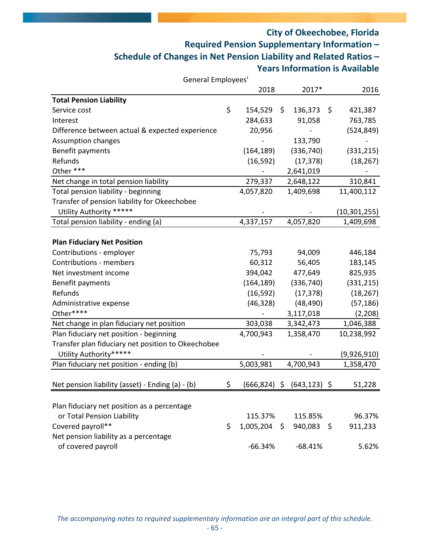# **City of Okeechobee, Florida**

**Required Pension Supplementary Information –** 

**Schedule of Changes in Net Pension Liability and Related Ratios –** 

# **Years Information is Available**

| <b>General Employees'</b>                          |    |                |    |                               |                |
|----------------------------------------------------|----|----------------|----|-------------------------------|----------------|
|                                                    |    | 2018           |    | 2017*                         | 2016           |
| <b>Total Pension Liability</b>                     |    |                |    |                               |                |
| Service cost                                       | \$ | 154,529        | \$ | 136,373                       | \$<br>421,387  |
| Interest                                           |    | 284,633        |    | 91,058                        | 763,785        |
| Difference between actual & expected experience    |    | 20,956         |    |                               | (524, 849)     |
| <b>Assumption changes</b>                          |    |                |    | 133,790                       |                |
| Benefit payments                                   |    | (164, 189)     |    | (336, 740)                    | (331, 215)     |
| Refunds                                            |    | (16, 592)      |    | (17, 378)                     | (18, 267)      |
| Other ***                                          |    |                |    | 2,641,019                     |                |
| Net change in total pension liability              |    | 279,337        |    | 2,648,122                     | 310,841        |
| Total pension liability - beginning                |    | 4,057,820      |    | 1,409,698                     | 11,400,112     |
| Transfer of pension liability for Okeechobee       |    |                |    |                               |                |
| Utility Authority *****                            |    |                |    |                               | (10, 301, 255) |
| Total pension liability - ending (a)               |    | 4,337,157      |    | 4,057,820                     | 1,409,698      |
|                                                    |    |                |    |                               |                |
| <b>Plan Fiduciary Net Position</b>                 |    |                |    |                               |                |
| Contributions - employer                           |    | 75,793         |    | 94,009                        | 446,184        |
| <b>Contributions - members</b>                     |    | 60,312         |    | 56,405                        | 183,145        |
| Net investment income                              |    | 394,042        |    | 477,649                       | 825,935        |
| Benefit payments                                   |    | (164, 189)     |    | (336, 740)                    | (331, 215)     |
| Refunds                                            |    | (16, 592)      |    | (17, 378)                     | (18, 267)      |
| Administrative expense                             |    | (46, 328)      |    | (48, 490)                     | (57, 186)      |
| Other****                                          |    |                |    | 3,117,018                     | (2, 208)       |
| Net change in plan fiduciary net position          |    | 303,038        |    | 3,342,473                     | 1,046,388      |
| Plan fiduciary net position - beginning            |    | 4,700,943      |    | 1,358,470                     | 10,238,992     |
| Transfer plan fiduciary net position to Okeechobee |    |                |    |                               |                |
| Utility Authority*****                             |    |                |    |                               | (9,926,910)    |
| Plan fiduciary net position - ending (b)           |    | 5,003,981      |    | 4,700,943                     | 1,358,470      |
|                                                    |    |                |    |                               |                |
| Net pension liability (asset) - Ending (a) - (b)   | \$ |                |    | $(666,824)$ \$ $(643,123)$ \$ | 51,228         |
|                                                    |    |                |    |                               |                |
| Plan fiduciary net position as a percentage        |    |                |    |                               |                |
| or Total Pension Liability                         |    | 115.37%        |    | 115.85%                       | 96.37%         |
| Covered payroll**                                  | \$ | $1,005,204$ \$ |    | 940,083                       | \$<br>911,233  |
| Net pension liability as a percentage              |    |                |    |                               |                |
| of covered payroll                                 |    | $-66.34%$      |    | $-68.41%$                     | 5.62%          |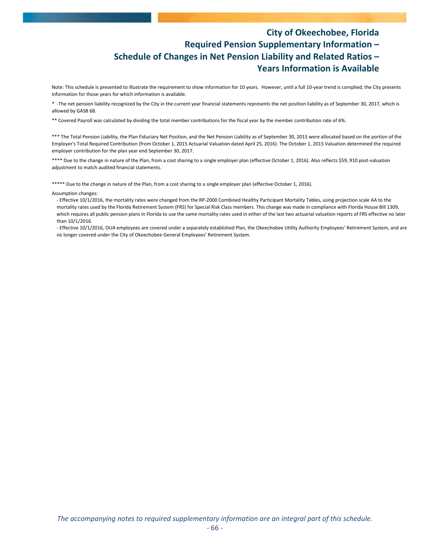# **City of Okeechobee, Florida Required Pension Supplementary Information – Schedule of Changes in Net Pension Liability and Related Ratios – Years Information is Available**

Note: This schedule is presented to illustrate the requirement to show information for 10 years. However, until a full 10‐year trend is complied, the City presents information for those years for which information is available.

\* ‐The net pension liability recognized by the City in the current year financial statements represents the net position liability as of September 30, 2017, which is allowed by GASB 68.

\*\* Covered Payroll was calculated by dividing the total member contributions for the fiscal year by the member contribution rate of 6%.

\*\*\* The Total Pension Liability, the Plan Fiduciary Net Position, and the Net Pension Liability as of September 30, 2015 were allocated based on the portion of the Employer's Total Required Contribution (from October 1, 2015 Actuarial Valuation dated April 25, 2016). The October 1, 2015 Valuation determined the required employer contribution for the plan year end September 30, 2017.

\*\*\*\* Due to the change in nature of the Plan, from a cost sharing to a single employer plan (effective October 1, 2016). Also reflects \$59, 910 post‐valuation adjustment to match audited financial statements.

\*\*\*\*\* Due to the change in nature of the Plan, from a cost sharing to a single employer plan (effective October 1, 2016).

Assumption changes:

‐ Effective 10/1/2016, the mortality rates were changed from the RP‐2000 Combined Healthy Participant Mortality Tables, using projection scale AA to the mortality rates used by the Florida Retirement System (FRS) for Special Risk Class members. This change was made in compliance with Florida House Bill 1309, which requires all public pension plans in Florida to use the same mortality rates used in either of the last two actuarial valuation reports of FRS effective no later than 10/1/2016.

‐ Effective 10/1/2016, OUA employees are covered under a separately established Plan, the Okeechobee Utility Authority Employees' Retirement System, and are no longer covered under the City of Okeechobee General Employees' Retirement System.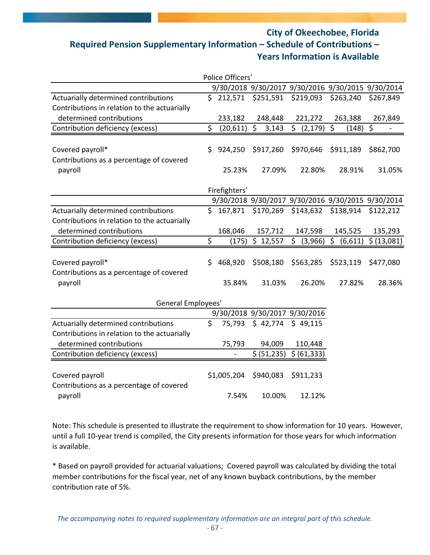# **City of Okeechobee, Florida Required Pension Supplementary Information – Schedule of Contributions – Years Information is Available**

|                                              |              | Police Officers' |                                                   |                               |               |                          |
|----------------------------------------------|--------------|------------------|---------------------------------------------------|-------------------------------|---------------|--------------------------|
|                                              |              |                  | 9/30/2018 9/30/2017 9/30/2016 9/30/2015 9/30/2014 |                               |               |                          |
| Actuarially determined contributions         |              | \$212,571        |                                                   | \$251,591 \$219,093 \$263,240 |               | \$267,849                |
| Contributions in relation to the actuarially |              |                  |                                                   |                               |               |                          |
| determined contributions                     |              | 233,182          | 248,448                                           | 221,272                       | 263,388       | 267,849                  |
| Contribution deficiency (excess)             | \$           | (20,611)         | \$<br>3,143                                       | \$ (2,179)                    | \$<br>(148)   | $\overline{\mathcal{S}}$ |
|                                              |              |                  |                                                   |                               |               |                          |
| Covered payroll*                             | Ś.           | 924,250          |                                                   | \$917,260 \$970,646 \$911,189 |               | \$862,700                |
| Contributions as a percentage of covered     |              |                  |                                                   |                               |               |                          |
| payroll                                      |              | 25.23%           | 27.09%                                            | 22.80%                        | 28.91%        | 31.05%                   |
|                                              |              | Firefighters'    |                                                   |                               |               |                          |
|                                              |              |                  | 9/30/2018 9/30/2017 9/30/2016 9/30/2015 9/30/2014 |                               |               |                          |
| Actuarially determined contributions         |              |                  | \$ 167,871 \$170,269 \$143,632 \$138,914          |                               |               | \$122,212                |
| Contributions in relation to the actuarially |              |                  |                                                   |                               |               |                          |
| determined contributions                     |              | 168,046          | 157,712                                           | 147,598                       | 145,525       | 135,293                  |
| Contribution deficiency (excess)             | \$           | (175)            | \$12,557                                          | \$ (3,966)                    | \$<br>(6,611) | \$ (13,081)              |
|                                              |              |                  |                                                   |                               |               |                          |
| Covered payroll*                             | \$           | 468,920          | \$508,180                                         | \$563,285                     | \$523,119     | \$477,080                |
| Contributions as a percentage of covered     |              |                  |                                                   |                               |               |                          |
| payroll                                      |              | 35.84%           | 31.03%                                            | 26.20%                        | 27.82%        | 28.36%                   |
| <b>General Employees'</b>                    |              |                  |                                                   |                               |               |                          |
|                                              |              |                  | 9/30/2018 9/30/2017 9/30/2016                     |                               |               |                          |
| Actuarially determined contributions         | $\mathsf{S}$ |                  | 75,793 \$ 42,774 \$ 49,115                        |                               |               |                          |
| Contributions in relation to the actuarially |              |                  |                                                   |                               |               |                          |
| determined contributions                     |              | 75,793           | 94,009                                            | 110,448                       |               |                          |
| Contribution deficiency (excess)             |              |                  | \$ (51, 235)                                      | \$ (61, 333)                  |               |                          |
|                                              |              |                  |                                                   |                               |               |                          |
| Covered payroll                              |              | \$1,005,204      | \$940,083                                         | \$911,233                     |               |                          |
| Contributions as a percentage of covered     |              |                  |                                                   |                               |               |                          |
| payroll                                      |              | 7.54%            | 10.00%                                            | 12.12%                        |               |                          |

Note: This schedule is presented to illustrate the requirement to show information for 10 years. However, until a full 10‐year trend is compiled, the City presents information for those years for which information is available.

\* Based on payroll provided for actuarial valuations; Covered payroll was calculated by dividing the total member contributions for the fiscal year, net of any known buyback contributions, by the member contribution rate of 5%.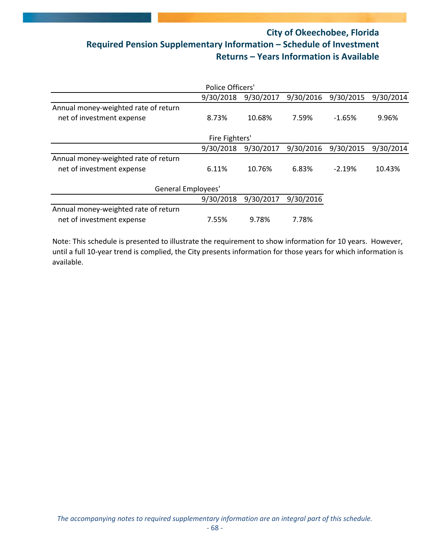# **City of Okeechobee, Florida Required Pension Supplementary Information – Schedule of Investment Returns – Years Information is Available**

| Police Officers'                     |                |           |           |           |           |  |
|--------------------------------------|----------------|-----------|-----------|-----------|-----------|--|
|                                      | 9/30/2018      | 9/30/2017 | 9/30/2016 | 9/30/2015 | 9/30/2014 |  |
| Annual money-weighted rate of return |                |           |           |           |           |  |
| net of investment expense            | 8.73%          | 10.68%    | 7.59%     | $-1.65%$  | 9.96%     |  |
|                                      | Fire Fighters' |           |           |           |           |  |
|                                      | 9/30/2018      | 9/30/2017 | 9/30/2016 | 9/30/2015 | 9/30/2014 |  |
| Annual money-weighted rate of return |                |           |           |           |           |  |
| net of investment expense            | 6.11%          | 10.76%    | 6.83%     | $-2.19%$  | 10.43%    |  |
| General Employees'                   |                |           |           |           |           |  |
|                                      | 9/30/2018      | 9/30/2017 | 9/30/2016 |           |           |  |
| Annual money-weighted rate of return |                |           |           |           |           |  |
| net of investment expense            | 7.55%          | 9.78%     | 7.78%     |           |           |  |

Note: This schedule is presented to illustrate the requirement to show information for 10 years. However, until a full 10‐year trend is complied, the City presents information for those years for which information is available.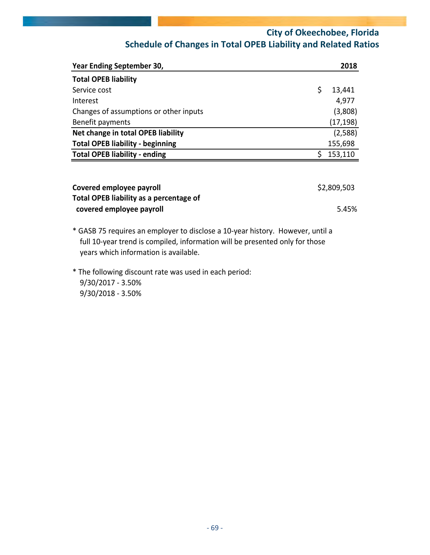# **City of Okeechobee, Florida Schedule of Changes in Total OPEB Liability and Related Ratios**

| <b>Year Ending September 30,</b>        | 2018      |
|-----------------------------------------|-----------|
| <b>Total OPEB liability</b>             |           |
| Service cost                            | 13,441    |
| Interest                                | 4,977     |
| Changes of assumptions or other inputs  | (3,808)   |
| Benefit payments                        | (17, 198) |
| Net change in total OPEB liability      | (2,588)   |
| <b>Total OPEB liability - beginning</b> | 155,698   |
| <b>Total OPEB liability - ending</b>    | 153,110   |

| Covered employee payroll                | \$2,809,503 |
|-----------------------------------------|-------------|
| Total OPEB liability as a percentage of |             |
| covered employee payroll                | 5.45%       |

- years which information is available. \* GASB 75 requires an employer to disclose a 10‐year history. However, until a full 10‐year trend is compiled, information will be presented only for those
- \* The following discount rate was used in each period: 9/30/2017 ‐ 3.50% 9/30/2018 ‐ 3.50%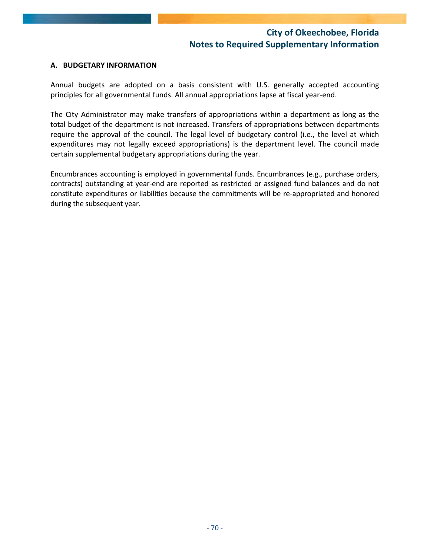## **City of Okeechobee, Florida Notes to Required Supplementary Information**

#### **A. BUDGETARY INFORMATION**

Annual budgets are adopted on a basis consistent with U.S. generally accepted accounting principles for all governmental funds. All annual appropriations lapse at fiscal year‐end.

The City Administrator may make transfers of appropriations within a department as long as the total budget of the department is not increased. Transfers of appropriations between departments require the approval of the council. The legal level of budgetary control (i.e., the level at which expenditures may not legally exceed appropriations) is the department level. The council made certain supplemental budgetary appropriations during the year.

Encumbrances accounting is employed in governmental funds. Encumbrances (e.g., purchase orders, contracts) outstanding at year‐end are reported as restricted or assigned fund balances and do not constitute expenditures or liabilities because the commitments will be re‐appropriated and honored during the subsequent year.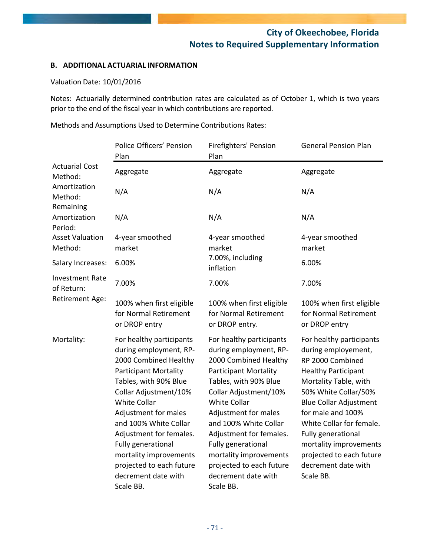# **City of Okeechobee, Florida Notes to Required Supplementary Information**

#### **B. ADDITIONAL ACTUARIAL INFORMATION**

Valuation Date: 10/01/2016

Notes: Actuarially determined contribution rates are calculated as of October 1, which is two years prior to the end of the fiscal year in which contributions are reported.

Methods and Assumptions Used to Determine Contributions Rates:

|                                      | Police Officers' Pension<br>Plan                                                                                                                                                                                                                                                                                                                                                 | Firefighters' Pension<br>Plan                                                                                                                                                                                                                                                                                                                                                    | <b>General Pension Plan</b>                                                                                                                                                                                                                                                                                                                          |
|--------------------------------------|----------------------------------------------------------------------------------------------------------------------------------------------------------------------------------------------------------------------------------------------------------------------------------------------------------------------------------------------------------------------------------|----------------------------------------------------------------------------------------------------------------------------------------------------------------------------------------------------------------------------------------------------------------------------------------------------------------------------------------------------------------------------------|------------------------------------------------------------------------------------------------------------------------------------------------------------------------------------------------------------------------------------------------------------------------------------------------------------------------------------------------------|
| <b>Actuarial Cost</b><br>Method:     | Aggregate                                                                                                                                                                                                                                                                                                                                                                        | Aggregate                                                                                                                                                                                                                                                                                                                                                                        | Aggregate                                                                                                                                                                                                                                                                                                                                            |
| Amortization<br>Method:<br>Remaining | N/A                                                                                                                                                                                                                                                                                                                                                                              | N/A                                                                                                                                                                                                                                                                                                                                                                              | N/A                                                                                                                                                                                                                                                                                                                                                  |
| Amortization<br>Period:              | N/A                                                                                                                                                                                                                                                                                                                                                                              | N/A                                                                                                                                                                                                                                                                                                                                                                              | N/A                                                                                                                                                                                                                                                                                                                                                  |
| <b>Asset Valuation</b><br>Method:    | 4-year smoothed<br>market                                                                                                                                                                                                                                                                                                                                                        | 4-year smoothed<br>market<br>7.00%, including                                                                                                                                                                                                                                                                                                                                    | 4-year smoothed<br>market                                                                                                                                                                                                                                                                                                                            |
| Salary Increases:                    | 6.00%                                                                                                                                                                                                                                                                                                                                                                            | inflation                                                                                                                                                                                                                                                                                                                                                                        | 6.00%                                                                                                                                                                                                                                                                                                                                                |
| <b>Investment Rate</b><br>of Return: | 7.00%                                                                                                                                                                                                                                                                                                                                                                            | 7.00%                                                                                                                                                                                                                                                                                                                                                                            | 7.00%                                                                                                                                                                                                                                                                                                                                                |
| <b>Retirement Age:</b>               | 100% when first eligible<br>for Normal Retirement<br>or DROP entry                                                                                                                                                                                                                                                                                                               | 100% when first eligible<br>for Normal Retirement<br>or DROP entry.                                                                                                                                                                                                                                                                                                              | 100% when first eligible<br>for Normal Retirement<br>or DROP entry                                                                                                                                                                                                                                                                                   |
| Mortality:                           | For healthy participants<br>during employment, RP-<br>2000 Combined Healthy<br><b>Participant Mortality</b><br>Tables, with 90% Blue<br>Collar Adjustment/10%<br><b>White Collar</b><br>Adjustment for males<br>and 100% White Collar<br>Adjustment for females.<br>Fully generational<br>mortality improvements<br>projected to each future<br>decrement date with<br>Scale BB. | For healthy participants<br>during employment, RP-<br>2000 Combined Healthy<br><b>Participant Mortality</b><br>Tables, with 90% Blue<br>Collar Adjustment/10%<br><b>White Collar</b><br>Adjustment for males<br>and 100% White Collar<br>Adjustment for females.<br>Fully generational<br>mortality improvements<br>projected to each future<br>decrement date with<br>Scale BB. | For healthy participants<br>during employement,<br>RP 2000 Combined<br><b>Healthy Participant</b><br>Mortality Table, with<br>50% White Collar/50%<br><b>Blue Collar Adjustment</b><br>for male and 100%<br>White Collar for female.<br>Fully generational<br>mortality improvements<br>projected to each future<br>decrement date with<br>Scale BB. |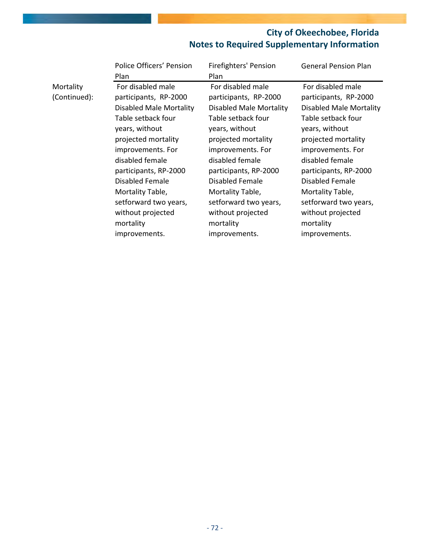# **City of Okeechobee, Florida Notes to Required Supplementary Information**

|              | Police Officers' Pension       | Firefighters' Pension          | <b>General Pension Plan</b> |
|--------------|--------------------------------|--------------------------------|-----------------------------|
|              | Plan                           | Plan                           |                             |
| Mortality    | For disabled male              | For disabled male              | For disabled male           |
| (Continued): | participants, RP-2000          | participants, RP-2000          | participants, RP-2000       |
|              | <b>Disabled Male Mortality</b> | <b>Disabled Male Mortality</b> | Disabled Male Mortality     |
|              | Table setback four             | Table setback four             | Table setback four          |
|              | years, without                 | years, without                 | years, without              |
|              | projected mortality            | projected mortality            | projected mortality         |
|              | improvements. For              | improvements. For              | improvements. For           |
|              | disabled female                | disabled female                | disabled female             |
|              | participants, RP-2000          | participants, RP-2000          | participants, RP-2000       |
|              | Disabled Female                | Disabled Female                | Disabled Female             |
|              | Mortality Table,               | Mortality Table,               | Mortality Table,            |
|              | setforward two years,          | setforward two years,          | setforward two years,       |
|              | without projected              | without projected              | without projected           |
|              | mortality                      | mortality                      | mortality                   |
|              | improvements.                  | improvements.                  | improvements.               |
|              |                                |                                |                             |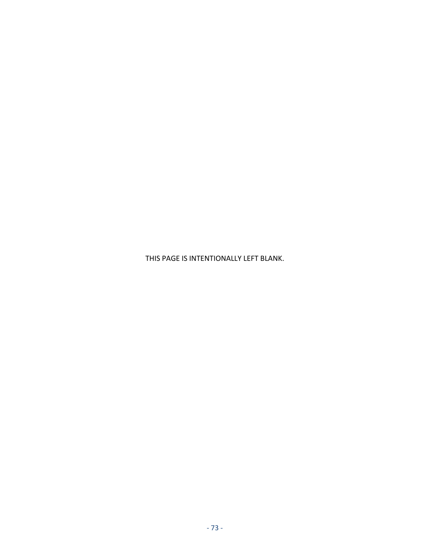THIS PAGE IS INTENTIONALLY LEFT BLANK.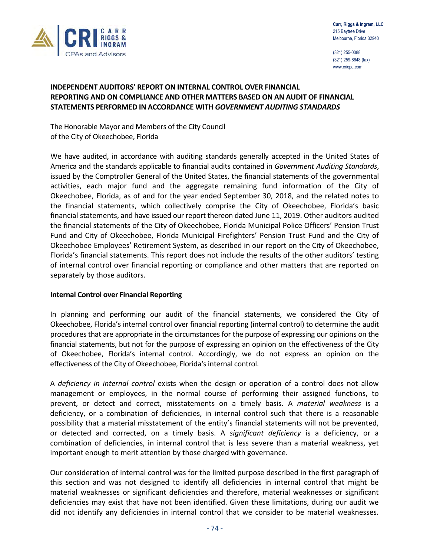

**Carr, Riggs & Ingram, LLC**  215 Baytree Drive Melbourne, Florida 32940

(321) 255-0088 (321) 259-8648 (fax) www.cricpa.com

### **INDEPENDENT AUDITORS' REPORT ON INTERNAL CONTROL OVER FINANCIAL REPORTING AND ON COMPLIANCE AND OTHER MATTERS BASED ON AN AUDIT OF FINANCIAL STATEMENTS PERFORMED IN ACCORDANCE WITH** *GOVERNMENT AUDITING STANDARDS*

The Honorable Mayor and Members of the City Council of the City of Okeechobee, Florida

We have audited, in accordance with auditing standards generally accepted in the United States of America and the standards applicable to financial audits contained in *Government Auditing Standards*, issued by the Comptroller General of the United States, the financial statements of the governmental activities, each major fund and the aggregate remaining fund information of the City of Okeechobee, Florida, as of and for the year ended September 30, 2018, and the related notes to the financial statements, which collectively comprise the City of Okeechobee, Florida's basic financial statements, and have issued our report thereon dated June 11, 2019. Other auditors audited the financial statements of the City of Okeechobee, Florida Municipal Police Officers' Pension Trust Fund and City of Okeechobee, Florida Municipal Firefighters' Pension Trust Fund and the City of Okeechobee Employees' Retirement System, as described in our report on the City of Okeechobee, Florida's financial statements. This report does not include the results of the other auditors' testing of internal control over financial reporting or compliance and other matters that are reported on separately by those auditors.

#### **Internal Control over Financial Reporting**

In planning and performing our audit of the financial statements, we considered the City of Okeechobee, Florida's internal control over financial reporting (internal control) to determine the audit procedures that are appropriate in the circumstances for the purpose of expressing our opinions on the financial statements, but not for the purpose of expressing an opinion on the effectiveness of the City of Okeechobee, Florida's internal control. Accordingly, we do not express an opinion on the effectiveness of the City of Okeechobee, Florida's internal control.

A *deficiency in internal control* exists when the design or operation of a control does not allow management or employees, in the normal course of performing their assigned functions, to prevent, or detect and correct, misstatements on a timely basis. A *material weakness* is a deficiency, or a combination of deficiencies, in internal control such that there is a reasonable possibility that a material misstatement of the entity's financial statements will not be prevented, or detected and corrected, on a timely basis. A *significant deficiency* is a deficiency, or a combination of deficiencies, in internal control that is less severe than a material weakness, yet important enough to merit attention by those charged with governance.

Our consideration of internal control was for the limited purpose described in the first paragraph of this section and was not designed to identify all deficiencies in internal control that might be material weaknesses or significant deficiencies and therefore, material weaknesses or significant deficiencies may exist that have not been identified. Given these limitations, during our audit we did not identify any deficiencies in internal control that we consider to be material weaknesses.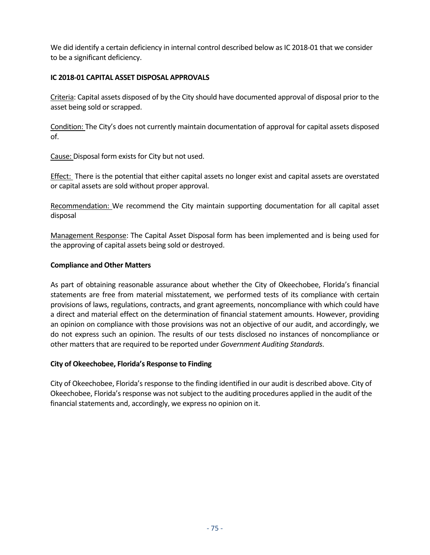We did identify a certain deficiency in internal control described below as IC 2018-01 that we consider to be a significant deficiency.

## **IC 2018‐01 CAPITAL ASSET DISPOSAL APPROVALS**

Criteria: Capital assets disposed of by the City should have documented approval of disposal prior to the asset being sold or scrapped.

Condition: The City's does not currently maintain documentation of approval for capital assets disposed of.

Cause: Disposal form exists for City but not used.

Effect: There is the potential that either capital assets no longer exist and capital assets are overstated or capital assets are sold without proper approval.

Recommendation: We recommend the City maintain supporting documentation for all capital asset disposal

Management Response: The Capital Asset Disposal form has been implemented and is being used for the approving of capital assets being sold or destroyed.

#### **Compliance and Other Matters**

As part of obtaining reasonable assurance about whether the City of Okeechobee, Florida's financial statements are free from material misstatement, we performed tests of its compliance with certain provisions of laws, regulations, contracts, and grant agreements, noncompliance with which could have a direct and material effect on the determination of financial statement amounts. However, providing an opinion on compliance with those provisions was not an objective of our audit, and accordingly, we do not express such an opinion. The results of our tests disclosed no instances of noncompliance or other mattersthat are required to be reported under *Government Auditing Standards*.

#### **City of Okeechobee, Florida's Response to Finding**

City of Okeechobee, Florida's response to the finding identified in our audit is described above. City of Okeechobee, Florida's response was not subject to the auditing procedures applied in the audit of the financial statements and, accordingly, we express no opinion on it.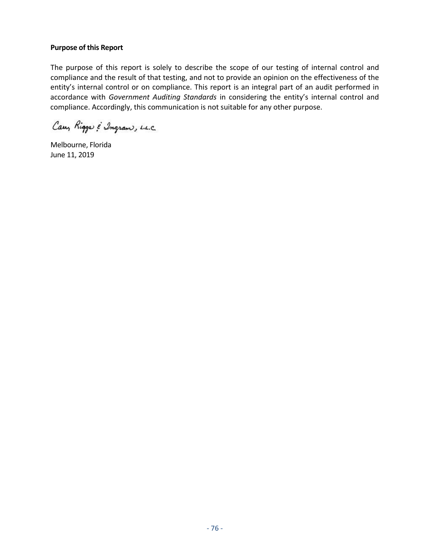## **Purpose of this Report**

The purpose of this report is solely to describe the scope of our testing of internal control and compliance and the result of that testing, and not to provide an opinion on the effectiveness of the entity's internal control or on compliance. This report is an integral part of an audit performed in accordance with *Government Auditing Standards* in considering the entity's internal control and compliance. Accordingly, this communication is not suitable for any other purpose.

Cary Rigge & Ingram, L.L.C.

Melbourne, Florida June 11, 2019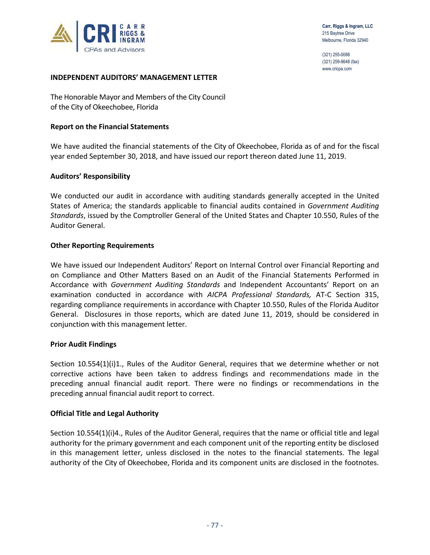

(321) 255-0088 (321) 259-8648 (fax) www.cricpa.com

### **INDEPENDENT AUDITORS' MANAGEMENT LETTER**

The Honorable Mayor and Members of the City Council of the City of Okeechobee, Florida

#### **Report on the Financial Statements**

We have audited the financial statements of the City of Okeechobee, Florida as of and for the fiscal year ended September 30, 2018, and have issued our report thereon dated June 11, 2019.

### **Auditors' Responsibility**

We conducted our audit in accordance with auditing standards generally accepted in the United States of America; the standards applicable to financial audits contained in *Government Auditing Standards*, issued by the Comptroller General of the United States and Chapter 10.550, Rules of the Auditor General.

### **Other Reporting Requirements**

We have issued our Independent Auditors' Report on Internal Control over Financial Reporting and on Compliance and Other Matters Based on an Audit of the Financial Statements Performed in Accordance with *Government Auditing Standards* and Independent Accountants' Report on an examination conducted in accordance with *AICPA Professional Standards,* AT‐C Section 315, regarding compliance requirements in accordance with Chapter 10.550, Rules of the Florida Auditor General. Disclosures in those reports, which are dated June 11, 2019, should be considered in conjunction with this management letter.

#### **Prior Audit Findings**

Section 10.554(1)(i)1., Rules of the Auditor General, requires that we determine whether or not corrective actions have been taken to address findings and recommendations made in the preceding annual financial audit report. There were no findings or recommendations in the preceding annual financial audit report to correct.

## **Official Title and Legal Authority**

Section 10.554(1)(i)4., Rules of the Auditor General, requires that the name or official title and legal authority for the primary government and each component unit of the reporting entity be disclosed in this management letter, unless disclosed in the notes to the financial statements. The legal authority of the City of Okeechobee, Florida and its component units are disclosed in the footnotes.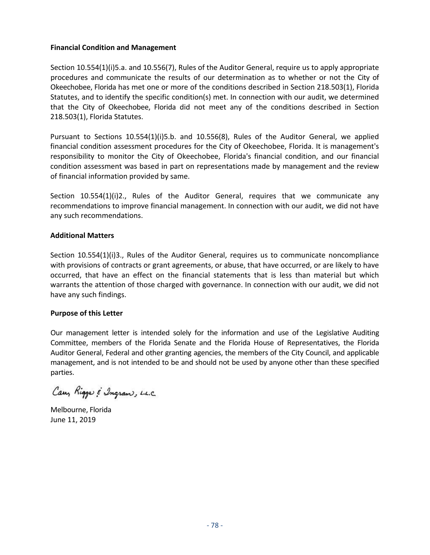### **Financial Condition and Management**

Section 10.554(1)(i)5.a. and 10.556(7), Rules of the Auditor General, require us to apply appropriate procedures and communicate the results of our determination as to whether or not the City of Okeechobee, Florida has met one or more of the conditions described in Section 218.503(1), Florida Statutes, and to identify the specific condition(s) met. In connection with our audit, we determined that the City of Okeechobee, Florida did not meet any of the conditions described in Section 218.503(1), Florida Statutes.

Pursuant to Sections 10.554(1)(i)5.b. and 10.556(8), Rules of the Auditor General, we applied financial condition assessment procedures for the City of Okeechobee, Florida. It is management's responsibility to monitor the City of Okeechobee, Florida's financial condition, and our financial condition assessment was based in part on representations made by management and the review of financial information provided by same.

Section 10.554(1)(i)2., Rules of the Auditor General, requires that we communicate any recommendations to improve financial management. In connection with our audit, we did not have any such recommendations.

### **Additional Matters**

Section 10.554(1)(i)3., Rules of the Auditor General, requires us to communicate noncompliance with provisions of contracts or grant agreements, or abuse, that have occurred, or are likely to have occurred, that have an effect on the financial statements that is less than material but which warrants the attention of those charged with governance. In connection with our audit, we did not have any such findings.

#### **Purpose of this Letter**

Our management letter is intended solely for the information and use of the Legislative Auditing Committee, members of the Florida Senate and the Florida House of Representatives, the Florida Auditor General, Federal and other granting agencies, the members of the City Council, and applicable management, and is not intended to be and should not be used by anyone other than these specified parties.

Carry Rigger & Ingram, L.L.C.

Melbourne, Florida June 11, 2019